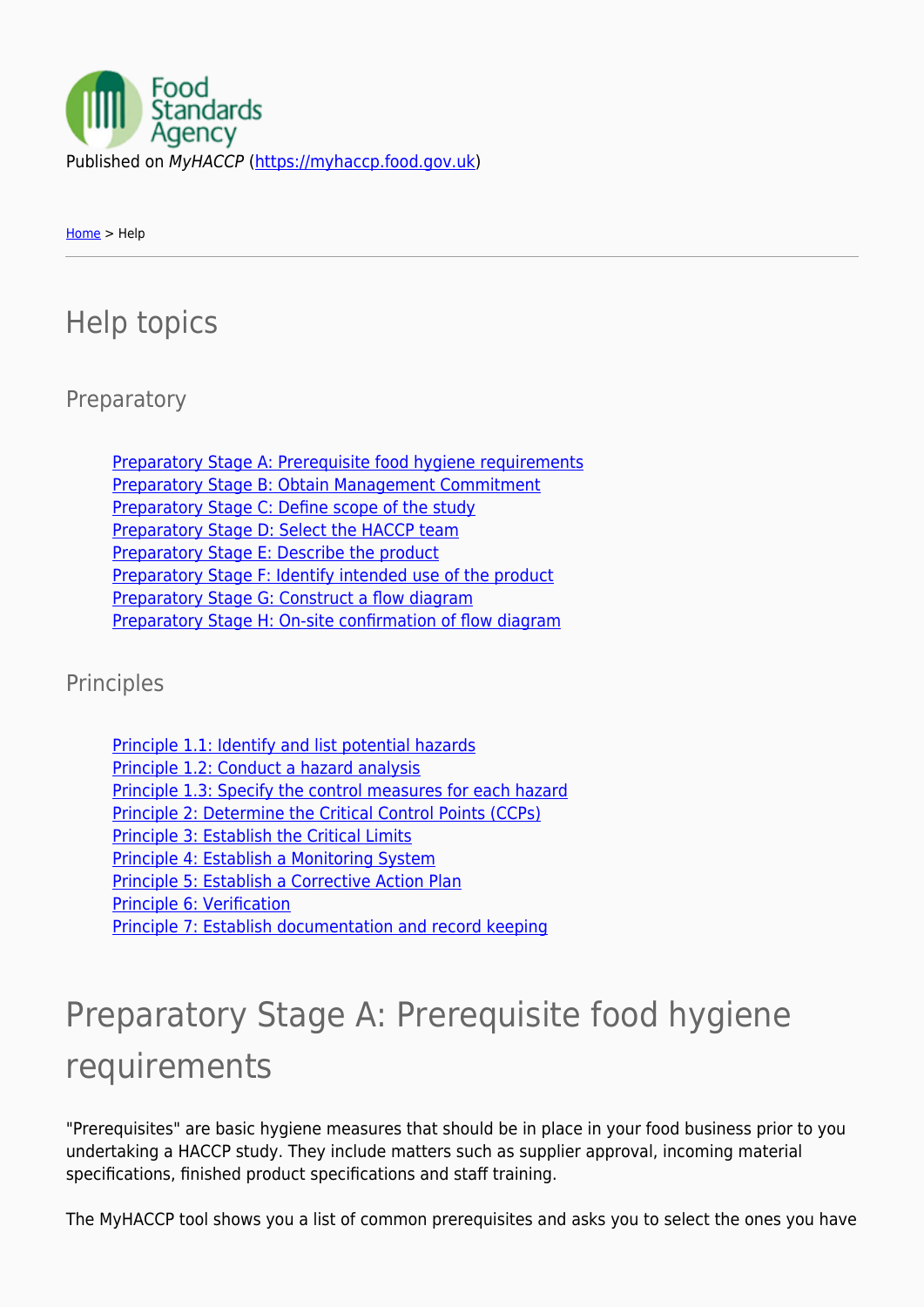

[Home](https://myhaccp.food.gov.uk/) > Help

### Help topics

**Preparatory** 

[Preparatory Stage A: Prerequisite food hygiene requirements](https://myhaccp.food.gov.uk/help/guidance/principles#help-13) [Preparatory Stage B: Obtain Management Commitment](https://myhaccp.food.gov.uk/help/guidance/principles#help-14) [Preparatory Stage C: Define scope of the study](https://myhaccp.food.gov.uk/help/guidance/principles#help-15) [Preparatory Stage D: Select the HACCP team](https://myhaccp.food.gov.uk/help/guidance/principles#help-21) [Preparatory Stage E: Describe the product](https://myhaccp.food.gov.uk/help/guidance/principles#help-18) [Preparatory Stage F: Identify intended use of the product](https://myhaccp.food.gov.uk/help/guidance/principles#help-19) [Preparatory Stage G: Construct a flow diagram](https://myhaccp.food.gov.uk/help/guidance/principles#help-20) [Preparatory Stage H: On-site confirmation of flow diagram](https://myhaccp.food.gov.uk/help/guidance/principles#help-22)

Principles

| Principle 1.1: Identify and list potential hazards          |
|-------------------------------------------------------------|
| Principle 1.2: Conduct a hazard analysis                    |
| Principle 1.3: Specify the control measures for each hazard |
| Principle 2: Determine the Critical Control Points (CCPs)   |
| <b>Principle 3: Establish the Critical Limits</b>           |
| Principle 4: Establish a Monitoring System                  |
| Principle 5: Establish a Corrective Action Plan             |
| Principle 6: Verification                                   |
| Principle 7: Establish documentation and record keeping     |

## Preparatory Stage A: Prerequisite food hygiene requirements

"Prerequisites" are basic hygiene measures that should be in place in your food business prior to you undertaking a HACCP study. They include matters such as supplier approval, incoming material specifications, finished product specifications and staff training.

The MyHACCP tool shows you a list of common prerequisites and asks you to select the ones you have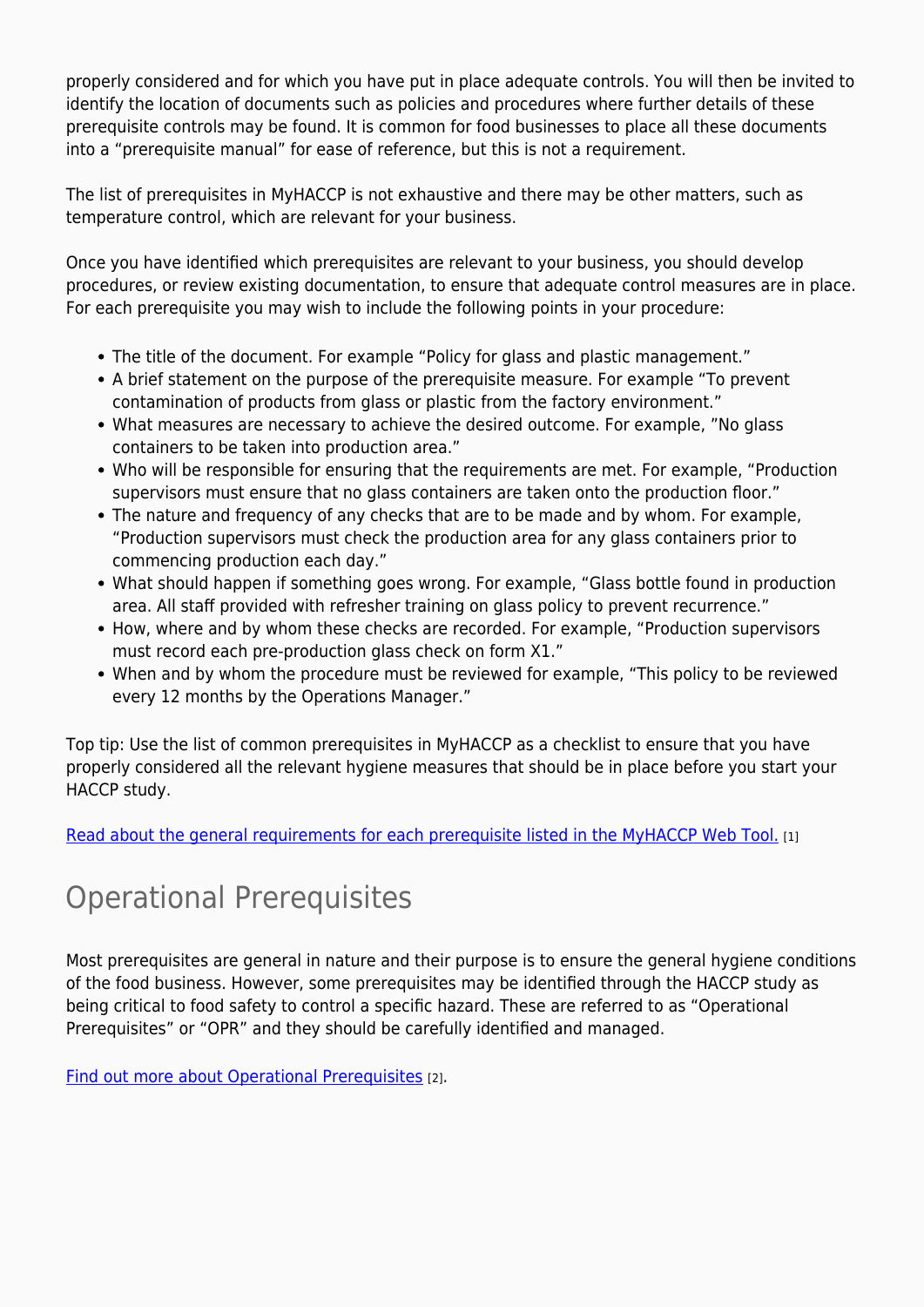properly considered and for which you have put in place adequate controls. You will then be invited to identify the location of documents such as policies and procedures where further details of these prerequisite controls may be found. It is common for food businesses to place all these documents into a "prerequisite manual" for ease of reference, but this is not a requirement.

The list of prerequisites in MyHACCP is not exhaustive and there may be other matters, such as temperature control, which are relevant for your business.

Once you have identified which prerequisites are relevant to your business, you should develop procedures, or review existing documentation, to ensure that adequate control measures are in place. For each prerequisite you may wish to include the following points in your procedure:

- The title of the document. For example "Policy for glass and plastic management."
- A brief statement on the purpose of the prerequisite measure. For example "To prevent contamination of products from glass or plastic from the factory environment."
- What measures are necessary to achieve the desired outcome. For example, "No glass containers to be taken into production area."
- Who will be responsible for ensuring that the requirements are met. For example, "Production supervisors must ensure that no glass containers are taken onto the production floor."
- The nature and frequency of any checks that are to be made and by whom. For example, "Production supervisors must check the production area for any glass containers prior to commencing production each day."
- What should happen if something goes wrong. For example, "Glass bottle found in production area. All staff provided with refresher training on glass policy to prevent recurrence."
- How, where and by whom these checks are recorded. For example, "Production supervisors must record each pre-production glass check on form X1."
- When and by whom the procedure must be reviewed for example, "This policy to be reviewed every 12 months by the Operations Manager."

Top tip: Use the list of common prerequisites in MyHACCP as a checklist to ensure that you have properly considered all the relevant hygiene measures that should be in place before you start your HACCP study.

[Read about the general requirements for each prerequisite listed in the MyHACCP Web Tool.](https://myhaccp.food.gov.uk/help/guidance/general-requirements-be-considered-each-prerequisite) [1]

### Operational Prerequisites

Most prerequisites are general in nature and their purpose is to ensure the general hygiene conditions of the food business. However, some prerequisites may be identified through the HACCP study as being critical to food safety to control a specific hazard. These are referred to as "Operational Prerequisites" or "OPR" and they should be carefully identified and managed.

[Find out more about Operational Prerequisites](https://myhaccp.food.gov.uk/help/guidance/operational-prerequisite-programmes-oprps) [2].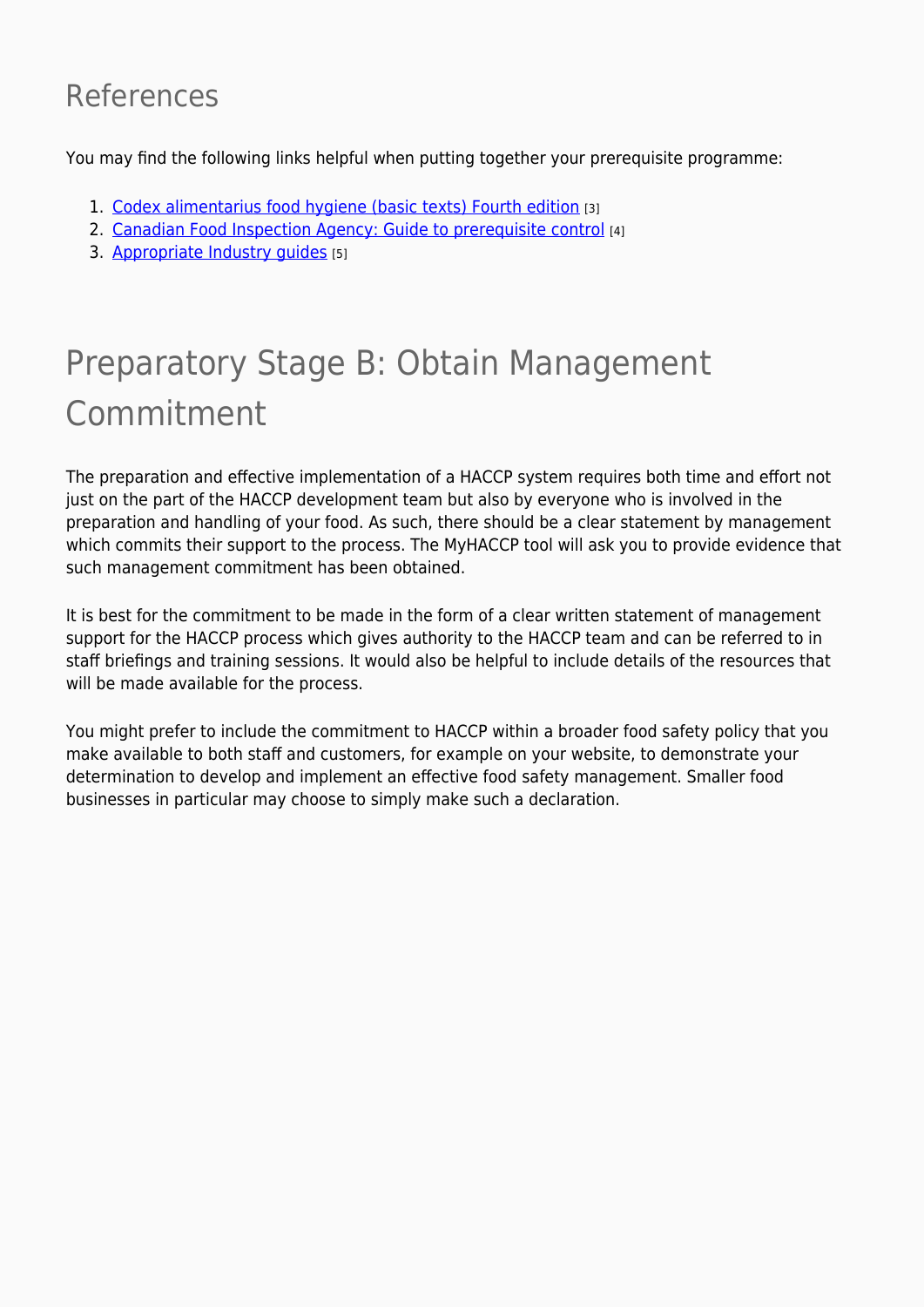### References

You may find the following links helpful when putting together your prerequisite programme:

- 1. [Codex alimentarius food hygiene \(basic texts\) Fourth edition](http://www.fao.org/docrep/012/a1552e/a1552e00.pdf) [3]
- 2. [Canadian Food Inspection Agency: Guide to prerequisite control](http://www.inspection.gc.ca/food/safe-food-production-systems/food-safety-enhancement-program/program-manual/eng/1345821469459/1345821716482?chap=4#s6c4) [4]
- 3. Appropriate Industry quides [5]

## Preparatory Stage B: Obtain Management Commitment

The preparation and effective implementation of a HACCP system requires both time and effort not just on the part of the HACCP development team but also by everyone who is involved in the preparation and handling of your food. As such, there should be a clear statement by management which commits their support to the process. The MyHACCP tool will ask you to provide evidence that such management commitment has been obtained.

It is best for the commitment to be made in the form of a clear written statement of management support for the HACCP process which gives authority to the HACCP team and can be referred to in staff briefings and training sessions. It would also be helpful to include details of the resources that will be made available for the process.

You might prefer to include the commitment to HACCP within a broader food safety policy that you make available to both staff and customers, for example on your website, to demonstrate your determination to develop and implement an effective food safety management. Smaller food businesses in particular may choose to simply make such a declaration.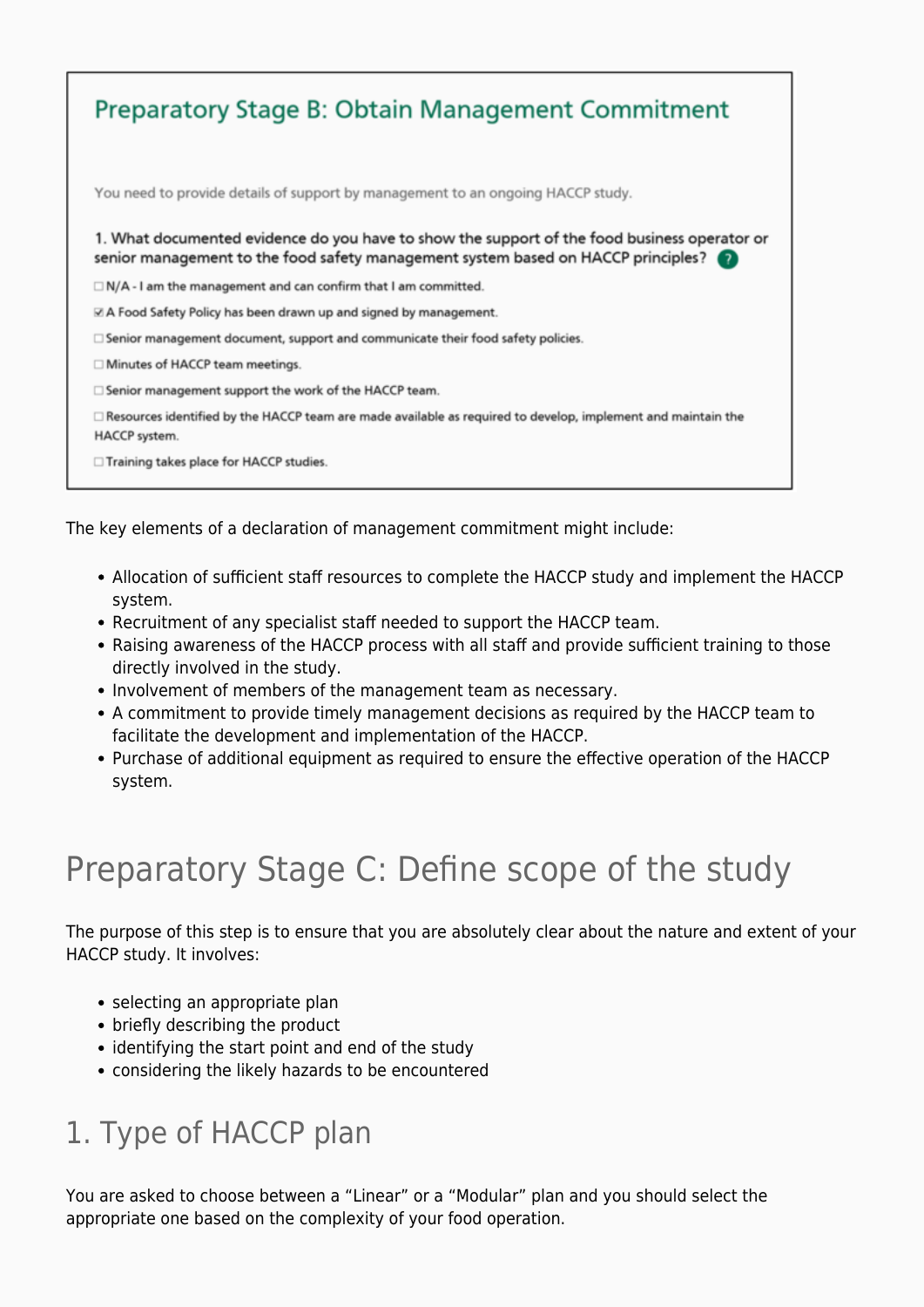| <b>Preparatory Stage B: Obtain Management Commitment</b>                                                                                                                                    |
|---------------------------------------------------------------------------------------------------------------------------------------------------------------------------------------------|
| You need to provide details of support by management to an ongoing HACCP study.                                                                                                             |
| 1. What documented evidence do you have to show the support of the food business operator or<br>senior management to the food safety management system based on HACCP principles? $\bullet$ |
| $\Box$ N/A - I am the management and can confirm that I am committed.                                                                                                                       |
| $\boxtimes$ A Food Safety Policy has been drawn up and signed by management.                                                                                                                |
| $\Box$ Senior management document, support and communicate their food safety policies.                                                                                                      |
| $\Box$ Minutes of HACCP team meetings.                                                                                                                                                      |
| $\Box$ Senior management support the work of the HACCP team.                                                                                                                                |
| □ Resources identified by the HACCP team are made available as required to develop, implement and maintain the<br>HACCP system.                                                             |
| $\Box$ Training takes place for HACCP studies.                                                                                                                                              |

The key elements of a declaration of management commitment might include:

- Allocation of sufficient staff resources to complete the HACCP study and implement the HACCP system.
- Recruitment of any specialist staff needed to support the HACCP team.
- Raising awareness of the HACCP process with all staff and provide sufficient training to those directly involved in the study.
- Involvement of members of the management team as necessary.
- A commitment to provide timely management decisions as required by the HACCP team to facilitate the development and implementation of the HACCP.
- Purchase of additional equipment as required to ensure the effective operation of the HACCP system.

## Preparatory Stage C: Define scope of the study

The purpose of this step is to ensure that you are absolutely clear about the nature and extent of your HACCP study. It involves:

- selecting an appropriate plan
- briefly describing the product
- identifying the start point and end of the study
- considering the likely hazards to be encountered

### 1. Type of HACCP plan

You are asked to choose between a "Linear" or a "Modular" plan and you should select the appropriate one based on the complexity of your food operation.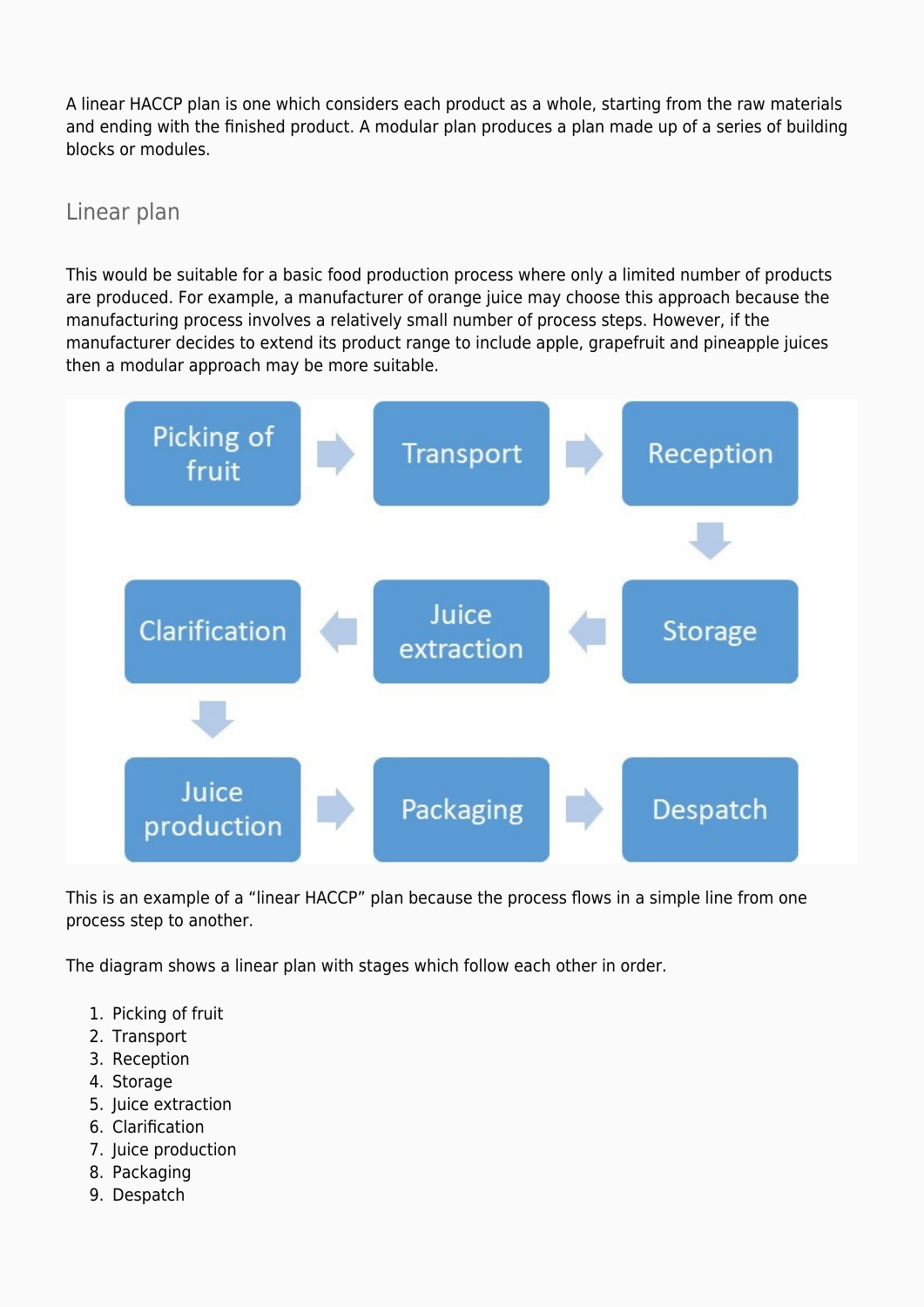A linear HACCP plan is one which considers each product as a whole, starting from the raw materials and ending with the finished product. A modular plan produces a plan made up of a series of building blocks or modules.

Linear plan

This would be suitable for a basic food production process where only a limited number of products are produced. For example, a manufacturer of orange juice may choose this approach because the manufacturing process involves a relatively small number of process steps. However, if the manufacturer decides to extend its product range to include apple, grapefruit and pineapple juices then a modular approach may be more suitable.



This is an example of a "linear HACCP" plan because the process flows in a simple line from one process step to another.

The diagram shows a linear plan with stages which follow each other in order.

- 1. Picking of fruit
- 2. Transport
- 3. Reception
- 4. Storage
- 5. Juice extraction
- 6. Clarification
- 7. Juice production
- 8. Packaging
- 9. Despatch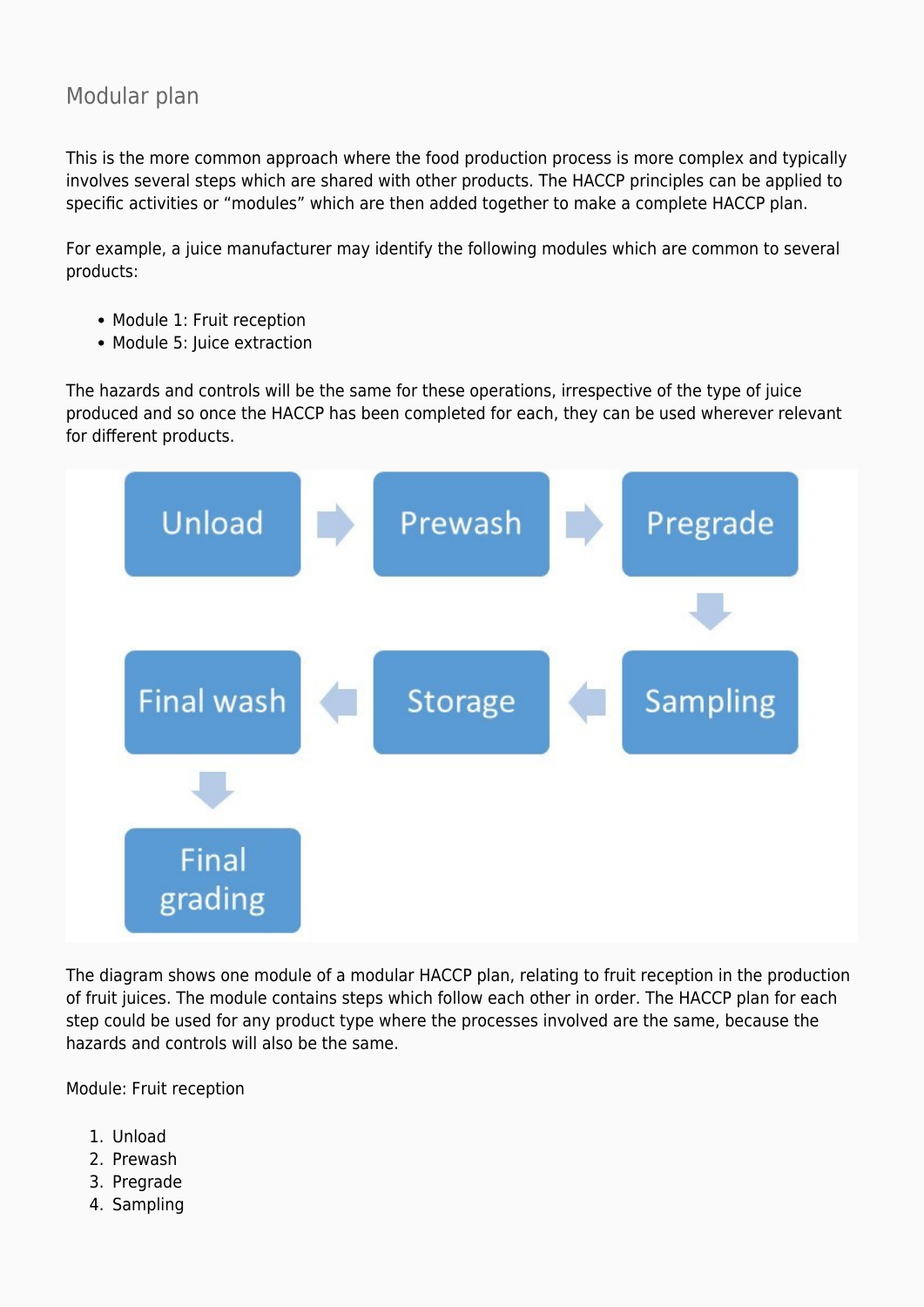#### Modular plan

This is the more common approach where the food production process is more complex and typically involves several steps which are shared with other products. The HACCP principles can be applied to specific activities or "modules" which are then added together to make a complete HACCP plan.

For example, a juice manufacturer may identify the following modules which are common to several products:

- Module 1: Fruit reception
- Module 5: Juice extraction

The hazards and controls will be the same for these operations, irrespective of the type of juice produced and so once the HACCP has been completed for each, they can be used wherever relevant for different products.



The diagram shows one module of a modular HACCP plan, relating to fruit reception in the production of fruit juices. The module contains steps which follow each other in order. The HACCP plan for each step could be used for any product type where the processes involved are the same, because the hazards and controls will also be the same.

Module: Fruit reception

- 1. Unload
- 2. Prewash
- 3. Pregrade
- 4. Sampling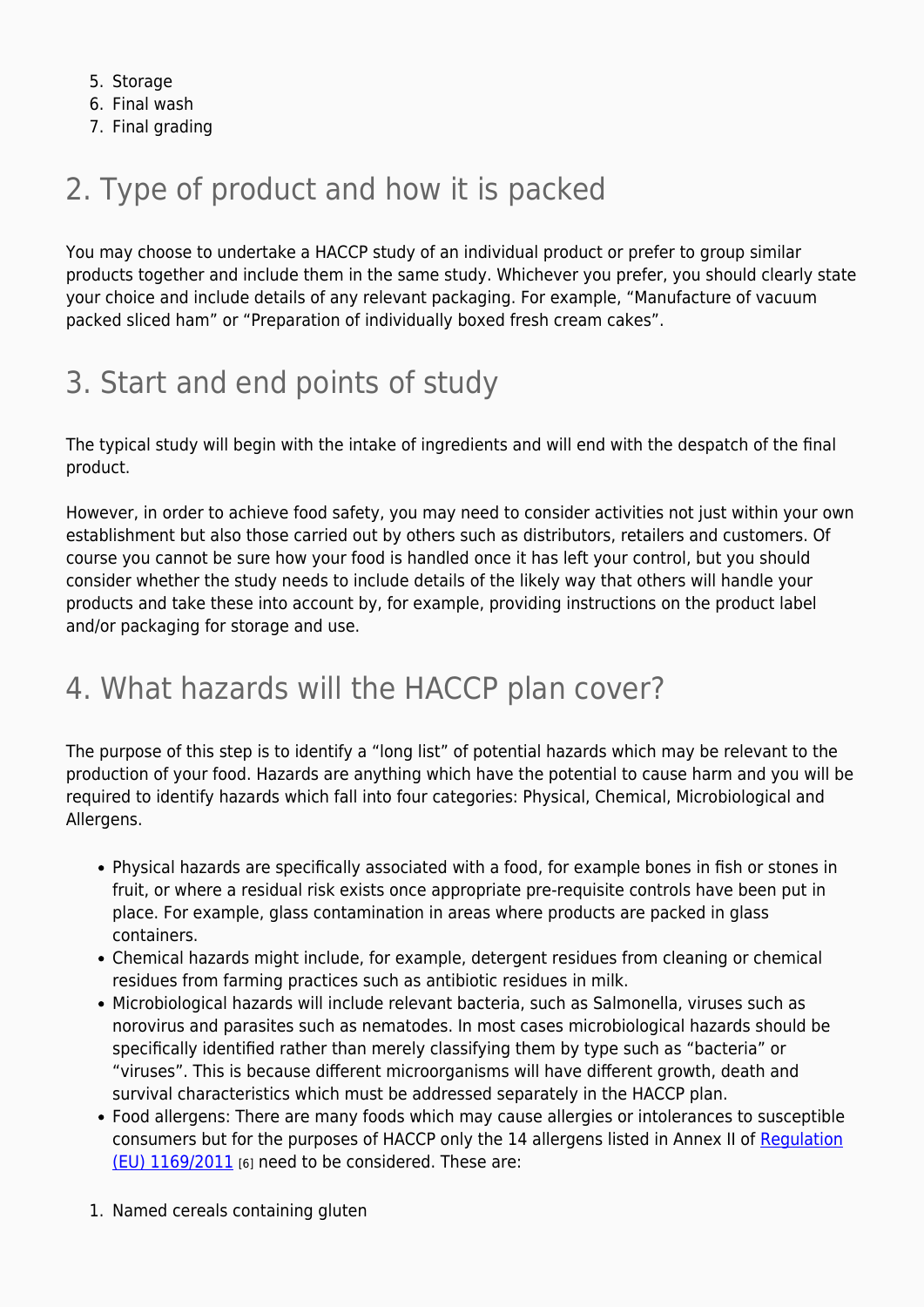- 5. Storage
- 6. Final wash
- 7. Final grading

## 2. Type of product and how it is packed

You may choose to undertake a HACCP study of an individual product or prefer to group similar products together and include them in the same study. Whichever you prefer, you should clearly state your choice and include details of any relevant packaging. For example, "Manufacture of vacuum packed sliced ham" or "Preparation of individually boxed fresh cream cakes".

## 3. Start and end points of study

The typical study will begin with the intake of ingredients and will end with the despatch of the final product.

However, in order to achieve food safety, you may need to consider activities not just within your own establishment but also those carried out by others such as distributors, retailers and customers. Of course you cannot be sure how your food is handled once it has left your control, but you should consider whether the study needs to include details of the likely way that others will handle your products and take these into account by, for example, providing instructions on the product label and/or packaging for storage and use.

### 4. What hazards will the HACCP plan cover?

The purpose of this step is to identify a "long list" of potential hazards which may be relevant to the production of your food. Hazards are anything which have the potential to cause harm and you will be required to identify hazards which fall into four categories: Physical, Chemical, Microbiological and Allergens.

- Physical hazards are specifically associated with a food, for example bones in fish or stones in fruit, or where a residual risk exists once appropriate pre-requisite controls have been put in place. For example, glass contamination in areas where products are packed in glass containers.
- Chemical hazards might include, for example, detergent residues from cleaning or chemical residues from farming practices such as antibiotic residues in milk.
- Microbiological hazards will include relevant bacteria, such as Salmonella, viruses such as norovirus and parasites such as nematodes. In most cases microbiological hazards should be specifically identified rather than merely classifying them by type such as "bacteria" or "viruses". This is because different microorganisms will have different growth, death and survival characteristics which must be addressed separately in the HACCP plan.
- Food allergens: There are many foods which may cause allergies or intolerances to susceptible consumers but for the purposes of HACCP only the 14 allergens listed in Annex II of [Regulation](https://eur-lex.europa.eu/legal-content/EN/ALL/?uri=CELEX%3A32011R1169) [\(EU\) 1169/2011](https://eur-lex.europa.eu/legal-content/EN/ALL/?uri=CELEX%3A32011R1169) [6] need to be considered. These are:
- 1. Named cereals containing gluten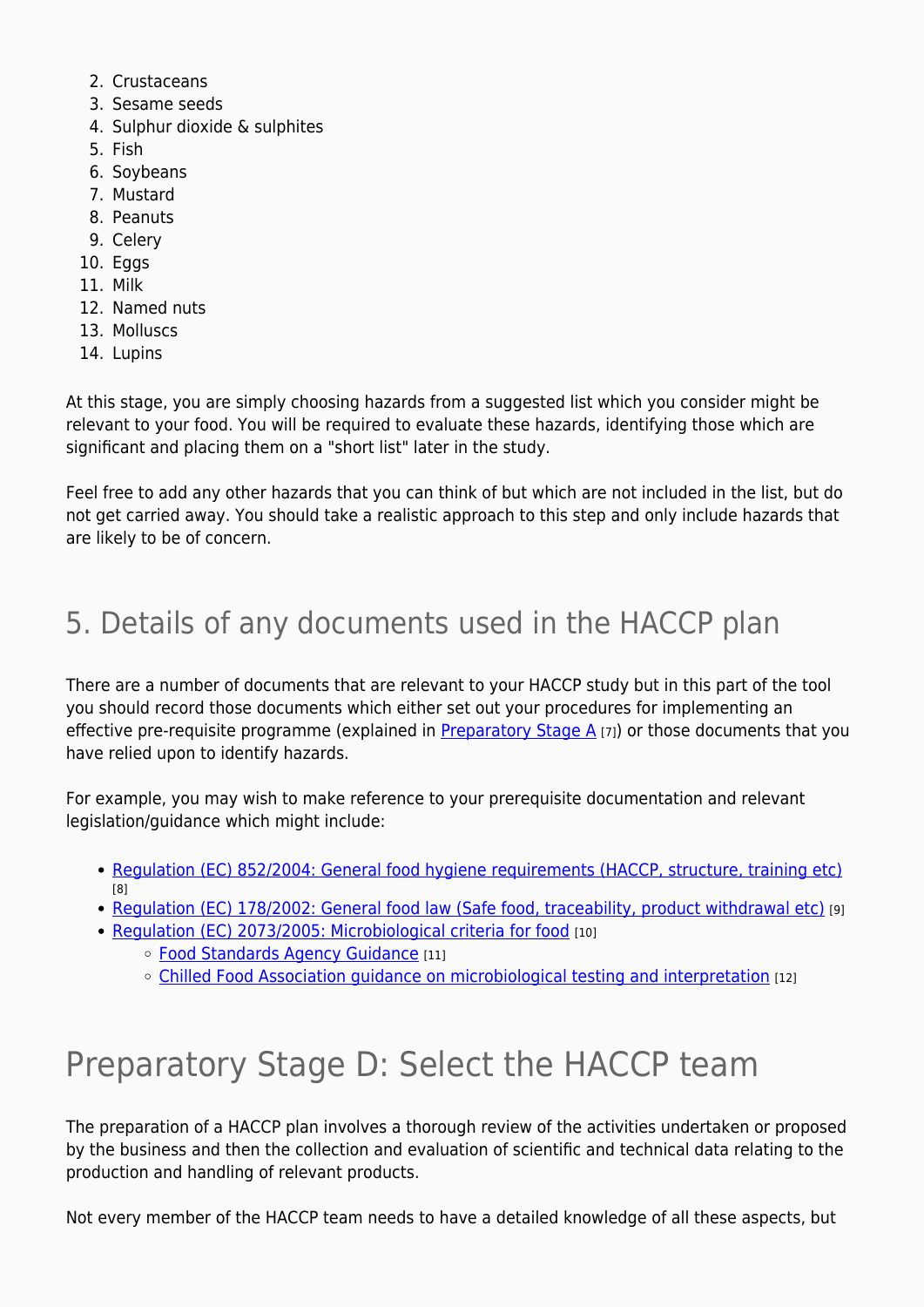- 2. Crustaceans
- 3. Sesame seeds
- 4. Sulphur dioxide & sulphites
- 5. Fish
- 6. Soybeans
- 7. Mustard
- 8. Peanuts
- 9. Celery
- 10. Eggs
- 11. Milk
- 12. Named nuts
- 13. Molluscs
- 14. Lupins

At this stage, you are simply choosing hazards from a suggested list which you consider might be relevant to your food. You will be required to evaluate these hazards, identifying those which are significant and placing them on a "short list" later in the study.

Feel free to add any other hazards that you can think of but which are not included in the list, but do not get carried away. You should take a realistic approach to this step and only include hazards that are likely to be of concern.

## 5. Details of any documents used in the HACCP plan

There are a number of documents that are relevant to your HACCP study but in this part of the tool you should record those documents which either set out your procedures for implementing an effective pre-requisite programme (explained in Preparatory Stage  $A_{[7]}$ ) or those documents that you have relied upon to identify hazards.

For example, you may wish to make reference to your prerequisite documentation and relevant legislation/guidance which might include:

- [Regulation \(EC\) 852/2004: General food hygiene requirements \(HACCP, structure, training etc\)](https://eur-lex.europa.eu/legal-content/EN/TXT/?qid=1541780331357&uri=CELEX:32004R0852) [8]
- [Regulation \(EC\) 178/2002: General food law \(Safe food, traceability, product withdrawal etc\)](https://eur-lex.europa.eu/legal-content/EN/TXT/?qid=1541780363298&uri=CELEX:32002R0178) [9]
- [Regulation \(EC\) 2073/2005: Microbiological criteria for food](https://eur-lex.europa.eu/legal-content/EN/TXT/?qid=1541780412349&uri=CELEX:32005R2073) [10]
	- o [Food Standards Agency Guidance](https://www.food.gov.uk/business-guidance) [11]
	- [Chilled Food Association guidance on microbiological testing and interpretation](https://www.chilledfood.org/product/microbiological-testing-interpretation-guidance-2nd-edition-2016/) [12]

## Preparatory Stage D: Select the HACCP team

The preparation of a HACCP plan involves a thorough review of the activities undertaken or proposed by the business and then the collection and evaluation of scientific and technical data relating to the production and handling of relevant products.

Not every member of the HACCP team needs to have a detailed knowledge of all these aspects, but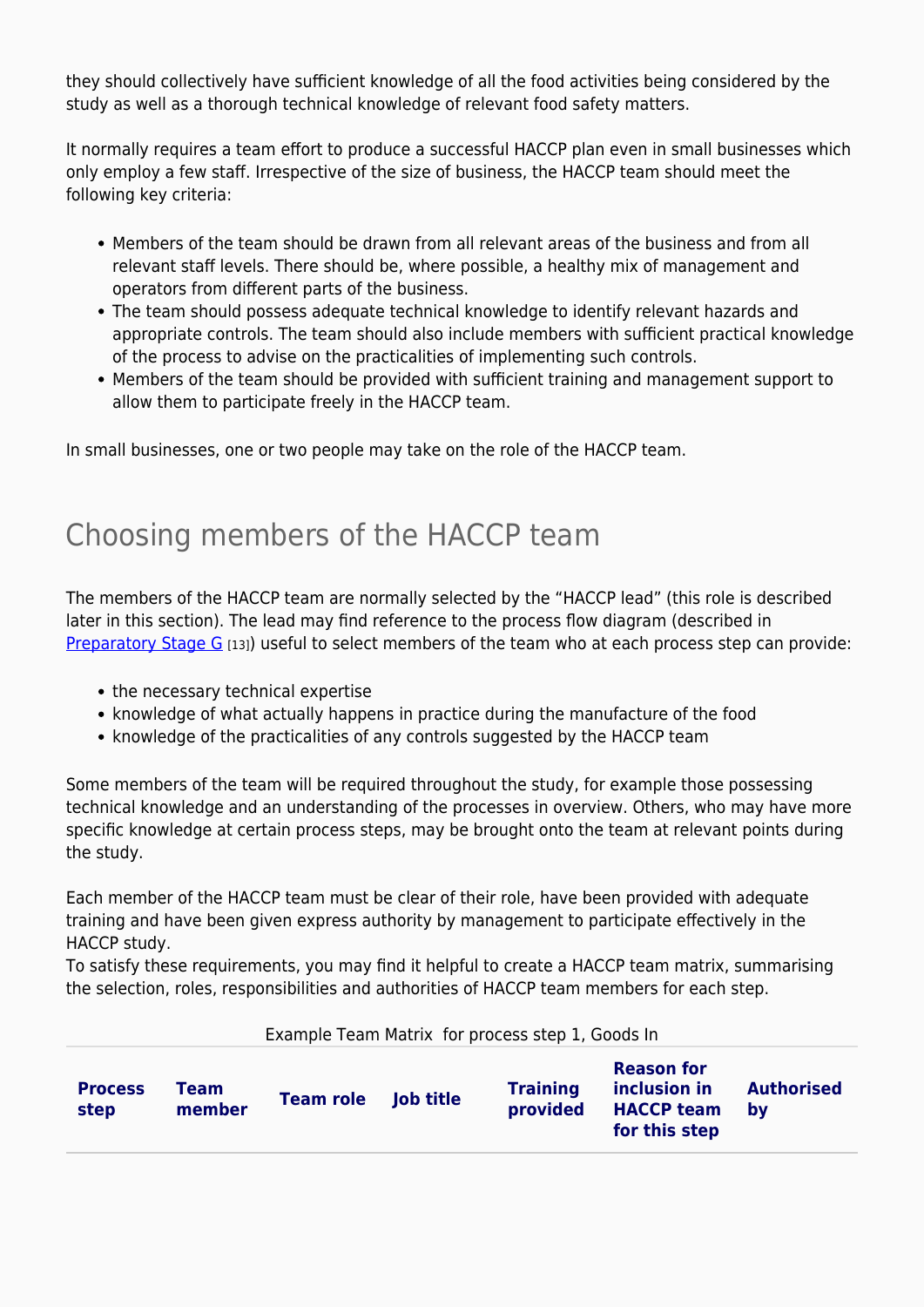they should collectively have sufficient knowledge of all the food activities being considered by the study as well as a thorough technical knowledge of relevant food safety matters.

It normally requires a team effort to produce a successful HACCP plan even in small businesses which only employ a few staff. Irrespective of the size of business, the HACCP team should meet the following key criteria:

- Members of the team should be drawn from all relevant areas of the business and from all relevant staff levels. There should be, where possible, a healthy mix of management and operators from different parts of the business.
- The team should possess adequate technical knowledge to identify relevant hazards and appropriate controls. The team should also include members with sufficient practical knowledge of the process to advise on the practicalities of implementing such controls.
- Members of the team should be provided with sufficient training and management support to allow them to participate freely in the HACCP team.

In small businesses, one or two people may take on the role of the HACCP team.

### Choosing members of the HACCP team

The members of the HACCP team are normally selected by the "HACCP lead" (this role is described later in this section). The lead may find reference to the process flow diagram (described in [Preparatory Stage G](https://myhaccp.food.gov.uk/help/guidance/preparatory-stage-g-construct-a-flow-diagram) [13]) useful to select members of the team who at each process step can provide:

- the necessary technical expertise
- knowledge of what actually happens in practice during the manufacture of the food
- knowledge of the practicalities of any controls suggested by the HACCP team

Some members of the team will be required throughout the study, for example those possessing technical knowledge and an understanding of the processes in overview. Others, who may have more specific knowledge at certain process steps, may be brought onto the team at relevant points during the study.

Each member of the HACCP team must be clear of their role, have been provided with adequate training and have been given express authority by management to participate effectively in the HACCP study.

To satisfy these requirements, you may find it helpful to create a HACCP team matrix, summarising the selection, roles, responsibilities and authorities of HACCP team members for each step.

Example Team Matrix for process step 1, Goods In

| <b>Process</b><br>step | <b>Team</b><br>member | <b>Team role</b> | <b>Job title</b> | <b>Training</b><br>provided | <b>Reason for</b><br>inclusion in<br><b>HACCP team</b><br>for this step | <b>Authorised</b><br>bv |
|------------------------|-----------------------|------------------|------------------|-----------------------------|-------------------------------------------------------------------------|-------------------------|
|------------------------|-----------------------|------------------|------------------|-----------------------------|-------------------------------------------------------------------------|-------------------------|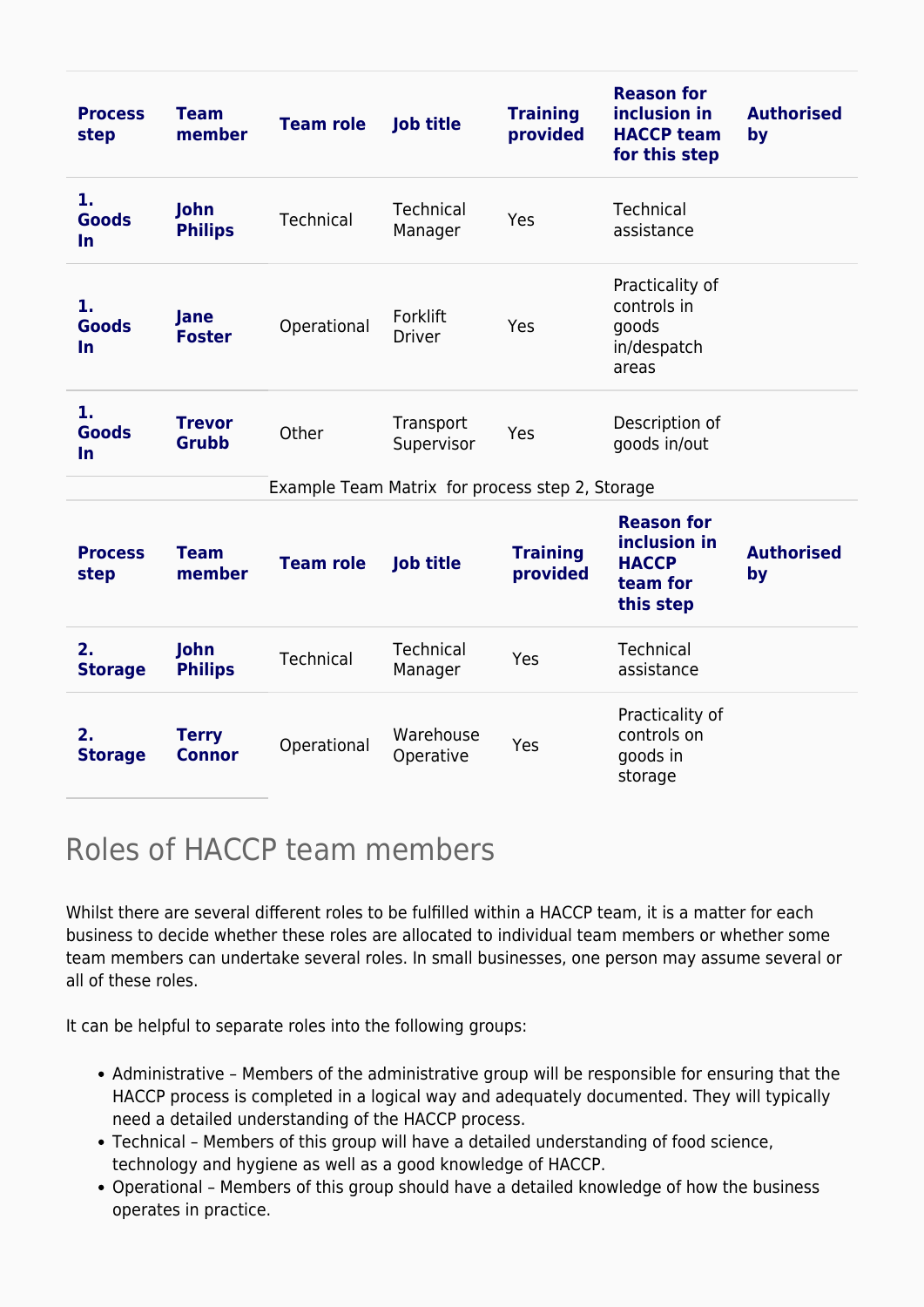| <b>Process</b><br>step          | <b>Team</b><br>member         | <b>Team role</b> | <b>Job title</b>                                | <b>Training</b><br>provided | <b>Reason for</b><br>inclusion in<br><b>HACCP team</b><br>for this step    | <b>Authorised</b><br>by |
|---------------------------------|-------------------------------|------------------|-------------------------------------------------|-----------------------------|----------------------------------------------------------------------------|-------------------------|
| 1.<br><b>Goods</b><br><b>In</b> | John<br><b>Philips</b>        | <b>Technical</b> | <b>Technical</b><br>Manager                     | Yes                         | <b>Technical</b><br>assistance                                             |                         |
| 1.<br><b>Goods</b><br>$\ln$     | Jane<br><b>Foster</b>         | Operational      | Forklift<br><b>Driver</b>                       | Yes                         | Practicality of<br>controls in<br>goods<br>in/despatch<br>areas            |                         |
| 1.<br><b>Goods</b><br><b>In</b> | <b>Trevor</b><br><b>Grubb</b> | Other            | Transport<br>Supervisor                         | Yes                         | Description of<br>goods in/out                                             |                         |
|                                 |                               |                  | Example Team Matrix for process step 2, Storage |                             |                                                                            |                         |
| <b>Process</b><br>step          | <b>Team</b><br>member         | <b>Team role</b> | <b>Job title</b>                                | <b>Training</b><br>provided | <b>Reason for</b><br>inclusion in<br><b>HACCP</b><br>team for<br>this step | <b>Authorised</b><br>by |
| 2.<br><b>Storage</b>            | John<br><b>Philips</b>        | <b>Technical</b> | Technical<br>Manager                            | Yes                         | Technical<br>assistance                                                    |                         |
| 2.<br><b>Storage</b>            | <b>Terry</b><br><b>Connor</b> | Operational      | Warehouse<br>Operative                          | Yes                         | Practicality of<br>controls on<br>goods in<br>storage                      |                         |

### Roles of HACCP team members

Whilst there are several different roles to be fulfilled within a HACCP team, it is a matter for each business to decide whether these roles are allocated to individual team members or whether some team members can undertake several roles. In small businesses, one person may assume several or all of these roles.

It can be helpful to separate roles into the following groups:

- Administrative Members of the administrative group will be responsible for ensuring that the HACCP process is completed in a logical way and adequately documented. They will typically need a detailed understanding of the HACCP process.
- Technical Members of this group will have a detailed understanding of food science, technology and hygiene as well as a good knowledge of HACCP.
- Operational Members of this group should have a detailed knowledge of how the business operates in practice.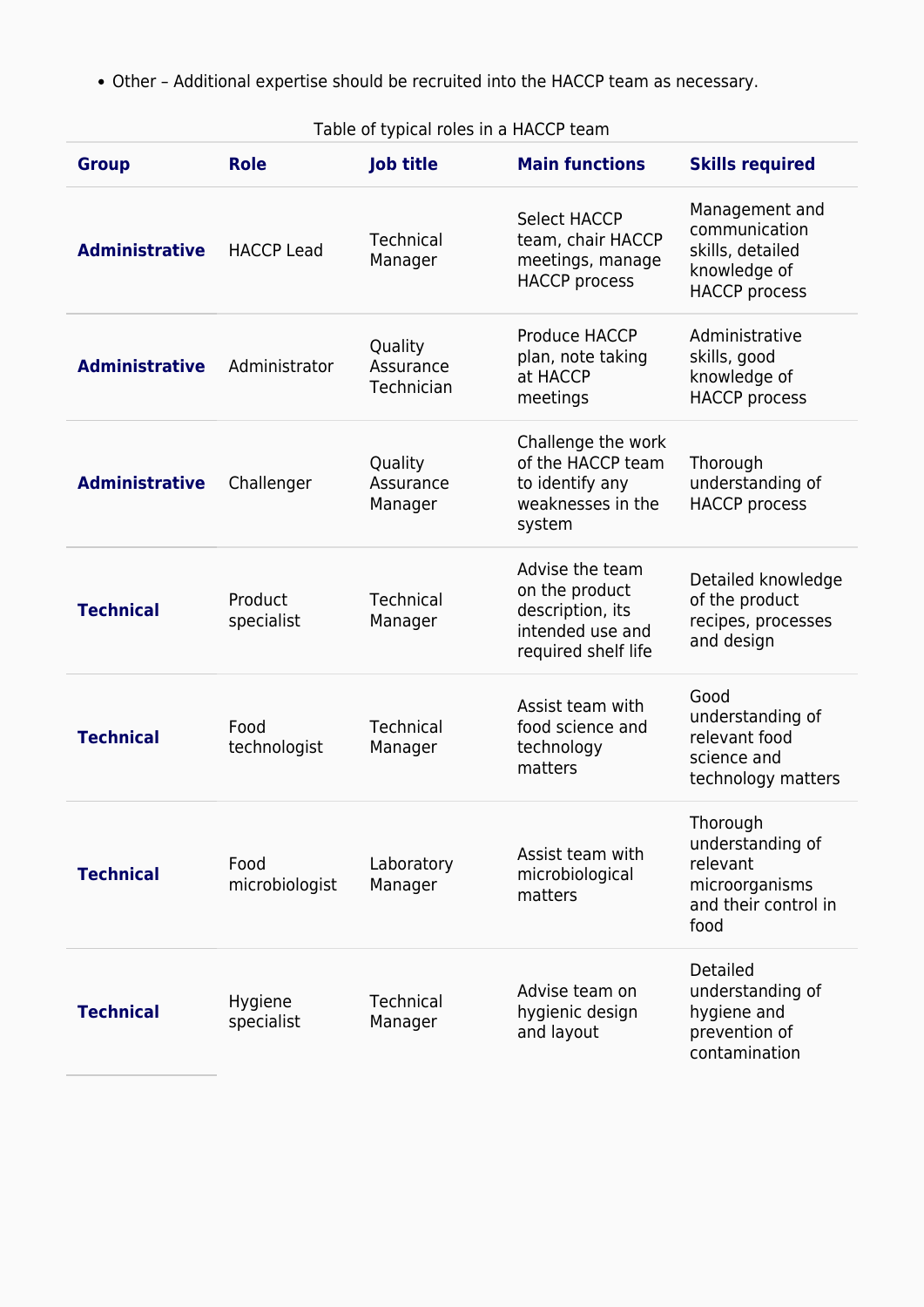Other – Additional expertise should be recruited into the HACCP team as necessary.

#### Table of typical roles in a HACCP team

| <b>Group</b>          | <b>Role</b>            | <b>Job title</b>                   | <b>Main functions</b>                                                                            | <b>Skills required</b>                                                                      |
|-----------------------|------------------------|------------------------------------|--------------------------------------------------------------------------------------------------|---------------------------------------------------------------------------------------------|
| <b>Administrative</b> | <b>HACCP Lead</b>      | Technical<br>Manager               | <b>Select HACCP</b><br>team, chair HACCP<br>meetings, manage<br><b>HACCP</b> process             | Management and<br>communication<br>skills, detailed<br>knowledge of<br><b>HACCP</b> process |
| <b>Administrative</b> | Administrator          | Quality<br>Assurance<br>Technician | Produce HACCP<br>plan, note taking<br>at HACCP<br>meetings                                       | Administrative<br>skills, good<br>knowledge of<br><b>HACCP</b> process                      |
| <b>Administrative</b> | Challenger             | Quality<br>Assurance<br>Manager    | Challenge the work<br>of the HACCP team<br>to identify any<br>weaknesses in the<br>system        | Thorough<br>understanding of<br><b>HACCP</b> process                                        |
| <b>Technical</b>      | Product<br>specialist  | <b>Technical</b><br>Manager        | Advise the team<br>on the product<br>description, its<br>intended use and<br>required shelf life | Detailed knowledge<br>of the product<br>recipes, processes<br>and design                    |
| <b>Technical</b>      | Food<br>technologist   | Technical<br>Manager               | Assist team with<br>food science and<br>technology<br>matters                                    | Good<br>understanding of<br>relevant food<br>science and<br>technology matters              |
| <b>Technical</b>      | Food<br>microbiologist | Laboratory<br>Manager              | Assist team with<br>microbiological<br>matters                                                   | Thorough<br>understanding of<br>relevant<br>microorganisms<br>and their control in<br>food  |
| <b>Technical</b>      | Hygiene<br>specialist  | <b>Technical</b><br>Manager        | Advise team on<br>hygienic design<br>and layout                                                  | Detailed<br>understanding of<br>hygiene and<br>prevention of<br>contamination               |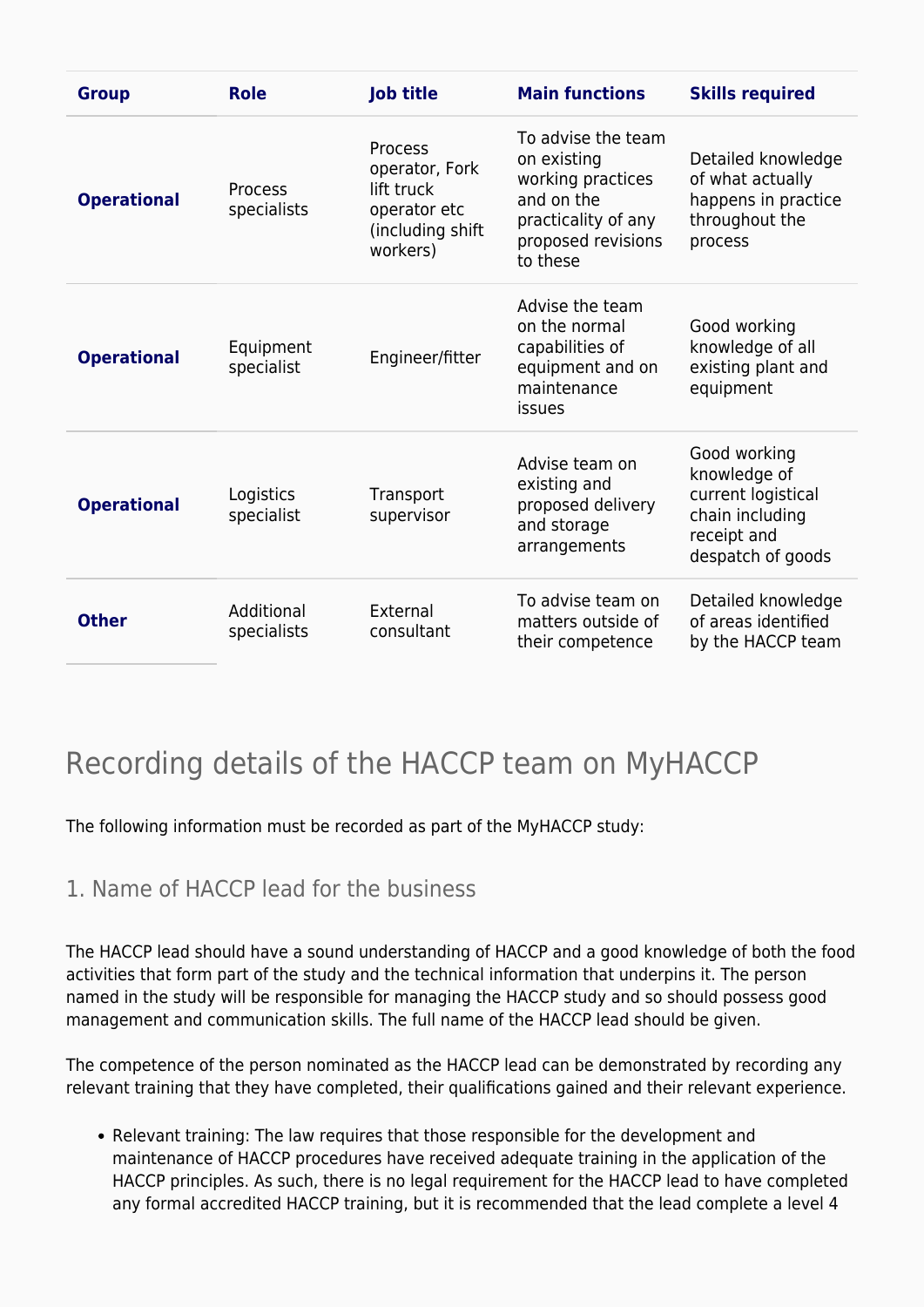| <b>Group</b>       | <b>Role</b>               | <b>Job title</b>                                                                        | <b>Main functions</b>                                                                                                         | <b>Skills required</b>                                                                                    |
|--------------------|---------------------------|-----------------------------------------------------------------------------------------|-------------------------------------------------------------------------------------------------------------------------------|-----------------------------------------------------------------------------------------------------------|
| <b>Operational</b> | Process<br>specialists    | Process<br>operator, Fork<br>lift truck<br>operator etc<br>(including shift<br>workers) | To advise the team<br>on existing<br>working practices<br>and on the<br>practicality of any<br>proposed revisions<br>to these | Detailed knowledge<br>of what actually<br>happens in practice<br>throughout the<br>process                |
| <b>Operational</b> | Equipment<br>specialist   | Engineer/fitter                                                                         | Advise the team<br>on the normal<br>capabilities of<br>equipment and on<br>maintenance<br>issues                              | Good working<br>knowledge of all<br>existing plant and<br>equipment                                       |
| <b>Operational</b> | Logistics<br>specialist   | Transport<br>supervisor                                                                 | Advise team on<br>existing and<br>proposed delivery<br>and storage<br>arrangements                                            | Good working<br>knowledge of<br>current logistical<br>chain including<br>receipt and<br>despatch of goods |
| <b>Other</b>       | Additional<br>specialists | External<br>consultant                                                                  | To advise team on<br>matters outside of<br>their competence                                                                   | Detailed knowledge<br>of areas identified<br>by the HACCP team                                            |

### Recording details of the HACCP team on MyHACCP

The following information must be recorded as part of the MyHACCP study:

#### 1. Name of HACCP lead for the business

The HACCP lead should have a sound understanding of HACCP and a good knowledge of both the food activities that form part of the study and the technical information that underpins it. The person named in the study will be responsible for managing the HACCP study and so should possess good management and communication skills. The full name of the HACCP lead should be given.

The competence of the person nominated as the HACCP lead can be demonstrated by recording any relevant training that they have completed, their qualifications gained and their relevant experience.

Relevant training: The law requires that those responsible for the development and maintenance of HACCP procedures have received adequate training in the application of the HACCP principles. As such, there is no legal requirement for the HACCP lead to have completed any formal accredited HACCP training, but it is recommended that the lead complete a level 4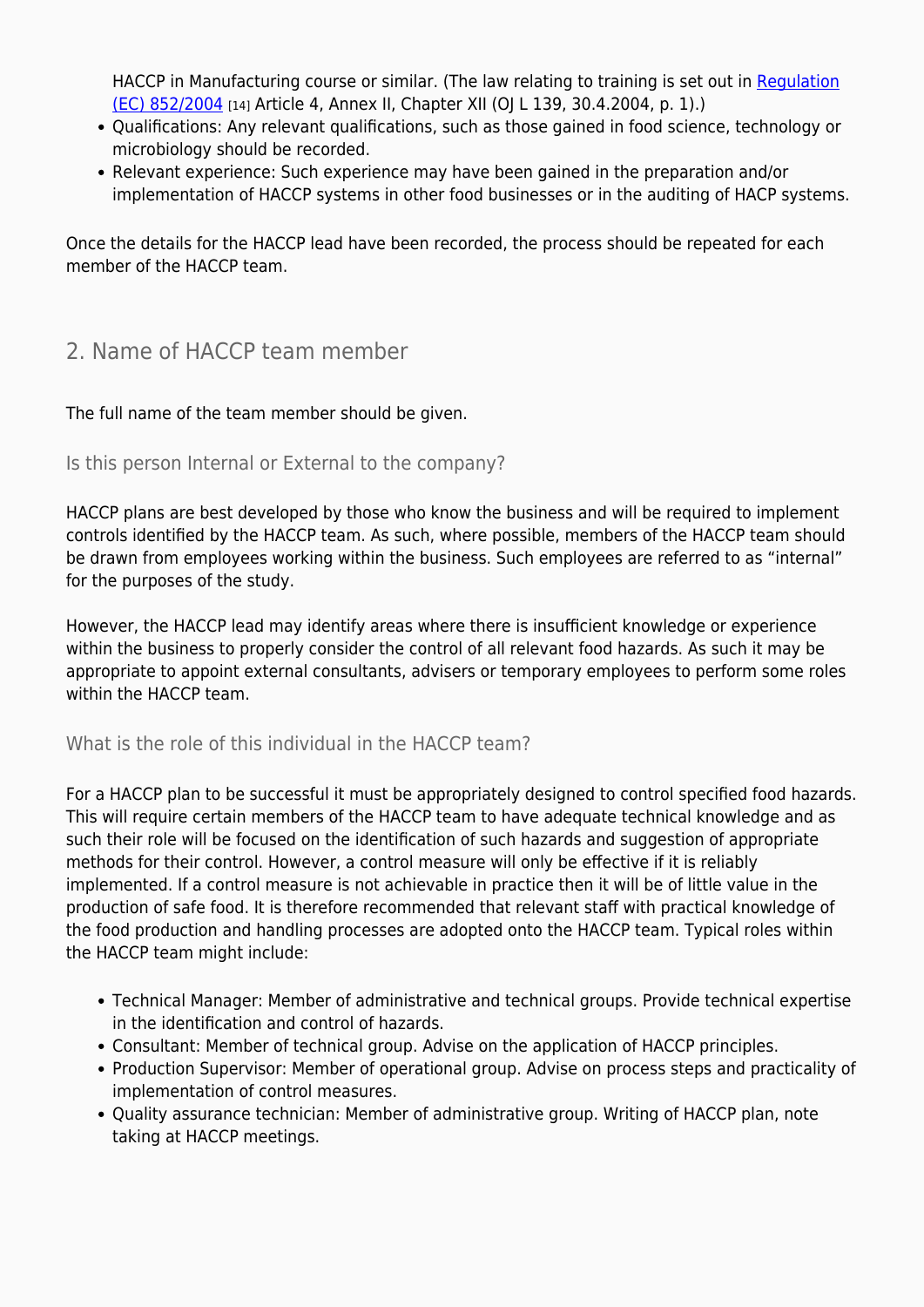HACCP in Manufacturing course or similar. (The law relating to training is set out in [Regulation](https://eur-lex.europa.eu/legal-content/EN/TXT/?qid=1541793369246&uri=CELEX:32004R0852) [\(EC\) 852/2004](https://eur-lex.europa.eu/legal-content/EN/TXT/?qid=1541793369246&uri=CELEX:32004R0852) [14] Article 4, Annex II, Chapter XII (OJ L 139, 30.4.2004, p. 1).)

- Qualifications: Any relevant qualifications, such as those gained in food science, technology or microbiology should be recorded.
- Relevant experience: Such experience may have been gained in the preparation and/or implementation of HACCP systems in other food businesses or in the auditing of HACP systems.

Once the details for the HACCP lead have been recorded, the process should be repeated for each member of the HACCP team.

#### 2. Name of HACCP team member

The full name of the team member should be given.

#### Is this person Internal or External to the company?

HACCP plans are best developed by those who know the business and will be required to implement controls identified by the HACCP team. As such, where possible, members of the HACCP team should be drawn from employees working within the business. Such employees are referred to as "internal" for the purposes of the study.

However, the HACCP lead may identify areas where there is insufficient knowledge or experience within the business to properly consider the control of all relevant food hazards. As such it may be appropriate to appoint external consultants, advisers or temporary employees to perform some roles within the HACCP team.

#### What is the role of this individual in the HACCP team?

For a HACCP plan to be successful it must be appropriately designed to control specified food hazards. This will require certain members of the HACCP team to have adequate technical knowledge and as such their role will be focused on the identification of such hazards and suggestion of appropriate methods for their control. However, a control measure will only be effective if it is reliably implemented. If a control measure is not achievable in practice then it will be of little value in the production of safe food. It is therefore recommended that relevant staff with practical knowledge of the food production and handling processes are adopted onto the HACCP team. Typical roles within the HACCP team might include:

- Technical Manager: Member of administrative and technical groups. Provide technical expertise in the identification and control of hazards.
- Consultant: Member of technical group. Advise on the application of HACCP principles.
- Production Supervisor: Member of operational group. Advise on process steps and practicality of implementation of control measures.
- Ouality assurance technician: Member of administrative group. Writing of HACCP plan, note taking at HACCP meetings.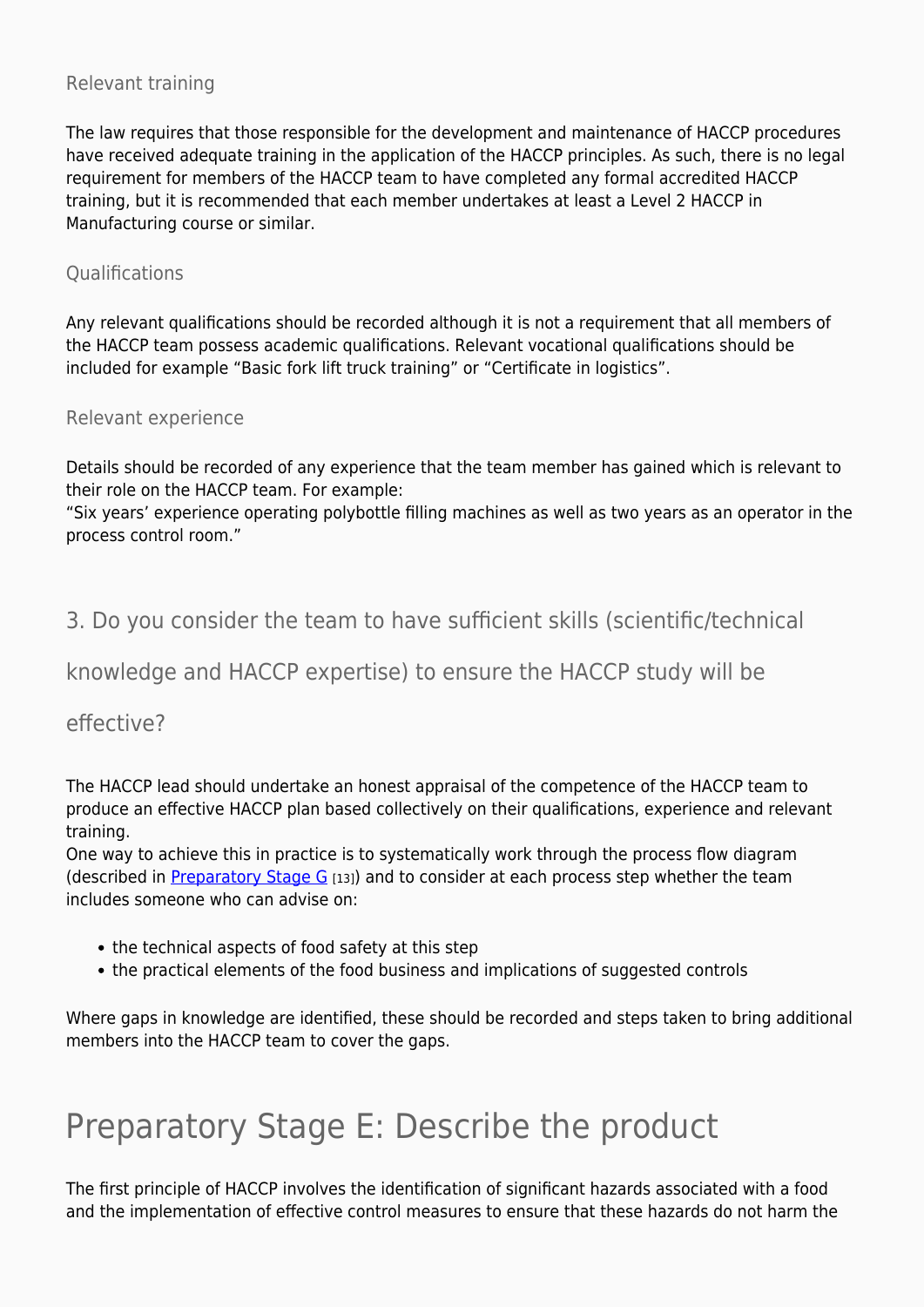#### Relevant training

The law requires that those responsible for the development and maintenance of HACCP procedures have received adequate training in the application of the HACCP principles. As such, there is no legal requirement for members of the HACCP team to have completed any formal accredited HACCP training, but it is recommended that each member undertakes at least a Level 2 HACCP in Manufacturing course or similar.

#### **Oualifications**

Any relevant qualifications should be recorded although it is not a requirement that all members of the HACCP team possess academic qualifications. Relevant vocational qualifications should be included for example "Basic fork lift truck training" or "Certificate in logistics".

#### Relevant experience

Details should be recorded of any experience that the team member has gained which is relevant to their role on the HACCP team. For example:

"Six years' experience operating polybottle filling machines as well as two years as an operator in the process control room."

#### 3. Do you consider the team to have sufficient skills (scientific/technical

knowledge and HACCP expertise) to ensure the HACCP study will be

#### effective?

The HACCP lead should undertake an honest appraisal of the competence of the HACCP team to produce an effective HACCP plan based collectively on their qualifications, experience and relevant training.

One way to achieve this in practice is to systematically work through the process flow diagram (described in [Preparatory Stage G](https://myhaccp.food.gov.uk/help/guidance/preparatory-stage-g-construct-a-flow-diagram) [13]) and to consider at each process step whether the team includes someone who can advise on:

- the technical aspects of food safety at this step
- the practical elements of the food business and implications of suggested controls

Where gaps in knowledge are identified, these should be recorded and steps taken to bring additional members into the HACCP team to cover the gaps.

## Preparatory Stage E: Describe the product

The first principle of HACCP involves the identification of significant hazards associated with a food and the implementation of effective control measures to ensure that these hazards do not harm the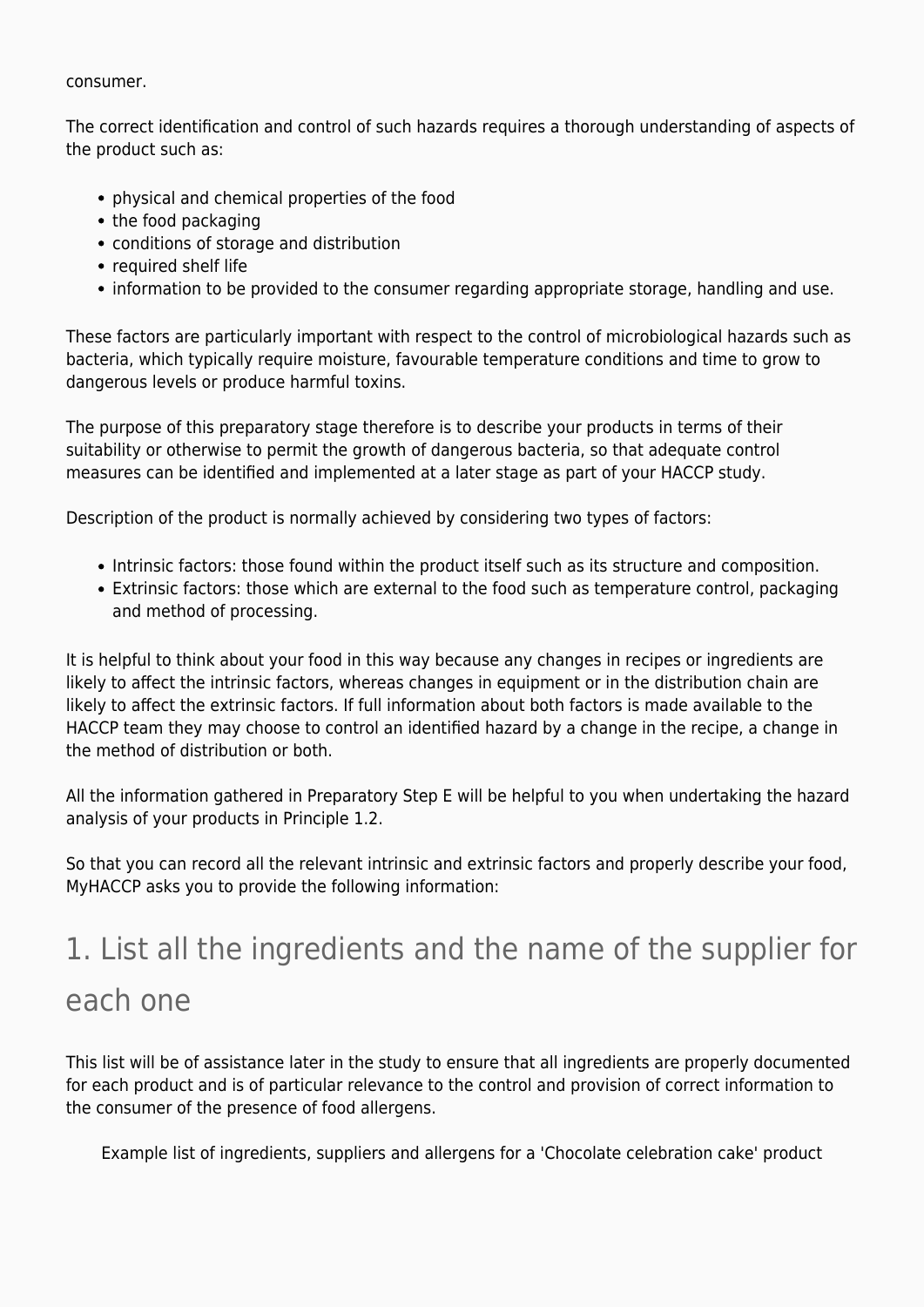#### consumer.

The correct identification and control of such hazards requires a thorough understanding of aspects of the product such as:

- physical and chemical properties of the food
- the food packaging
- conditions of storage and distribution
- required shelf life
- information to be provided to the consumer regarding appropriate storage, handling and use.

These factors are particularly important with respect to the control of microbiological hazards such as bacteria, which typically require moisture, favourable temperature conditions and time to grow to dangerous levels or produce harmful toxins.

The purpose of this preparatory stage therefore is to describe your products in terms of their suitability or otherwise to permit the growth of dangerous bacteria, so that adequate control measures can be identified and implemented at a later stage as part of your HACCP study.

Description of the product is normally achieved by considering two types of factors:

- Intrinsic factors: those found within the product itself such as its structure and composition.
- Extrinsic factors: those which are external to the food such as temperature control, packaging and method of processing.

It is helpful to think about your food in this way because any changes in recipes or ingredients are likely to affect the intrinsic factors, whereas changes in equipment or in the distribution chain are likely to affect the extrinsic factors. If full information about both factors is made available to the HACCP team they may choose to control an identified hazard by a change in the recipe, a change in the method of distribution or both.

All the information gathered in Preparatory Step E will be helpful to you when undertaking the hazard analysis of your products in Principle 1.2.

So that you can record all the relevant intrinsic and extrinsic factors and properly describe your food, MyHACCP asks you to provide the following information:

## 1. List all the ingredients and the name of the supplier for each one

This list will be of assistance later in the study to ensure that all ingredients are properly documented for each product and is of particular relevance to the control and provision of correct information to the consumer of the presence of food allergens.

Example list of ingredients, suppliers and allergens for a 'Chocolate celebration cake' product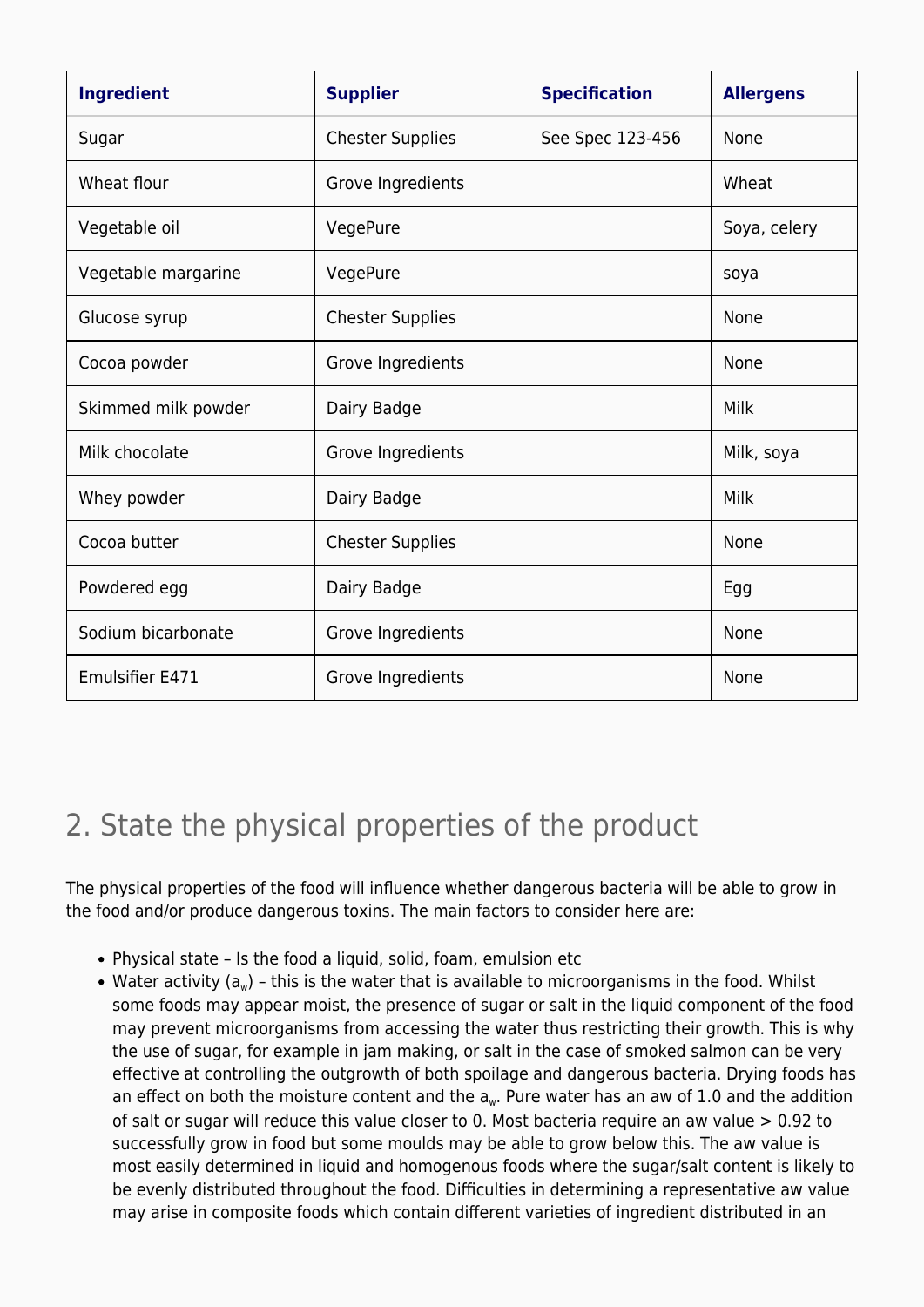| <b>Ingredient</b>      | <b>Supplier</b>         | <b>Specification</b> | <b>Allergens</b> |
|------------------------|-------------------------|----------------------|------------------|
| Sugar                  | <b>Chester Supplies</b> | See Spec 123-456     | None             |
| Wheat flour            | Grove Ingredients       |                      | Wheat            |
| Vegetable oil          | VegePure                |                      | Soya, celery     |
| Vegetable margarine    | VegePure                |                      | soya             |
| Glucose syrup          | <b>Chester Supplies</b> |                      | None             |
| Cocoa powder           | Grove Ingredients       |                      | None             |
| Skimmed milk powder    | Dairy Badge             |                      | Milk             |
| Milk chocolate         | Grove Ingredients       |                      | Milk, soya       |
| Whey powder            | Dairy Badge             |                      | Milk             |
| Cocoa butter           | <b>Chester Supplies</b> |                      | None             |
| Powdered egg           | Dairy Badge             |                      | Egg              |
| Sodium bicarbonate     | Grove Ingredients       |                      | None             |
| <b>Emulsifier E471</b> | Grove Ingredients       |                      | None             |

### 2. State the physical properties of the product

The physical properties of the food will influence whether dangerous bacteria will be able to grow in the food and/or produce dangerous toxins. The main factors to consider here are:

- Physical state Is the food a liquid, solid, foam, emulsion etc
- Water activity ( $a_w$ ) this is the water that is available to microorganisms in the food. Whilst some foods may appear moist, the presence of sugar or salt in the liquid component of the food may prevent microorganisms from accessing the water thus restricting their growth. This is why the use of sugar, for example in jam making, or salt in the case of smoked salmon can be very effective at controlling the outgrowth of both spoilage and dangerous bacteria. Drying foods has an effect on both the moisture content and the a<sub>w</sub>. Pure water has an aw of 1.0 and the addition of salt or sugar will reduce this value closer to 0. Most bacteria require an aw value > 0.92 to successfully grow in food but some moulds may be able to grow below this. The aw value is most easily determined in liquid and homogenous foods where the sugar/salt content is likely to be evenly distributed throughout the food. Difficulties in determining a representative aw value may arise in composite foods which contain different varieties of ingredient distributed in an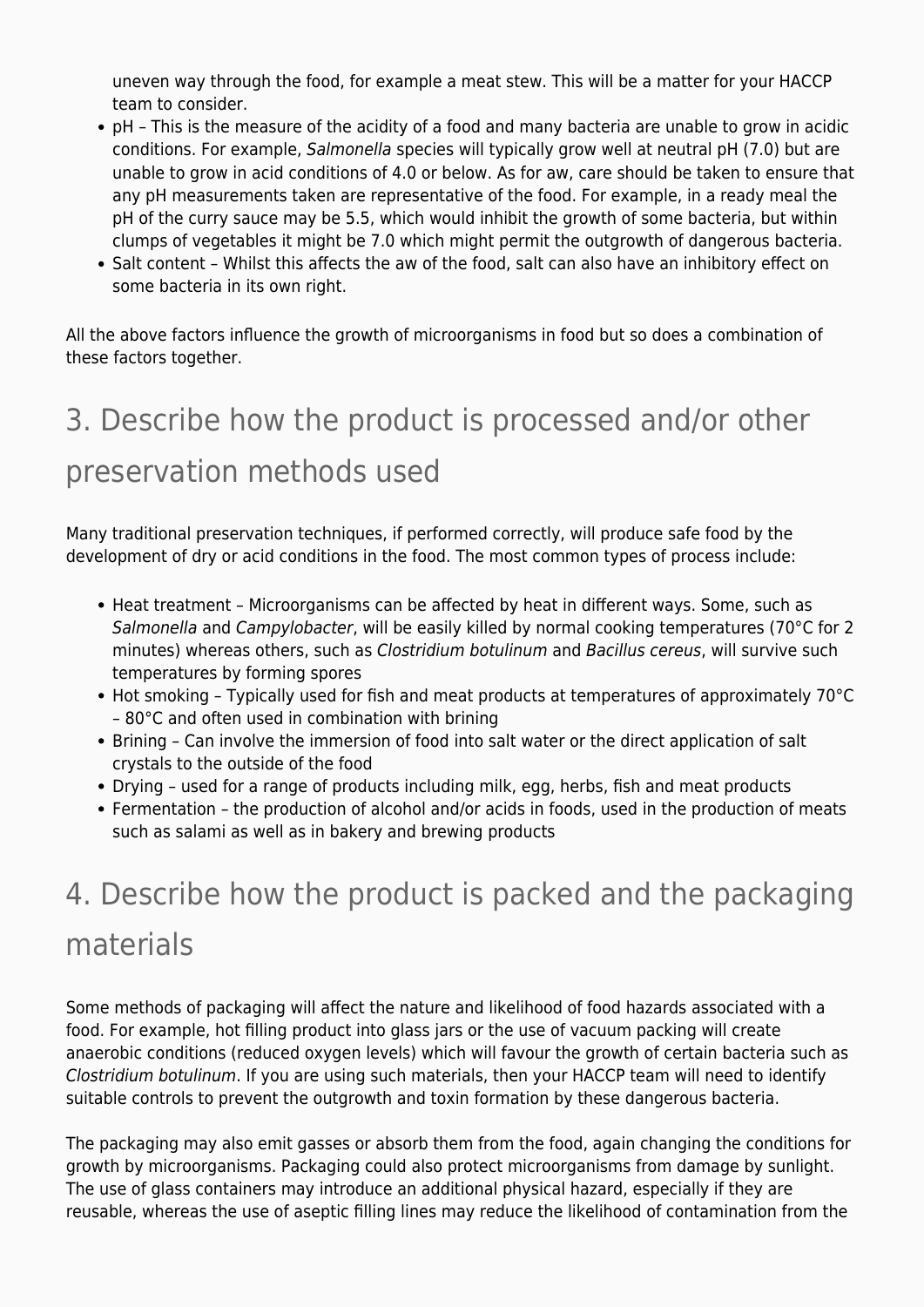uneven way through the food, for example a meat stew. This will be a matter for your HACCP team to consider.

- pH This is the measure of the acidity of a food and many bacteria are unable to grow in acidic conditions. For example, Salmonella species will typically grow well at neutral pH (7.0) but are unable to grow in acid conditions of 4.0 or below. As for aw, care should be taken to ensure that any pH measurements taken are representative of the food. For example, in a ready meal the pH of the curry sauce may be 5.5, which would inhibit the growth of some bacteria, but within clumps of vegetables it might be 7.0 which might permit the outgrowth of dangerous bacteria.
- Salt content Whilst this affects the aw of the food, salt can also have an inhibitory effect on some bacteria in its own right.

All the above factors influence the growth of microorganisms in food but so does a combination of these factors together.

## 3. Describe how the product is processed and/or other

### preservation methods used

Many traditional preservation techniques, if performed correctly, will produce safe food by the development of dry or acid conditions in the food. The most common types of process include:

- Heat treatment Microorganisms can be affected by heat in different ways. Some, such as Salmonella and Campylobacter, will be easily killed by normal cooking temperatures (70°C for 2 minutes) whereas others, such as Clostridium botulinum and Bacillus cereus, will survive such temperatures by forming spores
- Hot smoking Typically used for fish and meat products at temperatures of approximately 70°C – 80°C and often used in combination with brining
- Brining Can involve the immersion of food into salt water or the direct application of salt crystals to the outside of the food
- Drying used for a range of products including milk, egg, herbs, fish and meat products
- Fermentation the production of alcohol and/or acids in foods, used in the production of meats such as salami as well as in bakery and brewing products

## 4. Describe how the product is packed and the packaging materials

Some methods of packaging will affect the nature and likelihood of food hazards associated with a food. For example, hot filling product into glass jars or the use of vacuum packing will create anaerobic conditions (reduced oxygen levels) which will favour the growth of certain bacteria such as Clostridium botulinum. If you are using such materials, then your HACCP team will need to identify suitable controls to prevent the outgrowth and toxin formation by these dangerous bacteria.

The packaging may also emit gasses or absorb them from the food, again changing the conditions for growth by microorganisms. Packaging could also protect microorganisms from damage by sunlight. The use of glass containers may introduce an additional physical hazard, especially if they are reusable, whereas the use of aseptic filling lines may reduce the likelihood of contamination from the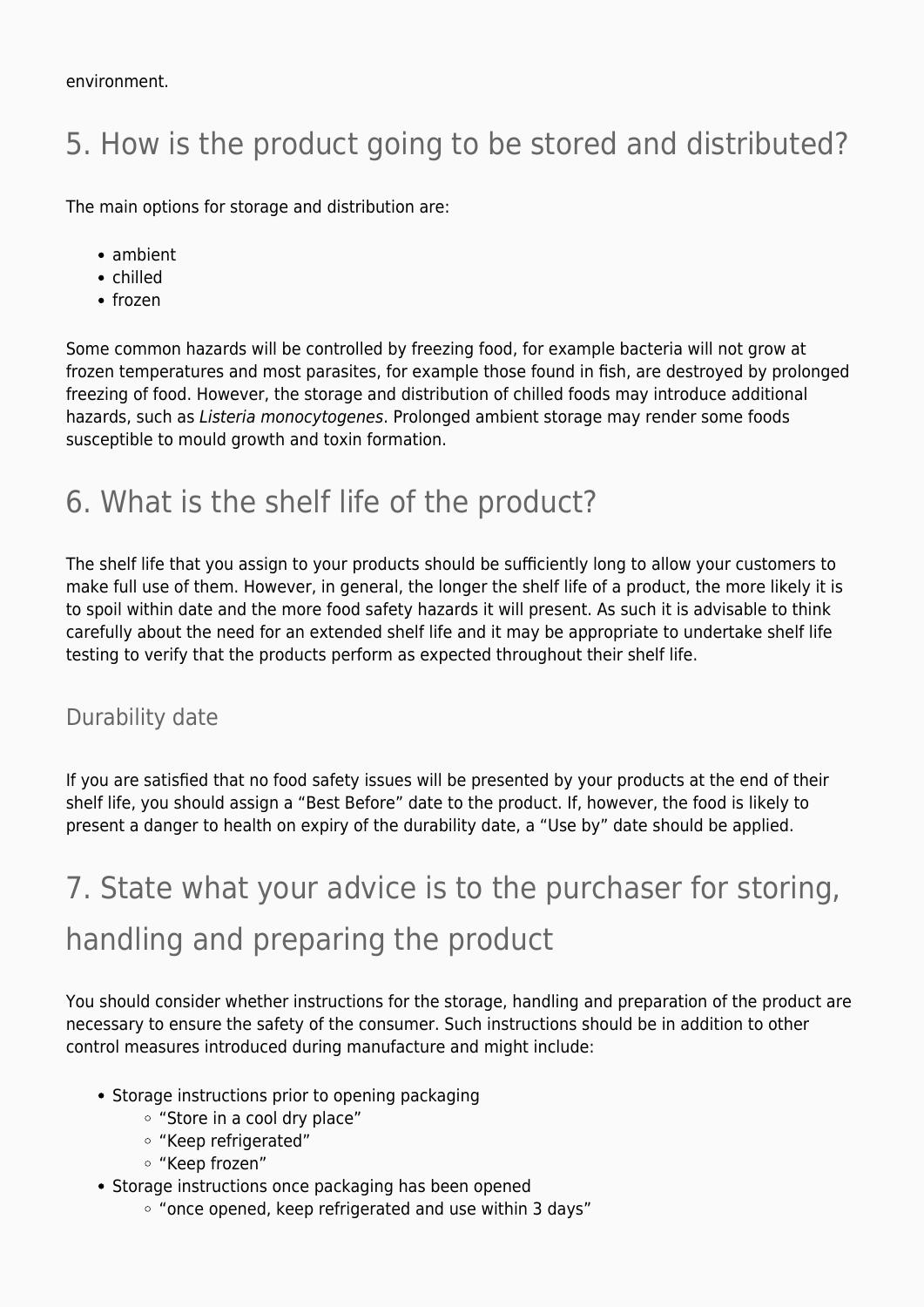## 5. How is the product going to be stored and distributed?

The main options for storage and distribution are:

- ambient
- chilled
- frozen

Some common hazards will be controlled by freezing food, for example bacteria will not grow at frozen temperatures and most parasites, for example those found in fish, are destroyed by prolonged freezing of food. However, the storage and distribution of chilled foods may introduce additional hazards, such as Listeria monocytogenes. Prolonged ambient storage may render some foods susceptible to mould growth and toxin formation.

### 6. What is the shelf life of the product?

The shelf life that you assign to your products should be sufficiently long to allow your customers to make full use of them. However, in general, the longer the shelf life of a product, the more likely it is to spoil within date and the more food safety hazards it will present. As such it is advisable to think carefully about the need for an extended shelf life and it may be appropriate to undertake shelf life testing to verify that the products perform as expected throughout their shelf life.

#### Durability date

If you are satisfied that no food safety issues will be presented by your products at the end of their shelf life, you should assign a "Best Before" date to the product. If, however, the food is likely to present a danger to health on expiry of the durability date, a "Use by" date should be applied.

## 7. State what your advice is to the purchaser for storing, handling and preparing the product

You should consider whether instructions for the storage, handling and preparation of the product are necessary to ensure the safety of the consumer. Such instructions should be in addition to other control measures introduced during manufacture and might include:

- Storage instructions prior to opening packaging
	- "Store in a cool dry place"
	- "Keep refrigerated"
	- "Keep frozen"
- Storage instructions once packaging has been opened
	- "once opened, keep refrigerated and use within 3 days"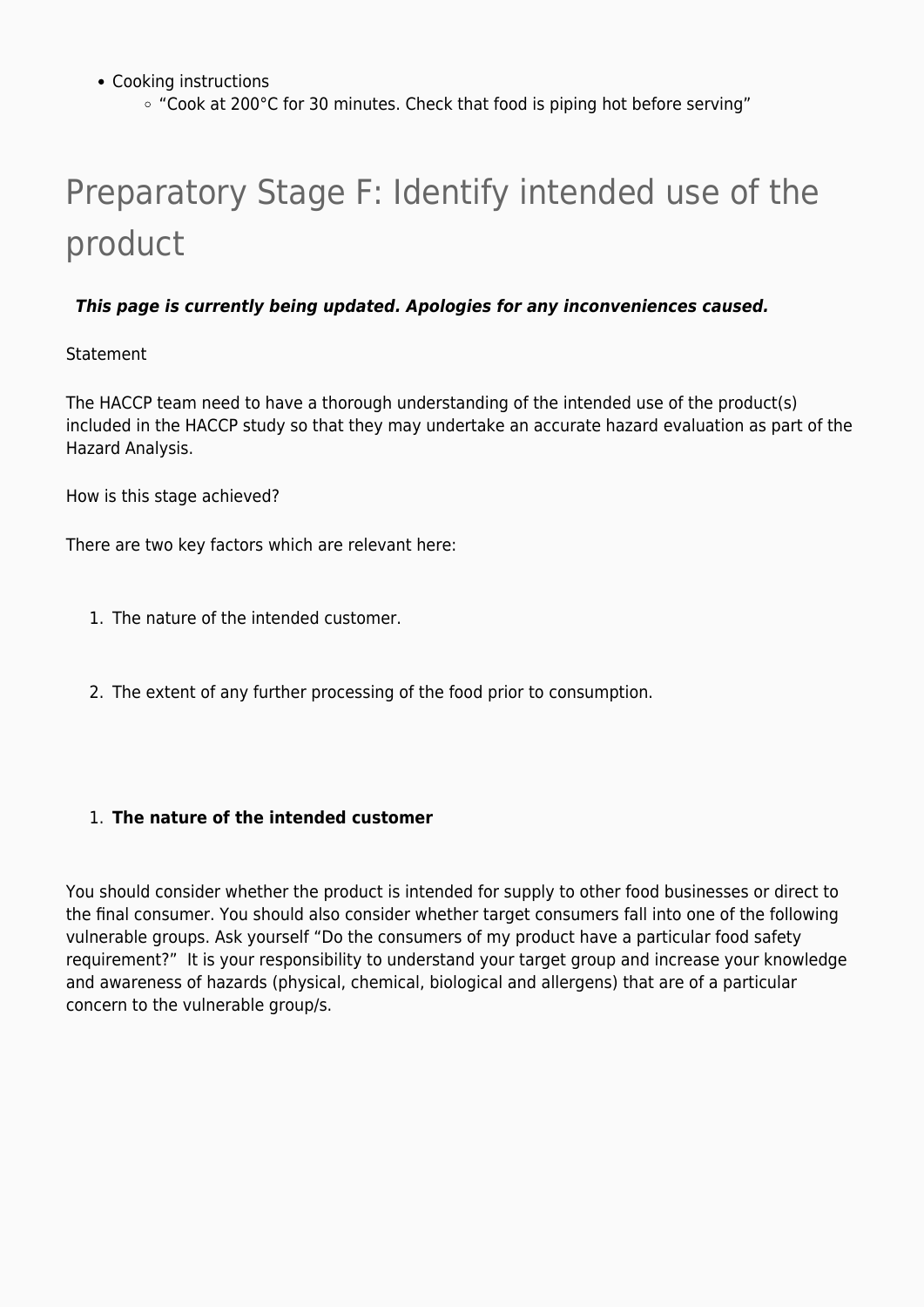- Cooking instructions
	- "Cook at 200°C for 30 minutes. Check that food is piping hot before serving"

# Preparatory Stage F: Identify intended use of the product

#### *This page is currently being updated. Apologies for any inconveniences caused.*

#### Statement

The HACCP team need to have a thorough understanding of the intended use of the product(s) included in the HACCP study so that they may undertake an accurate hazard evaluation as part of the Hazard Analysis.

How is this stage achieved?

There are two key factors which are relevant here:

- 1. The nature of the intended customer.
- 2. The extent of any further processing of the food prior to consumption.

#### 1. **The nature of the intended customer**

You should consider whether the product is intended for supply to other food businesses or direct to the final consumer. You should also consider whether target consumers fall into one of the following vulnerable groups. Ask yourself "Do the consumers of my product have a particular food safety requirement?" It is your responsibility to understand your target group and increase your knowledge and awareness of hazards (physical, chemical, biological and allergens) that are of a particular concern to the vulnerable group/s.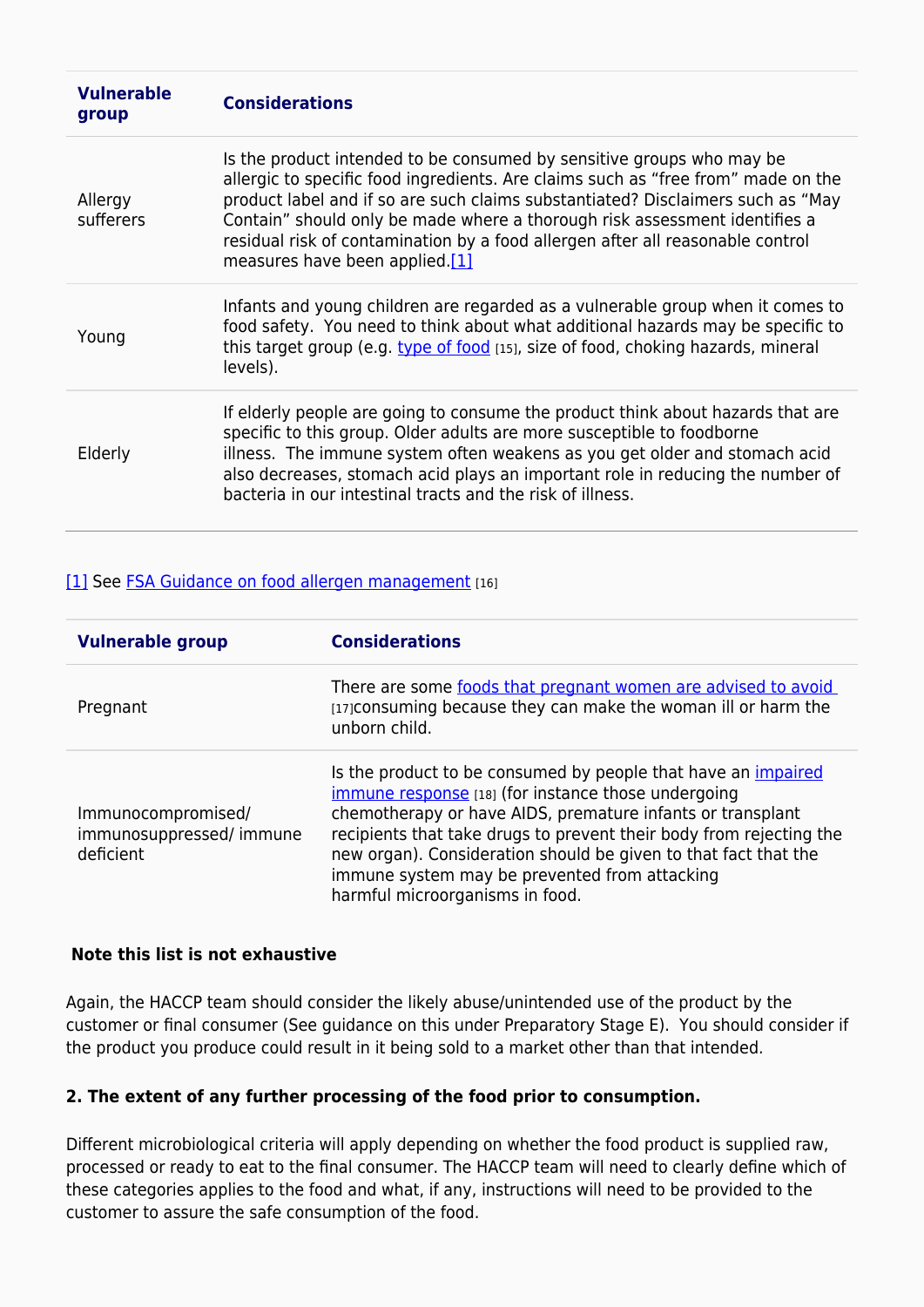| <b>Vulnerable</b><br>group | <b>Considerations</b>                                                                                                                                                                                                                                                                                                                                                                                                                           |
|----------------------------|-------------------------------------------------------------------------------------------------------------------------------------------------------------------------------------------------------------------------------------------------------------------------------------------------------------------------------------------------------------------------------------------------------------------------------------------------|
| Allergy<br>sufferers       | Is the product intended to be consumed by sensitive groups who may be<br>allergic to specific food ingredients. Are claims such as "free from" made on the<br>product label and if so are such claims substantiated? Disclaimers such as "May<br>Contain" should only be made where a thorough risk assessment identifies a<br>residual risk of contamination by a food allergen after all reasonable control<br>measures have been applied.[1] |
| Young                      | Infants and young children are regarded as a vulnerable group when it comes to<br>food safety. You need to think about what additional hazards may be specific to<br>this target group (e.g. type of food [15], size of food, choking hazards, mineral<br>levels).                                                                                                                                                                              |
| Elderly                    | If elderly people are going to consume the product think about hazards that are<br>specific to this group. Older adults are more susceptible to foodborne<br>illness. The immune system often weakens as you get older and stomach acid<br>also decreases, stomach acid plays an important role in reducing the number of<br>bacteria in our intestinal tracts and the risk of illness.                                                         |

#### [\[1\]](https://myhaccp.food.gov.uk/help/guidance/principles#_ftnref1) See [FSA Guidance on food allergen management](https://www.food.gov.uk/business-industry/allergy-guide) [16]

| <b>Vulnerable group</b>                                     | <b>Considerations</b>                                                                                                                                                                                                                                                                                                                                                                                                   |
|-------------------------------------------------------------|-------------------------------------------------------------------------------------------------------------------------------------------------------------------------------------------------------------------------------------------------------------------------------------------------------------------------------------------------------------------------------------------------------------------------|
| Pregnant                                                    | There are some foods that pregnant women are advised to avoid<br>[17] consuming because they can make the woman ill or harm the<br>unborn child.                                                                                                                                                                                                                                                                        |
| Immunocompromised/<br>immunosuppressed/ immune<br>deficient | Is the product to be consumed by people that have an <i>impaired</i><br>immune response [18] (for instance those undergoing<br>chemotherapy or have AIDS, premature infants or transplant<br>recipients that take drugs to prevent their body from rejecting the<br>new organ). Consideration should be given to that fact that the<br>immune system may be prevented from attacking<br>harmful microorganisms in food. |

#### **Note this list is not exhaustive**

Again, the HACCP team should consider the likely abuse/unintended use of the product by the customer or final consumer (See guidance on this under Preparatory Stage E). You should consider if the product you produce could result in it being sold to a market other than that intended.

#### **2. The extent of any further processing of the food prior to consumption.**

Different microbiological criteria will apply depending on whether the food product is supplied raw, processed or ready to eat to the final consumer. The HACCP team will need to clearly define which of these categories applies to the food and what, if any, instructions will need to be provided to the customer to assure the safe consumption of the food.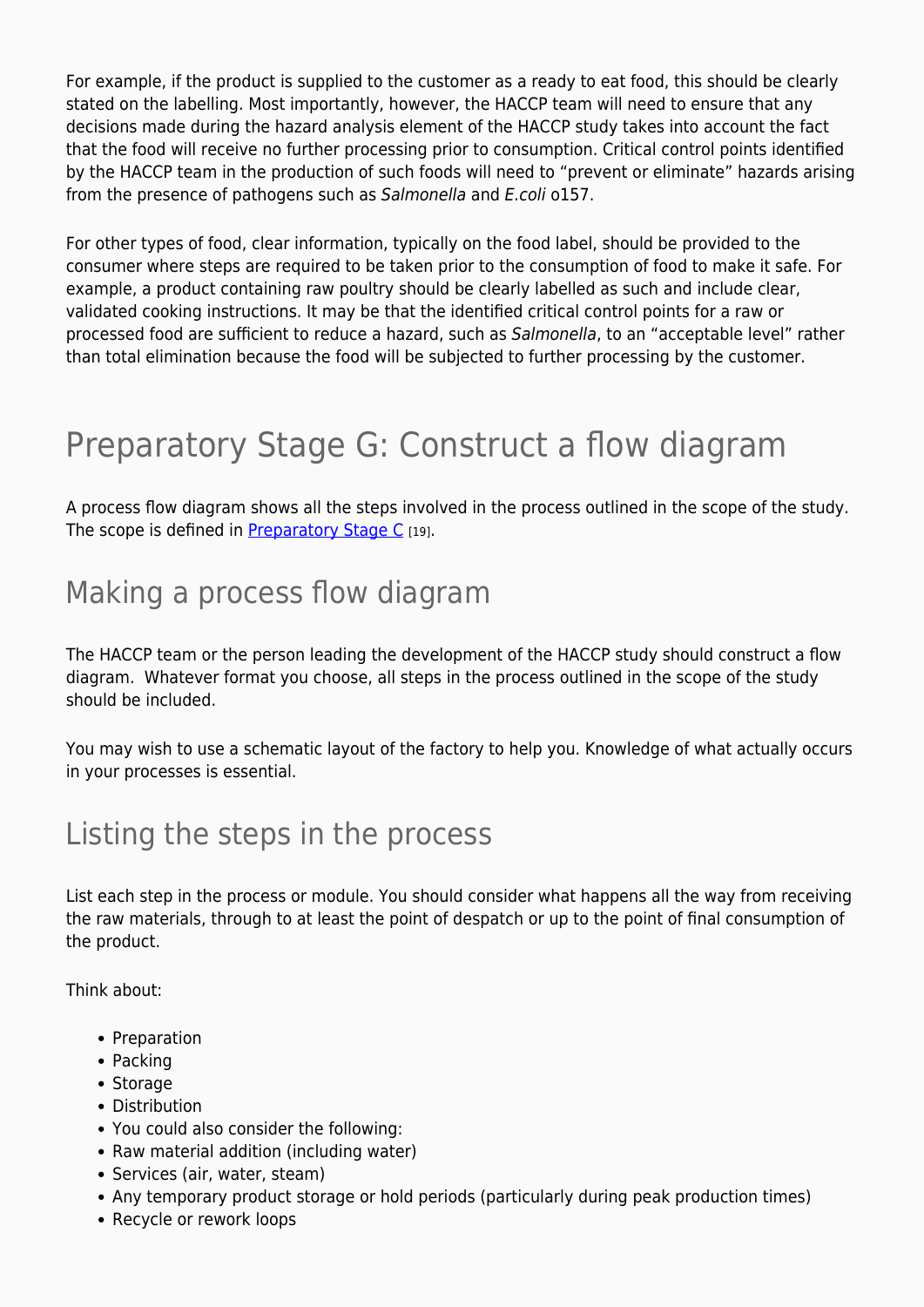For example, if the product is supplied to the customer as a ready to eat food, this should be clearly stated on the labelling. Most importantly, however, the HACCP team will need to ensure that any decisions made during the hazard analysis element of the HACCP study takes into account the fact that the food will receive no further processing prior to consumption. Critical control points identified by the HACCP team in the production of such foods will need to "prevent or eliminate" hazards arising from the presence of pathogens such as Salmonella and E.coli o157.

For other types of food, clear information, typically on the food label, should be provided to the consumer where steps are required to be taken prior to the consumption of food to make it safe. For example, a product containing raw poultry should be clearly labelled as such and include clear, validated cooking instructions. It may be that the identified critical control points for a raw or processed food are sufficient to reduce a hazard, such as Salmonella, to an "acceptable level" rather than total elimination because the food will be subjected to further processing by the customer.

## Preparatory Stage G: Construct a flow diagram

A process flow diagram shows all the steps involved in the process outlined in the scope of the study. The scope is defined in [Preparatory Stage C](https://myhaccp.food.gov.uk/help/guidance/preparatory-stage-c-define-scope-study) [19].

### Making a process flow diagram

The HACCP team or the person leading the development of the HACCP study should construct a flow diagram. Whatever format you choose, all steps in the process outlined in the scope of the study should be included.

You may wish to use a schematic layout of the factory to help you. Knowledge of what actually occurs in your processes is essential.

### Listing the steps in the process

List each step in the process or module. You should consider what happens all the way from receiving the raw materials, through to at least the point of despatch or up to the point of final consumption of the product.

Think about:

- Preparation
- Packing
- Storage
- Distribution
- You could also consider the following:
- Raw material addition (including water)
- Services (air, water, steam)
- Any temporary product storage or hold periods (particularly during peak production times)
- Recycle or rework loops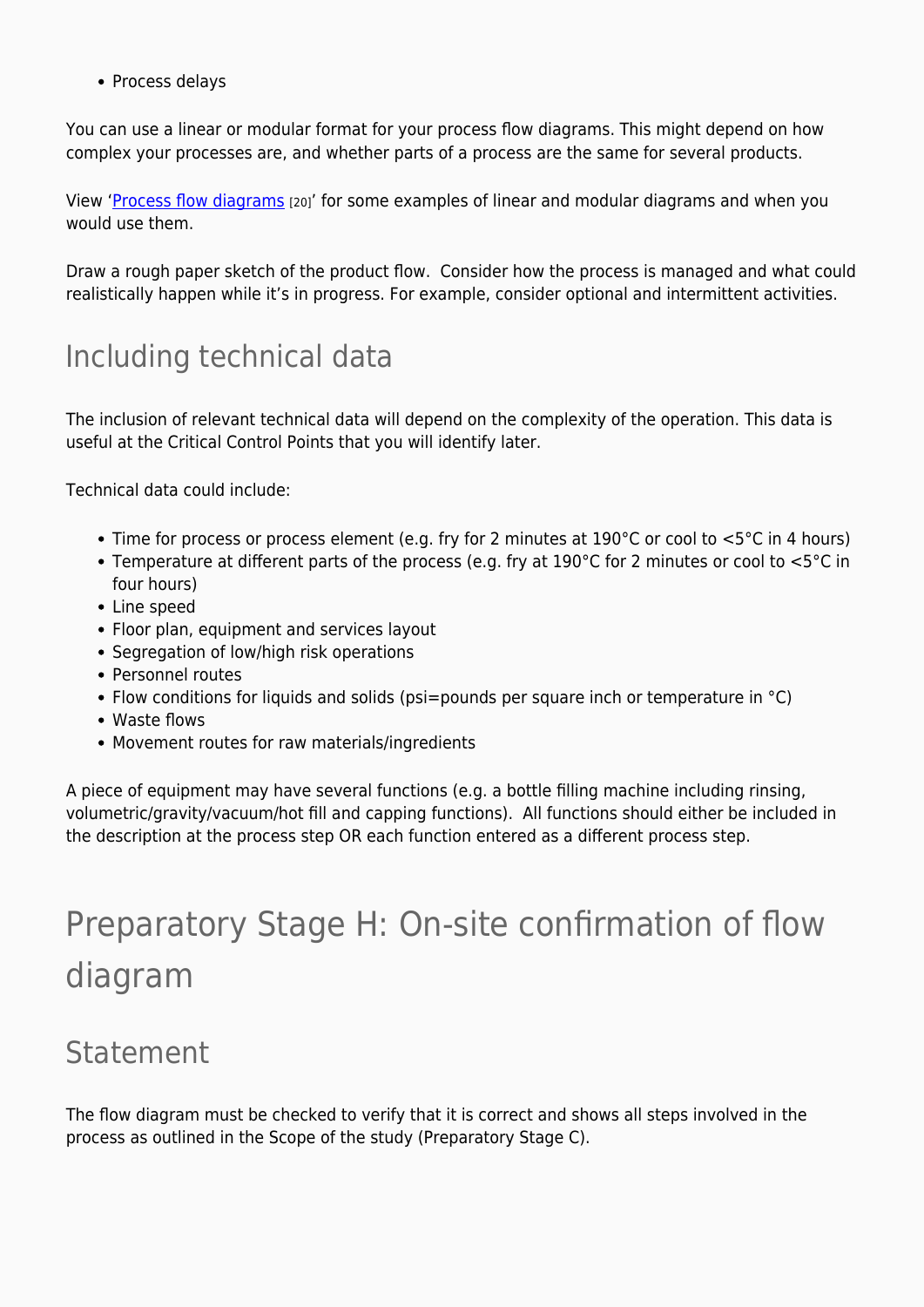• Process delays

You can use a linear or modular format for your process flow diagrams. This might depend on how complex your processes are, and whether parts of a process are the same for several products.

View '[Process flow diagrams](https://myhaccp.food.gov.uk/help/guidance/process-flow-diagrams) [20]' for some examples of linear and modular diagrams and when you would use them.

Draw a rough paper sketch of the product flow. Consider how the process is managed and what could realistically happen while it's in progress. For example, consider optional and intermittent activities.

### Including technical data

The inclusion of relevant technical data will depend on the complexity of the operation. This data is useful at the Critical Control Points that you will identify later.

Technical data could include:

- Time for process or process element (e.g. fry for 2 minutes at  $190^{\circ}$ C or cool to  $5^{\circ}$ C in 4 hours)
- Temperature at different parts of the process (e.g. fry at 190°C for 2 minutes or cool to <5°C in four hours)
- Line speed
- Floor plan, equipment and services layout
- Segregation of low/high risk operations
- Personnel routes
- Flow conditions for liquids and solids (psi=pounds per square inch or temperature in  $^{\circ}$ C)
- Waste flows
- Movement routes for raw materials/ingredients

A piece of equipment may have several functions (e.g. a bottle filling machine including rinsing, volumetric/gravity/vacuum/hot fill and capping functions). All functions should either be included in the description at the process step OR each function entered as a different process step.

## Preparatory Stage H: On-site confirmation of flow diagram

### Statement

The flow diagram must be checked to verify that it is correct and shows all steps involved in the process as outlined in the Scope of the study (Preparatory Stage C).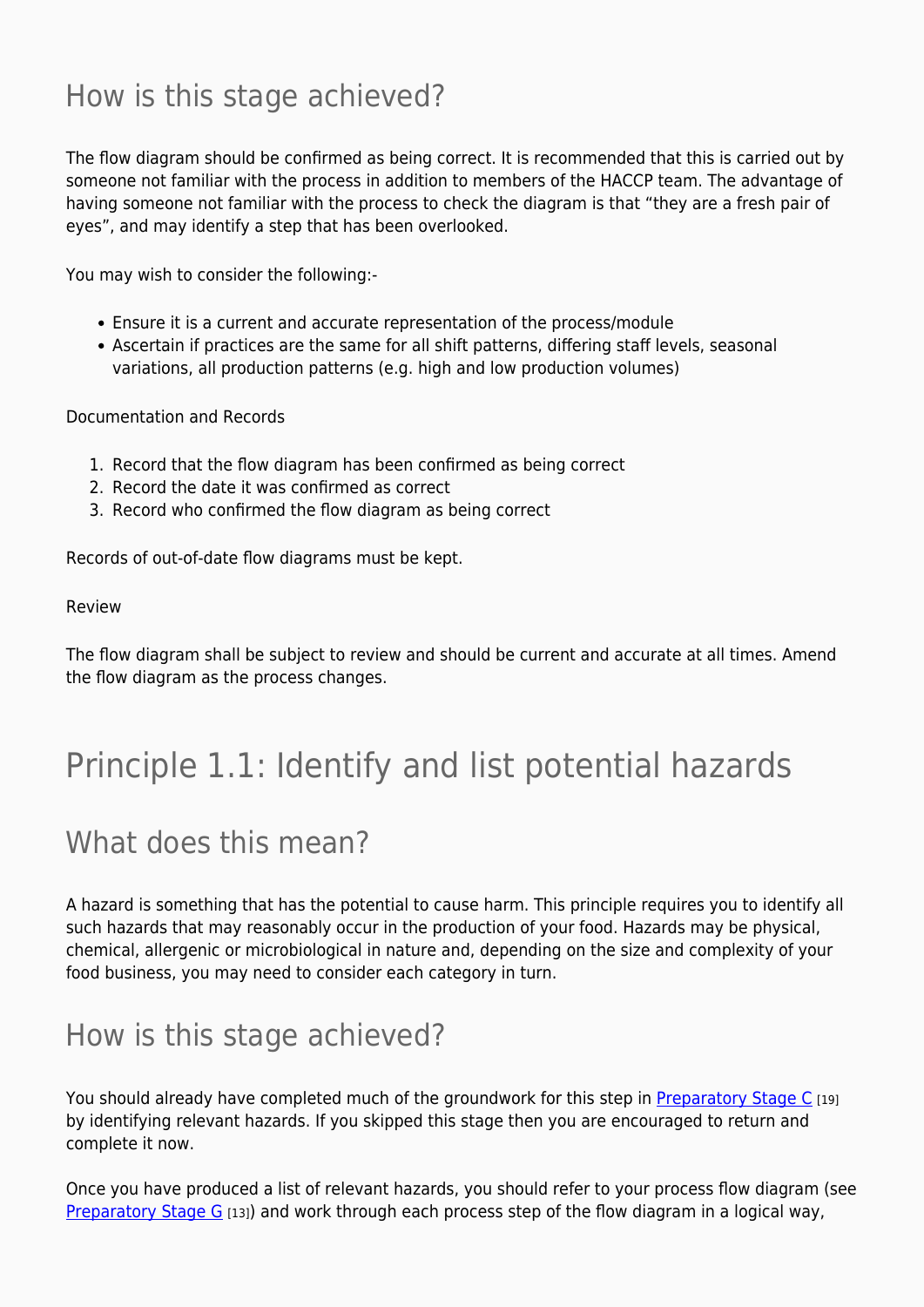### How is this stage achieved?

The flow diagram should be confirmed as being correct. It is recommended that this is carried out by someone not familiar with the process in addition to members of the HACCP team. The advantage of having someone not familiar with the process to check the diagram is that "they are a fresh pair of eyes", and may identify a step that has been overlooked.

You may wish to consider the following:-

- Ensure it is a current and accurate representation of the process/module
- Ascertain if practices are the same for all shift patterns, differing staff levels, seasonal variations, all production patterns (e.g. high and low production volumes)

Documentation and Records

- 1. Record that the flow diagram has been confirmed as being correct
- 2. Record the date it was confirmed as correct
- 3. Record who confirmed the flow diagram as being correct

Records of out-of-date flow diagrams must be kept.

#### Review

The flow diagram shall be subject to review and should be current and accurate at all times. Amend the flow diagram as the process changes.

## Principle 1.1: Identify and list potential hazards

### What does this mean?

A hazard is something that has the potential to cause harm. This principle requires you to identify all such hazards that may reasonably occur in the production of your food. Hazards may be physical, chemical, allergenic or microbiological in nature and, depending on the size and complexity of your food business, you may need to consider each category in turn.

### How is this stage achieved?

You should already have completed much of the groundwork for this step in [Preparatory Stage C](https://myhaccp.food.gov.uk/help/guidance/preparatory-stage-c-define-scope-study) [19] by identifying relevant hazards. If you skipped this stage then you are encouraged to return and complete it now.

Once you have produced a list of relevant hazards, you should refer to your process flow diagram (see Preparatory Stage  $G$  [13]) and work through each process step of the flow diagram in a logical way,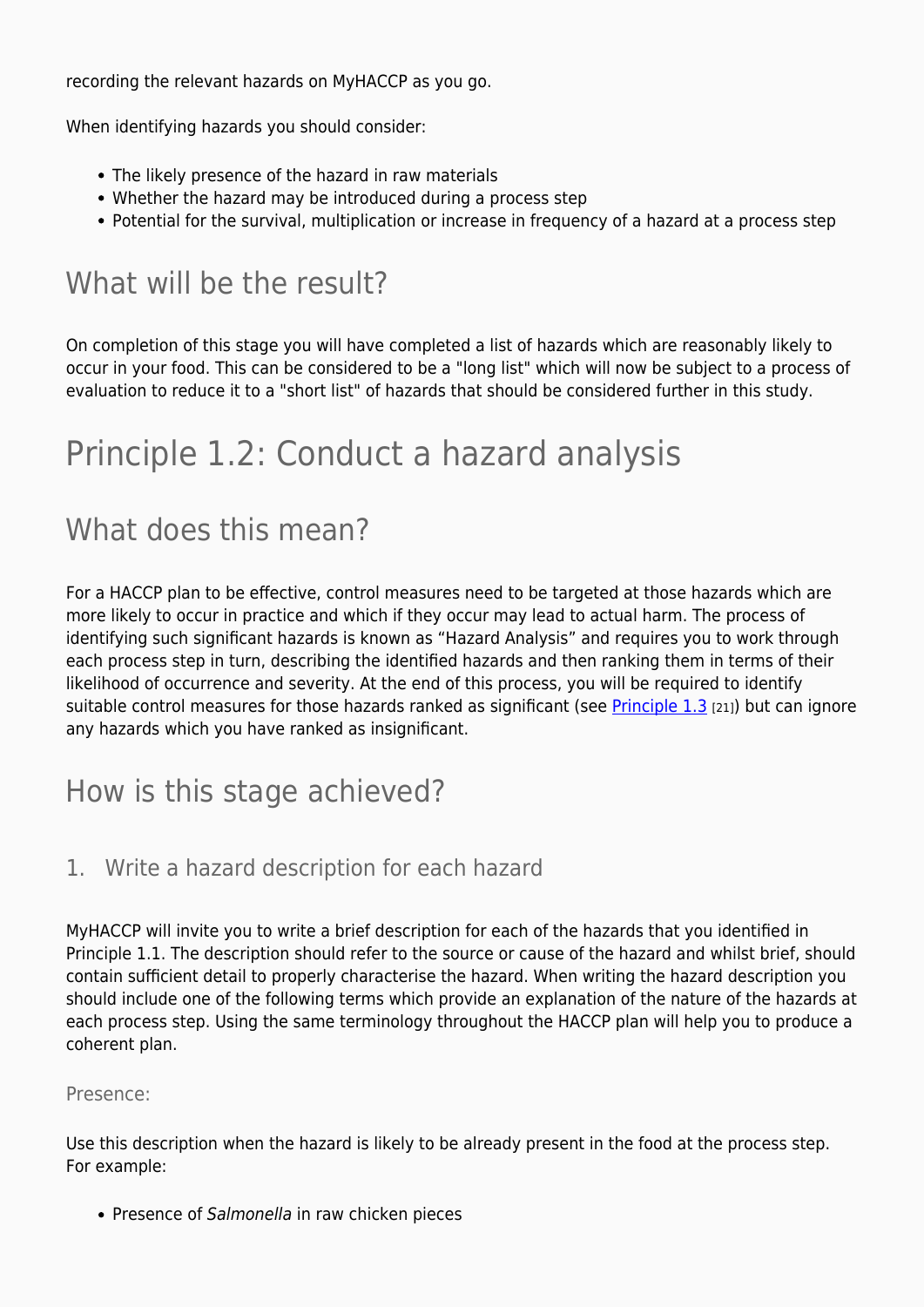recording the relevant hazards on MyHACCP as you go.

When identifying hazards you should consider:

- The likely presence of the hazard in raw materials
- Whether the hazard may be introduced during a process step
- Potential for the survival, multiplication or increase in frequency of a hazard at a process step

### What will be the result?

On completion of this stage you will have completed a list of hazards which are reasonably likely to occur in your food. This can be considered to be a "long list" which will now be subject to a process of evaluation to reduce it to a "short list" of hazards that should be considered further in this study.

## Principle 1.2: Conduct a hazard analysis

### What does this mean?

For a HACCP plan to be effective, control measures need to be targeted at those hazards which are more likely to occur in practice and which if they occur may lead to actual harm. The process of identifying such significant hazards is known as "Hazard Analysis" and requires you to work through each process step in turn, describing the identified hazards and then ranking them in terms of their likelihood of occurrence and severity. At the end of this process, you will be required to identify suitable control measures for those hazards ranked as significant (see [Principle 1.3](https://myhaccp.food.gov.uk/help/guidance/principle-13-specify-control-measures-each-hazard)  $_{[21]}$ ) but can ignore any hazards which you have ranked as insignificant.

### How is this stage achieved?

#### 1. Write a hazard description for each hazard

MyHACCP will invite you to write a brief description for each of the hazards that you identified in Principle 1.1. The description should refer to the source or cause of the hazard and whilst brief, should contain sufficient detail to properly characterise the hazard. When writing the hazard description you should include one of the following terms which provide an explanation of the nature of the hazards at each process step. Using the same terminology throughout the HACCP plan will help you to produce a coherent plan.

#### Presence:

Use this description when the hazard is likely to be already present in the food at the process step. For example:

• Presence of Salmonella in raw chicken pieces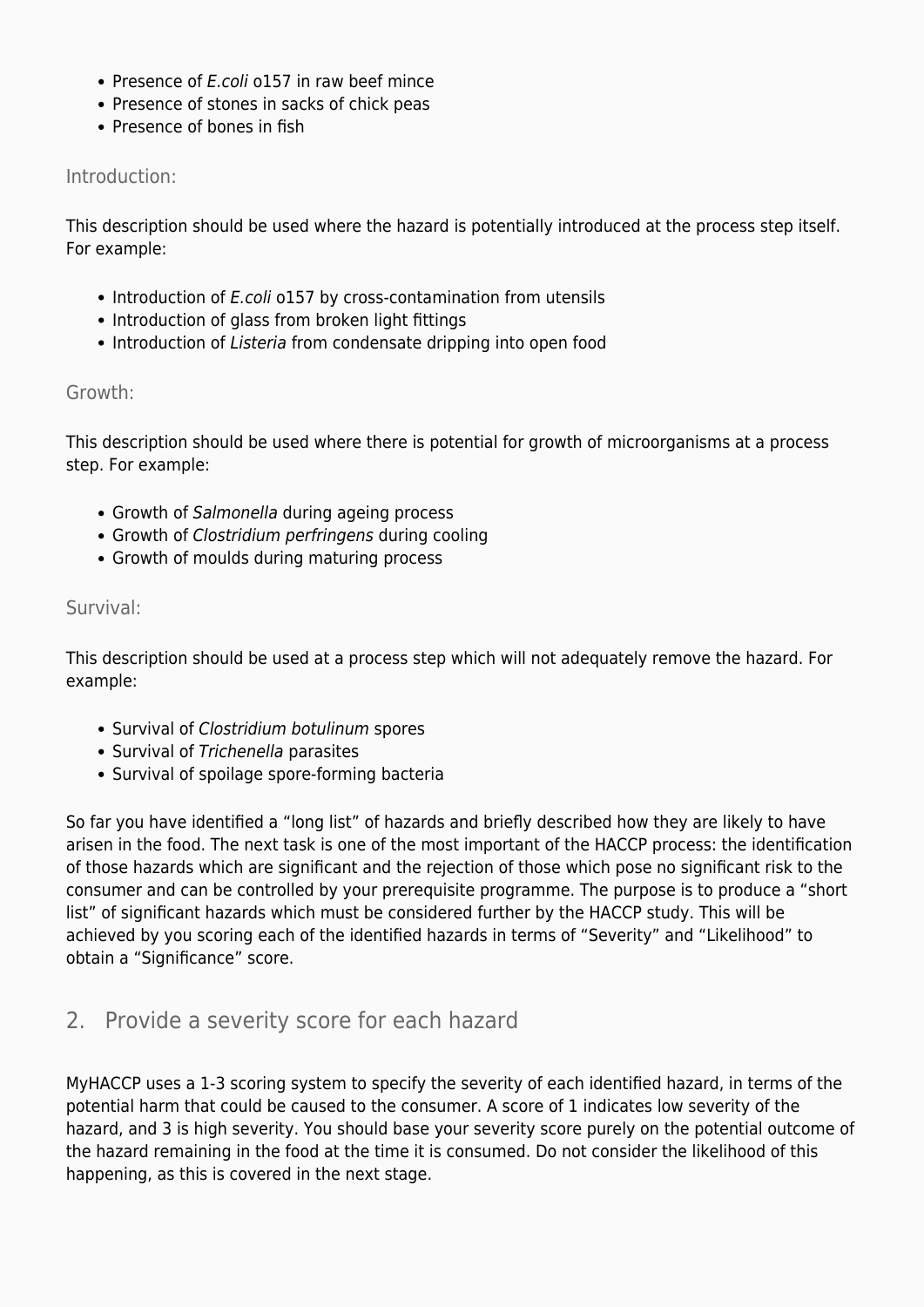- Presence of E.coli o157 in raw beef mince
- Presence of stones in sacks of chick peas
- Presence of bones in fish

#### Introduction:

This description should be used where the hazard is potentially introduced at the process step itself. For example:

- Introduction of *E.coli* o157 by cross-contamination from utensils
- Introduction of glass from broken light fittings
- Introduction of Listeria from condensate dripping into open food

#### Growth:

This description should be used where there is potential for growth of microorganisms at a process step. For example:

- Growth of Salmonella during ageing process
- Growth of Clostridium perfringens during cooling
- Growth of moulds during maturing process

#### Survival:

This description should be used at a process step which will not adequately remove the hazard. For example:

- Survival of Clostridium botulinum spores
- Survival of Trichenella parasites
- Survival of spoilage spore-forming bacteria

So far you have identified a "long list" of hazards and briefly described how they are likely to have arisen in the food. The next task is one of the most important of the HACCP process: the identification of those hazards which are significant and the rejection of those which pose no significant risk to the consumer and can be controlled by your prerequisite programme. The purpose is to produce a "short list" of significant hazards which must be considered further by the HACCP study. This will be achieved by you scoring each of the identified hazards in terms of "Severity" and "Likelihood" to obtain a "Significance" score.

#### 2. Provide a severity score for each hazard

MyHACCP uses a 1-3 scoring system to specify the severity of each identified hazard, in terms of the potential harm that could be caused to the consumer. A score of 1 indicates low severity of the hazard, and 3 is high severity. You should base your severity score purely on the potential outcome of the hazard remaining in the food at the time it is consumed. Do not consider the likelihood of this happening, as this is covered in the next stage.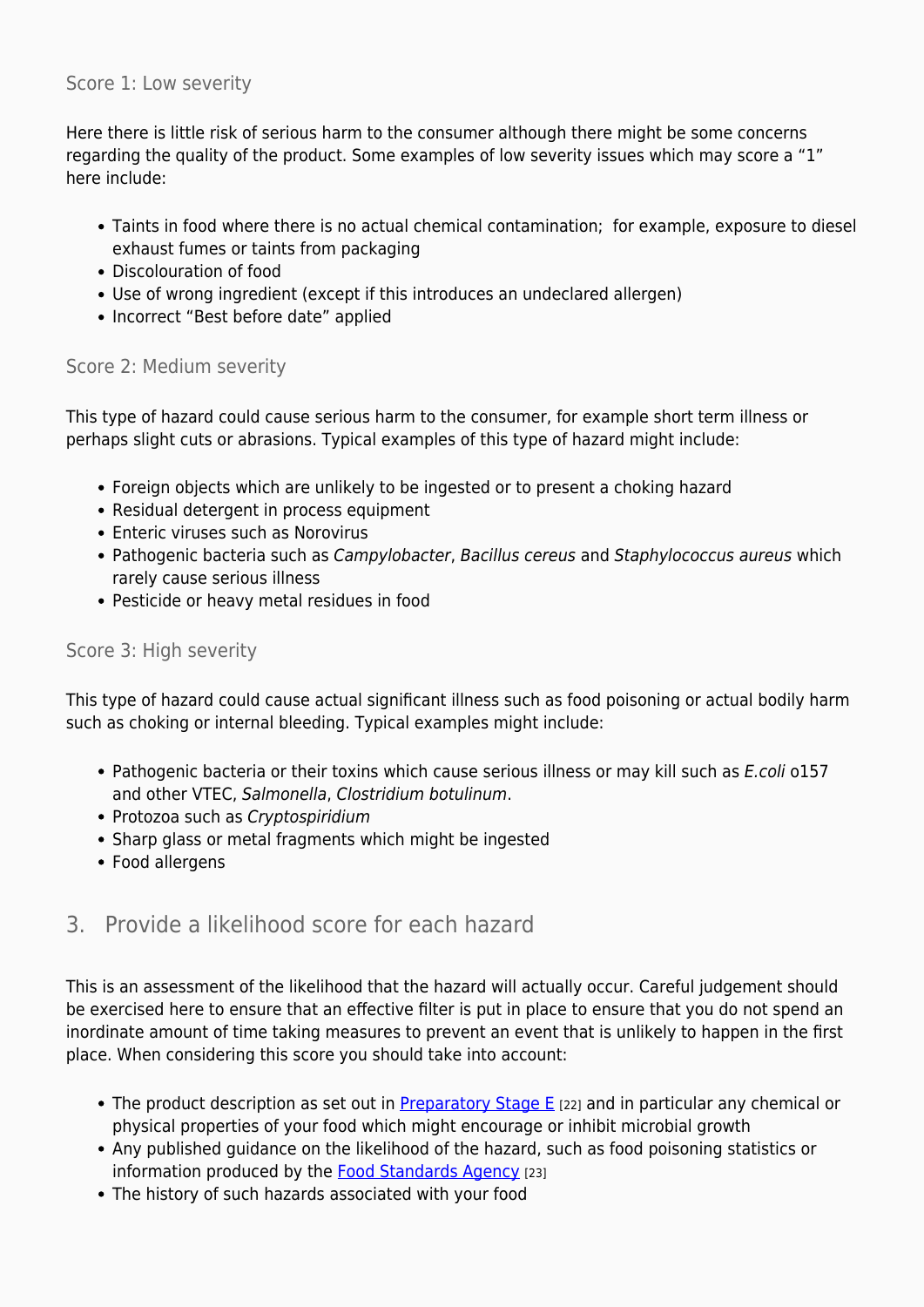#### Score 1: Low severity

Here there is little risk of serious harm to the consumer although there might be some concerns regarding the quality of the product. Some examples of low severity issues which may score a "1" here include:

- Taints in food where there is no actual chemical contamination; for example, exposure to diesel exhaust fumes or taints from packaging
- Discolouration of food
- Use of wrong ingredient (except if this introduces an undeclared allergen)
- Incorrect "Best before date" applied

#### Score 2: Medium severity

This type of hazard could cause serious harm to the consumer, for example short term illness or perhaps slight cuts or abrasions. Typical examples of this type of hazard might include:

- Foreign objects which are unlikely to be ingested or to present a choking hazard
- Residual detergent in process equipment
- Enteric viruses such as Norovirus
- Pathogenic bacteria such as Campylobacter, Bacillus cereus and Staphylococcus aureus which rarely cause serious illness
- Pesticide or heavy metal residues in food

#### Score 3: High severity

This type of hazard could cause actual significant illness such as food poisoning or actual bodily harm such as choking or internal bleeding. Typical examples might include:

- Pathogenic bacteria or their toxins which cause serious illness or may kill such as E.coli o157 and other VTEC, Salmonella, Clostridium botulinum.
- Protozoa such as Cryptospiridium
- Sharp glass or metal fragments which might be ingested
- Food allergens

#### 3. Provide a likelihood score for each hazard

This is an assessment of the likelihood that the hazard will actually occur. Careful judgement should be exercised here to ensure that an effective filter is put in place to ensure that you do not spend an inordinate amount of time taking measures to prevent an event that is unlikely to happen in the first place. When considering this score you should take into account:

- The product description as set out in **[Preparatory Stage E](https://myhaccp.food.gov.uk/help/guidance/preparatory-stage-e-describe-product)** [22] and in particular any chemical or physical properties of your food which might encourage or inhibit microbial growth
- Any published guidance on the likelihood of the hazard, such as food poisoning statistics or information produced by the [Food Standards Agency](http://www.food.gov.uk/) [23]
- The history of such hazards associated with your food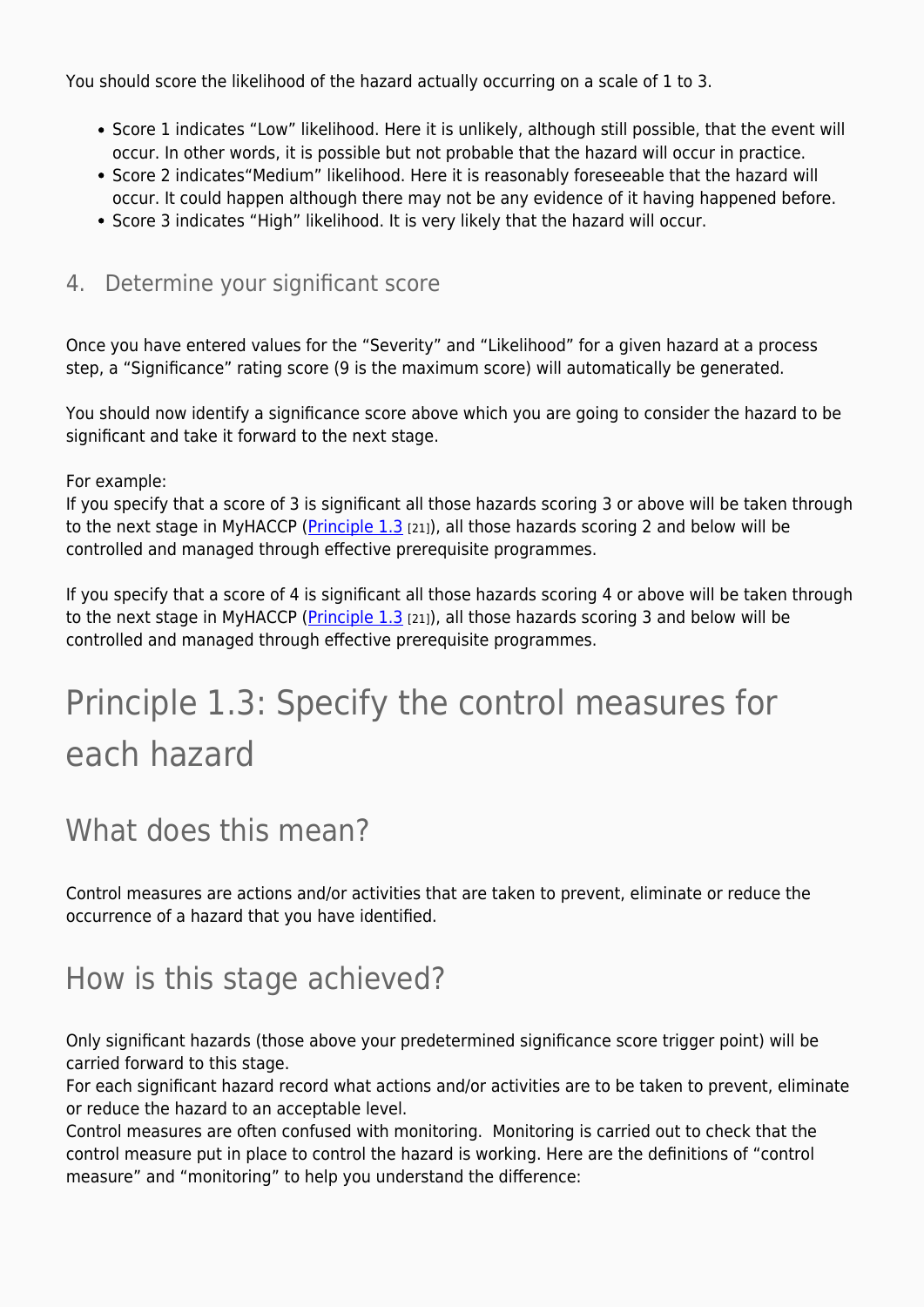You should score the likelihood of the hazard actually occurring on a scale of 1 to 3.

- Score 1 indicates "Low" likelihood. Here it is unlikely, although still possible, that the event will occur. In other words, it is possible but not probable that the hazard will occur in practice.
- Score 2 indicates"Medium" likelihood. Here it is reasonably foreseeable that the hazard will occur. It could happen although there may not be any evidence of it having happened before.
- Score 3 indicates "High" likelihood. It is very likely that the hazard will occur.

#### 4. Determine your significant score

Once you have entered values for the "Severity" and "Likelihood" for a given hazard at a process step, a "Significance" rating score (9 is the maximum score) will automatically be generated.

You should now identify a significance score above which you are going to consider the hazard to be significant and take it forward to the next stage.

For example:

If you specify that a score of 3 is significant all those hazards scoring 3 or above will be taken through to the next stage in MyHACCP (Principle  $1.3$  [21]), all those hazards scoring 2 and below will be controlled and managed through effective prerequisite programmes.

If you specify that a score of 4 is significant all those hazards scoring 4 or above will be taken through to the next stage in MyHACCP (*Principle 1.3* [21]), all those hazards scoring 3 and below will be controlled and managed through effective prerequisite programmes.

## Principle 1.3: Specify the control measures for each hazard

### What does this mean?

Control measures are actions and/or activities that are taken to prevent, eliminate or reduce the occurrence of a hazard that you have identified.

### How is this stage achieved?

Only significant hazards (those above your predetermined significance score trigger point) will be carried forward to this stage.

For each significant hazard record what actions and/or activities are to be taken to prevent, eliminate or reduce the hazard to an acceptable level.

Control measures are often confused with monitoring. Monitoring is carried out to check that the control measure put in place to control the hazard is working. Here are the definitions of "control measure" and "monitoring" to help you understand the difference: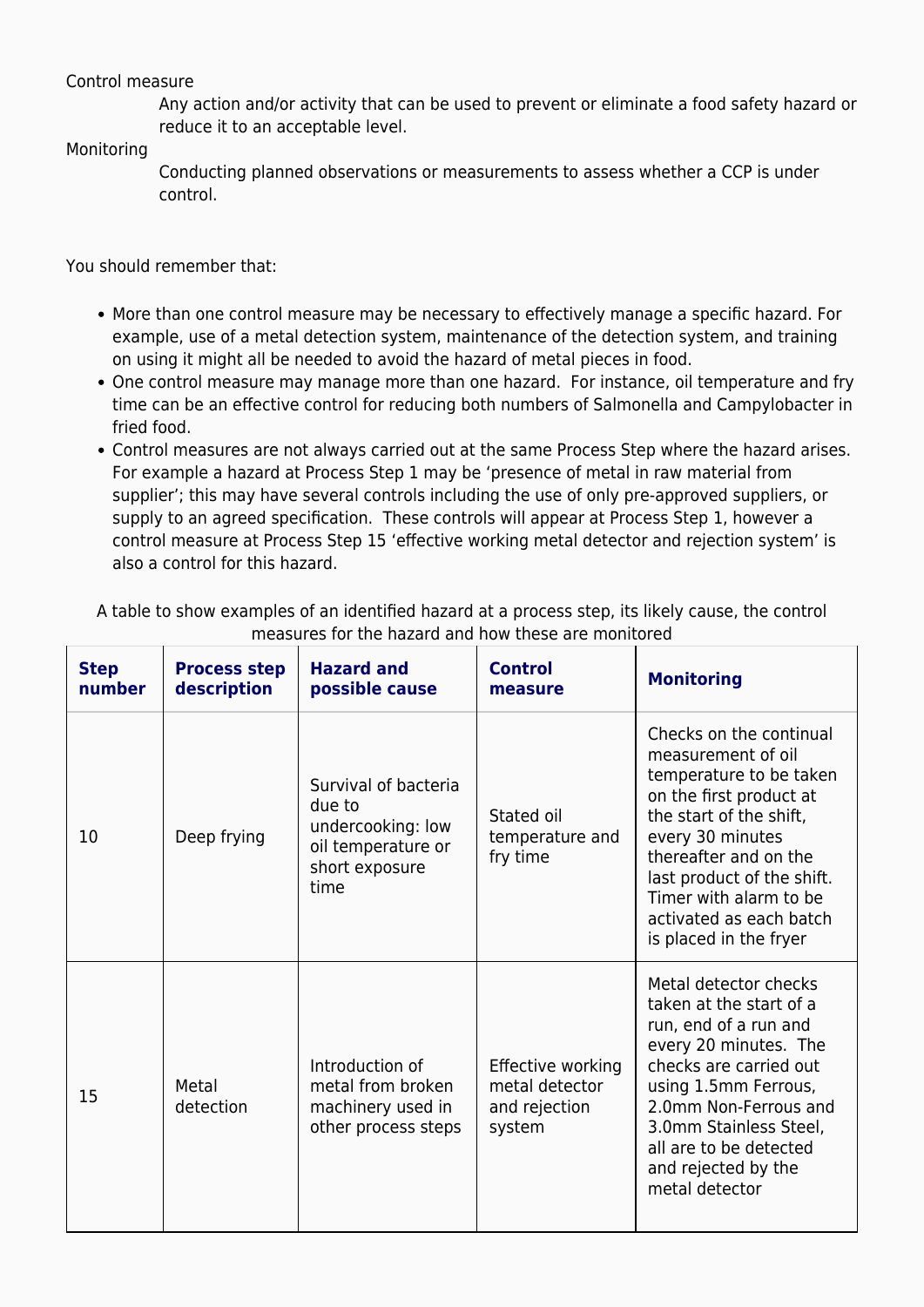#### Control measure

Any action and/or activity that can be used to prevent or eliminate a food safety hazard or reduce it to an acceptable level.

#### Monitoring

Conducting planned observations or measurements to assess whether a CCP is under control.

You should remember that:

- More than one control measure may be necessary to effectively manage a specific hazard. For example, use of a metal detection system, maintenance of the detection system, and training on using it might all be needed to avoid the hazard of metal pieces in food.
- One control measure may manage more than one hazard. For instance, oil temperature and fry time can be an effective control for reducing both numbers of Salmonella and Campylobacter in fried food.
- Control measures are not always carried out at the same Process Step where the hazard arises. For example a hazard at Process Step 1 may be 'presence of metal in raw material from supplier'; this may have several controls including the use of only pre-approved suppliers, or supply to an agreed specification. These controls will appear at Process Step 1, however a control measure at Process Step 15 'effective working metal detector and rejection system' is also a control for this hazard.

| <b>Step</b><br>number | <b>Process step</b><br>description | <b>Hazard and</b><br>possible cause                                                                 | <b>Control</b><br>measure                                      | <b>Monitoring</b>                                                                                                                                                                                                                                                                        |
|-----------------------|------------------------------------|-----------------------------------------------------------------------------------------------------|----------------------------------------------------------------|------------------------------------------------------------------------------------------------------------------------------------------------------------------------------------------------------------------------------------------------------------------------------------------|
| 10                    | Deep frying                        | Survival of bacteria<br>due to<br>undercooking: low<br>oil temperature or<br>short exposure<br>time | Stated oil<br>temperature and<br>fry time                      | Checks on the continual<br>measurement of oil<br>temperature to be taken<br>on the first product at<br>the start of the shift,<br>every 30 minutes<br>thereafter and on the<br>last product of the shift.<br>Timer with alarm to be<br>activated as each batch<br>is placed in the fryer |
| 15                    | Metal<br>detection                 | Introduction of<br>metal from broken<br>machinery used in<br>other process steps                    | Effective working<br>metal detector<br>and rejection<br>system | Metal detector checks<br>taken at the start of a<br>run, end of a run and<br>every 20 minutes. The<br>checks are carried out<br>using 1.5mm Ferrous,<br>2.0mm Non-Ferrous and<br>3.0mm Stainless Steel,<br>all are to be detected<br>and rejected by the<br>metal detector               |

A table to show examples of an identified hazard at a process step, its likely cause, the control measures for the hazard and how these are monitored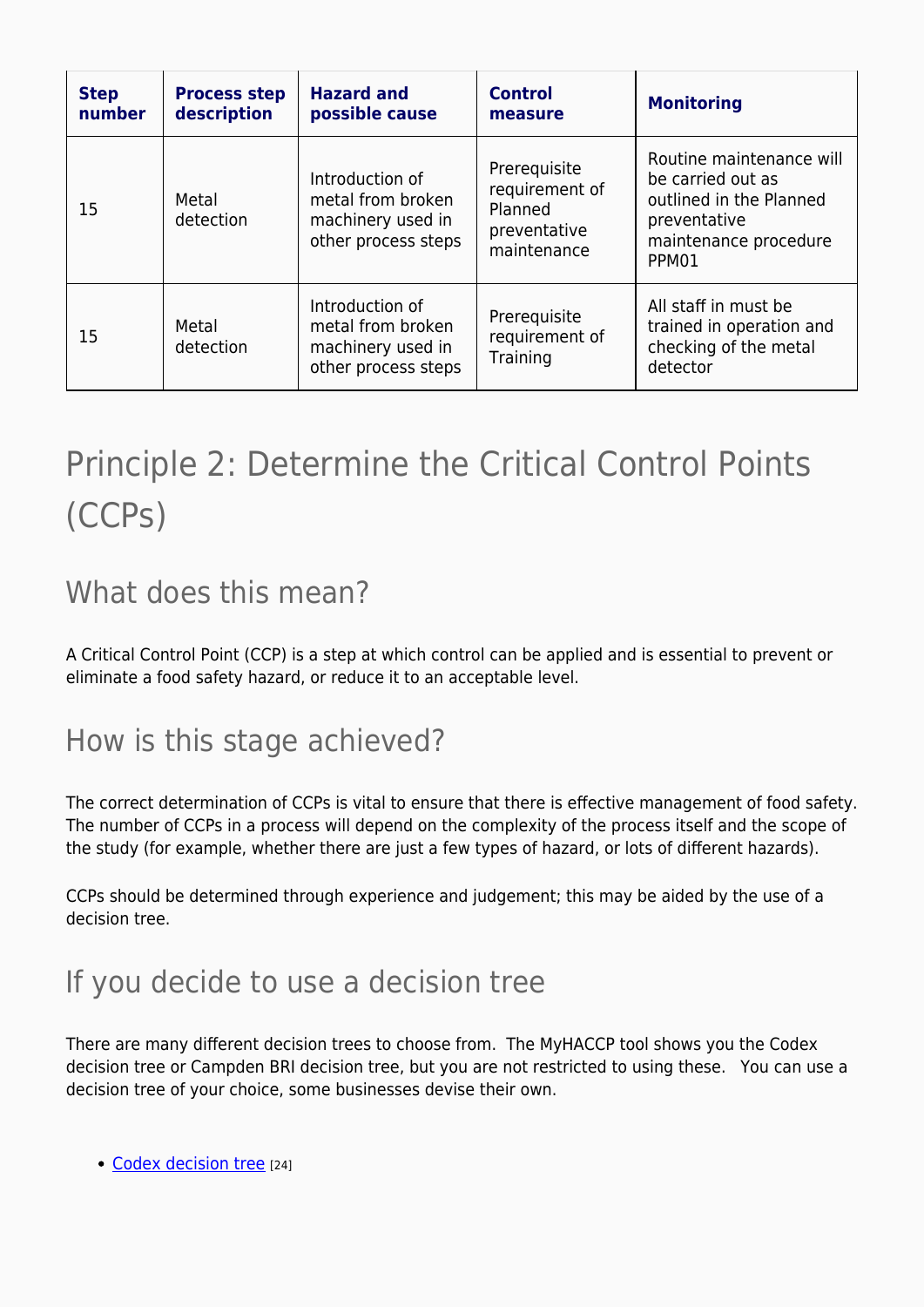| <b>Step</b><br>number | <b>Process step</b><br>description | <b>Hazard and</b><br>possible cause                                              | <b>Control</b><br>measure                                                | <b>Monitoring</b>                                                                                                          |
|-----------------------|------------------------------------|----------------------------------------------------------------------------------|--------------------------------------------------------------------------|----------------------------------------------------------------------------------------------------------------------------|
| 15                    | Metal<br>detection                 | Introduction of<br>metal from broken<br>machinery used in<br>other process steps | Prerequisite<br>requirement of<br>Planned<br>preventative<br>maintenance | Routine maintenance will<br>be carried out as<br>outlined in the Planned<br>preventative<br>maintenance procedure<br>PPM01 |
| 15                    | Metal<br>detection                 | Introduction of<br>metal from broken<br>machinery used in<br>other process steps | Prerequisite<br>requirement of<br>Training                               | All staff in must be<br>trained in operation and<br>checking of the metal<br>detector                                      |

## Principle 2: Determine the Critical Control Points (CCPs)

### What does this mean?

A Critical Control Point (CCP) is a step at which control can be applied and is essential to prevent or eliminate a food safety hazard, or reduce it to an acceptable level.

### How is this stage achieved?

The correct determination of CCPs is vital to ensure that there is effective management of food safety. The number of CCPs in a process will depend on the complexity of the process itself and the scope of the study (for example, whether there are just a few types of hazard, or lots of different hazards).

CCPs should be determined through experience and judgement; this may be aided by the use of a decision tree.

## If you decide to use a decision tree

There are many different decision trees to choose from. The MyHACCP tool shows you the Codex decision tree or Campden BRI decision tree, but you are not restricted to using these. You can use a decision tree of your choice, some businesses devise their own.

• [Codex decision tree](https://myhaccp.food.gov.uk/sites/default/files/resources/codex_decision_tree_0.pdf) [24]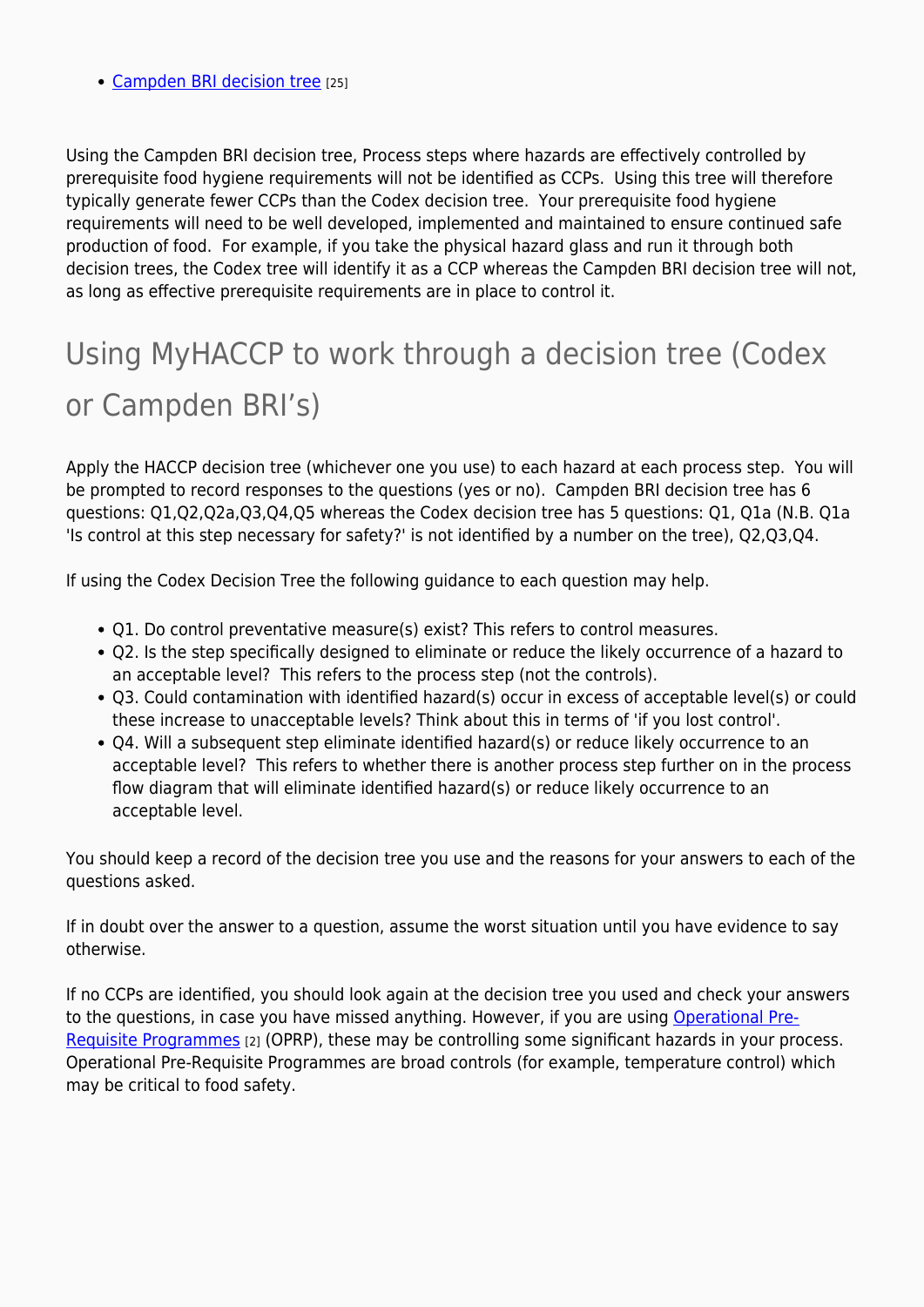• [Campden BRI decision tree](https://myhaccp.food.gov.uk/sites/default/files/resources/campdenbri_guidline42page41.pdf) [25]

Using the Campden BRI decision tree, Process steps where hazards are effectively controlled by prerequisite food hygiene requirements will not be identified as CCPs. Using this tree will therefore typically generate fewer CCPs than the Codex decision tree. Your prerequisite food hygiene requirements will need to be well developed, implemented and maintained to ensure continued safe production of food. For example, if you take the physical hazard glass and run it through both decision trees, the Codex tree will identify it as a CCP whereas the Campden BRI decision tree will not, as long as effective prerequisite requirements are in place to control it.

## Using MyHACCP to work through a decision tree (Codex or Campden BRI's)

Apply the HACCP decision tree (whichever one you use) to each hazard at each process step. You will be prompted to record responses to the questions (yes or no). Campden BRI decision tree has 6 questions: Q1,Q2,Q2a,Q3,Q4,Q5 whereas the Codex decision tree has 5 questions: Q1, Q1a (N.B. Q1a 'Is control at this step necessary for safety?' is not identified by a number on the tree), Q2,Q3,Q4.

If using the Codex Decision Tree the following guidance to each question may help.

- Q1. Do control preventative measure(s) exist? This refers to control measures.
- Q2. Is the step specifically designed to eliminate or reduce the likely occurrence of a hazard to an acceptable level? This refers to the process step (not the controls).
- Q3. Could contamination with identified hazard(s) occur in excess of acceptable level(s) or could these increase to unacceptable levels? Think about this in terms of 'if you lost control'.
- Q4. Will a subsequent step eliminate identified hazard(s) or reduce likely occurrence to an acceptable level? This refers to whether there is another process step further on in the process flow diagram that will eliminate identified hazard(s) or reduce likely occurrence to an acceptable level.

You should keep a record of the decision tree you use and the reasons for your answers to each of the questions asked.

If in doubt over the answer to a question, assume the worst situation until you have evidence to say otherwise.

If no CCPs are identified, you should look again at the decision tree you used and check your answers to the questions, in case you have missed anything. However, if you are using [Operational Pre-](https://myhaccp.food.gov.uk/help/guidance/operational-prerequisite-programmes-oprps)[Requisite Programmes](https://myhaccp.food.gov.uk/help/guidance/operational-prerequisite-programmes-oprps) [2] (OPRP), these may be controlling some significant hazards in your process. Operational Pre-Requisite Programmes are broad controls (for example, temperature control) which may be critical to food safety.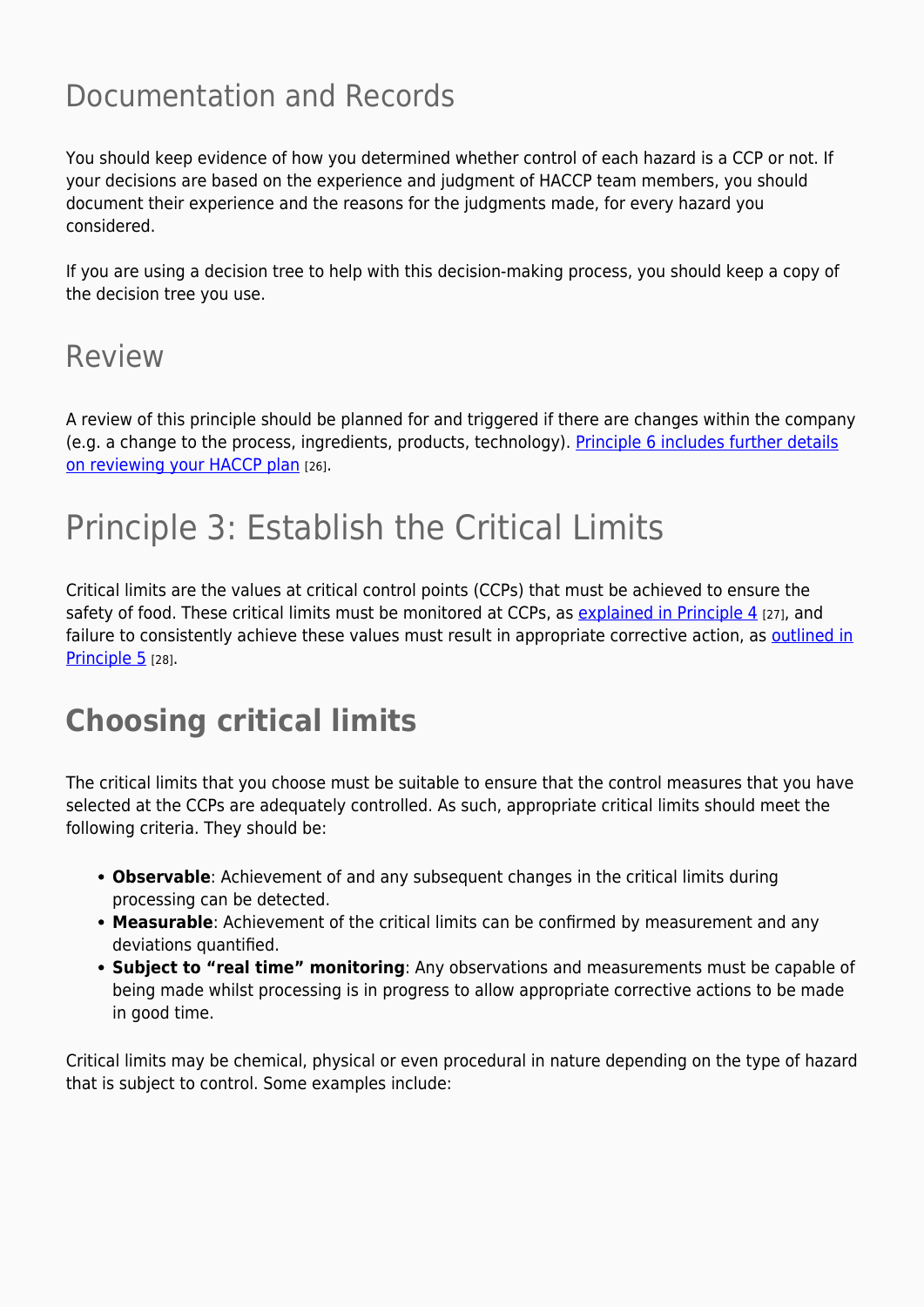### Documentation and Records

You should keep evidence of how you determined whether control of each hazard is a CCP or not. If your decisions are based on the experience and judgment of HACCP team members, you should document their experience and the reasons for the judgments made, for every hazard you considered.

If you are using a decision tree to help with this decision-making process, you should keep a copy of the decision tree you use.

### Review

A review of this principle should be planned for and triggered if there are changes within the company (e.g. a change to the process, ingredients, products, technology). [Principle 6 includes further details](https://myhaccp.food.gov.uk/help/guidance/principle-6-verification) [on reviewing your HACCP plan](https://myhaccp.food.gov.uk/help/guidance/principle-6-verification) [26].

## Principle 3: Establish the Critical Limits

Critical limits are the values at critical control points (CCPs) that must be achieved to ensure the safety of food. These critical limits must be monitored at CCPs, as [explained in Principle 4](https://myhaccp.food.gov.uk/cymorth/canllawiau/egwyddor-4-llunio-system-fonitro) [27], and failure to consistently achieve these values must result in appropriate corrective action, as [outlined in](https://myhaccp.food.gov.uk/cymorth/canllawiau/egwyddor-5-llunio-cynllun-camau-unioni) [Principle 5](https://myhaccp.food.gov.uk/cymorth/canllawiau/egwyddor-5-llunio-cynllun-camau-unioni) [28].

### **Choosing critical limits**

The critical limits that you choose must be suitable to ensure that the control measures that you have selected at the CCPs are adequately controlled. As such, appropriate critical limits should meet the following criteria. They should be:

- **Observable**: Achievement of and any subsequent changes in the critical limits during processing can be detected.
- **Measurable**: Achievement of the critical limits can be confirmed by measurement and any deviations quantified.
- **Subject to "real time" monitoring**: Any observations and measurements must be capable of being made whilst processing is in progress to allow appropriate corrective actions to be made in good time.

Critical limits may be chemical, physical or even procedural in nature depending on the type of hazard that is subject to control. Some examples include: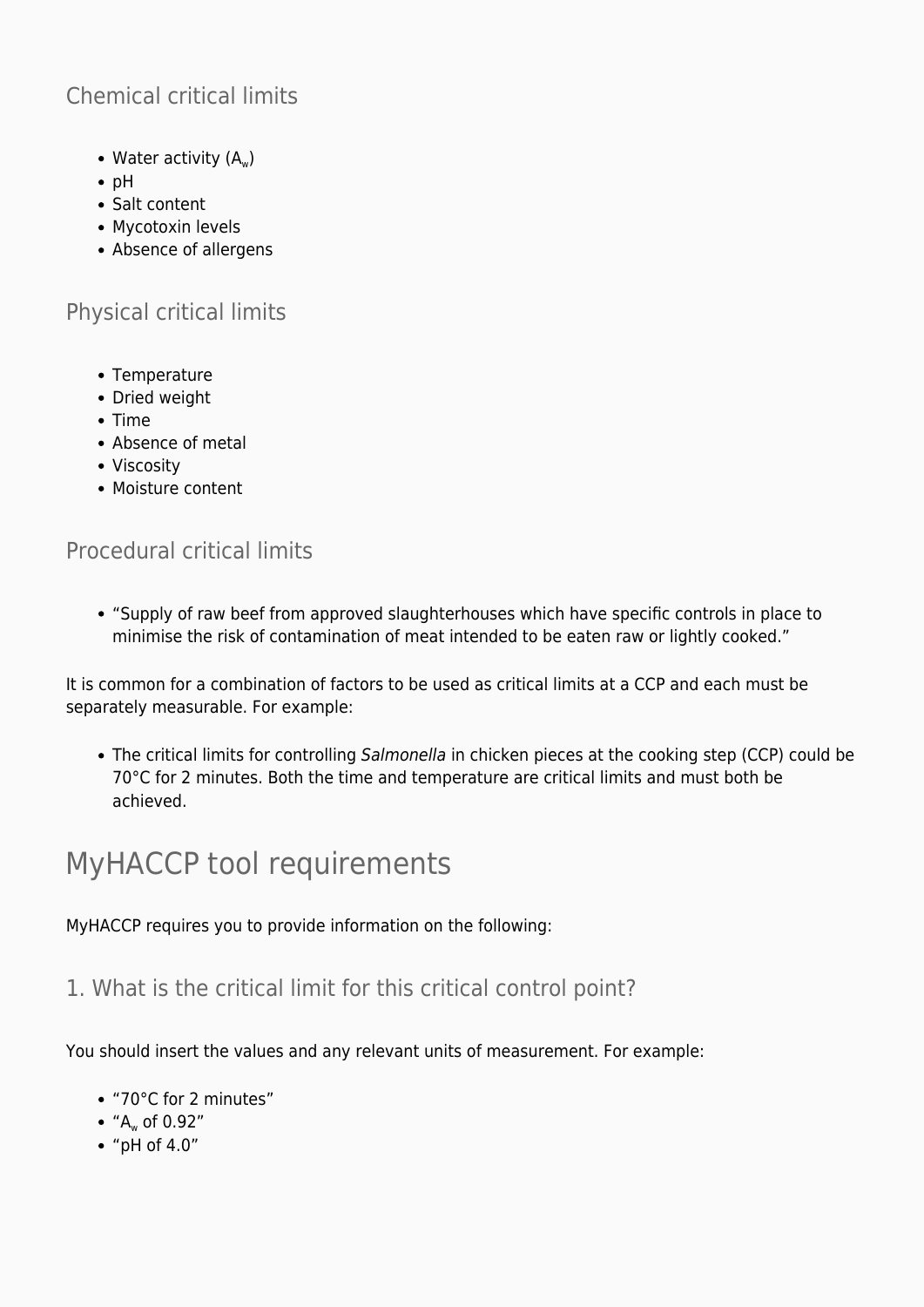### Chemical critical limits

- Water activity  $(A_w)$
- $\bullet$  pH
- Salt content
- Mycotoxin levels
- Absence of allergens

#### Physical critical limits

- Temperature
- Dried weight
- $\bullet$  Time
- Absence of metal
- Viscosity
- Moisture content

#### Procedural critical limits

"Supply of raw beef from approved slaughterhouses which have specific controls in place to minimise the risk of contamination of meat intended to be eaten raw or lightly cooked."

It is common for a combination of factors to be used as critical limits at a CCP and each must be separately measurable. For example:

The critical limits for controlling Salmonella in chicken pieces at the cooking step (CCP) could be 70°C for 2 minutes. Both the time and temperature are critical limits and must both be achieved.

### MyHACCP tool requirements

MyHACCP requires you to provide information on the following:

1. What is the critical limit for this critical control point?

You should insert the values and any relevant units of measurement. For example:

- "70°C for 2 minutes"
- $A_{w}$  of 0.92"
- "pH of 4.0"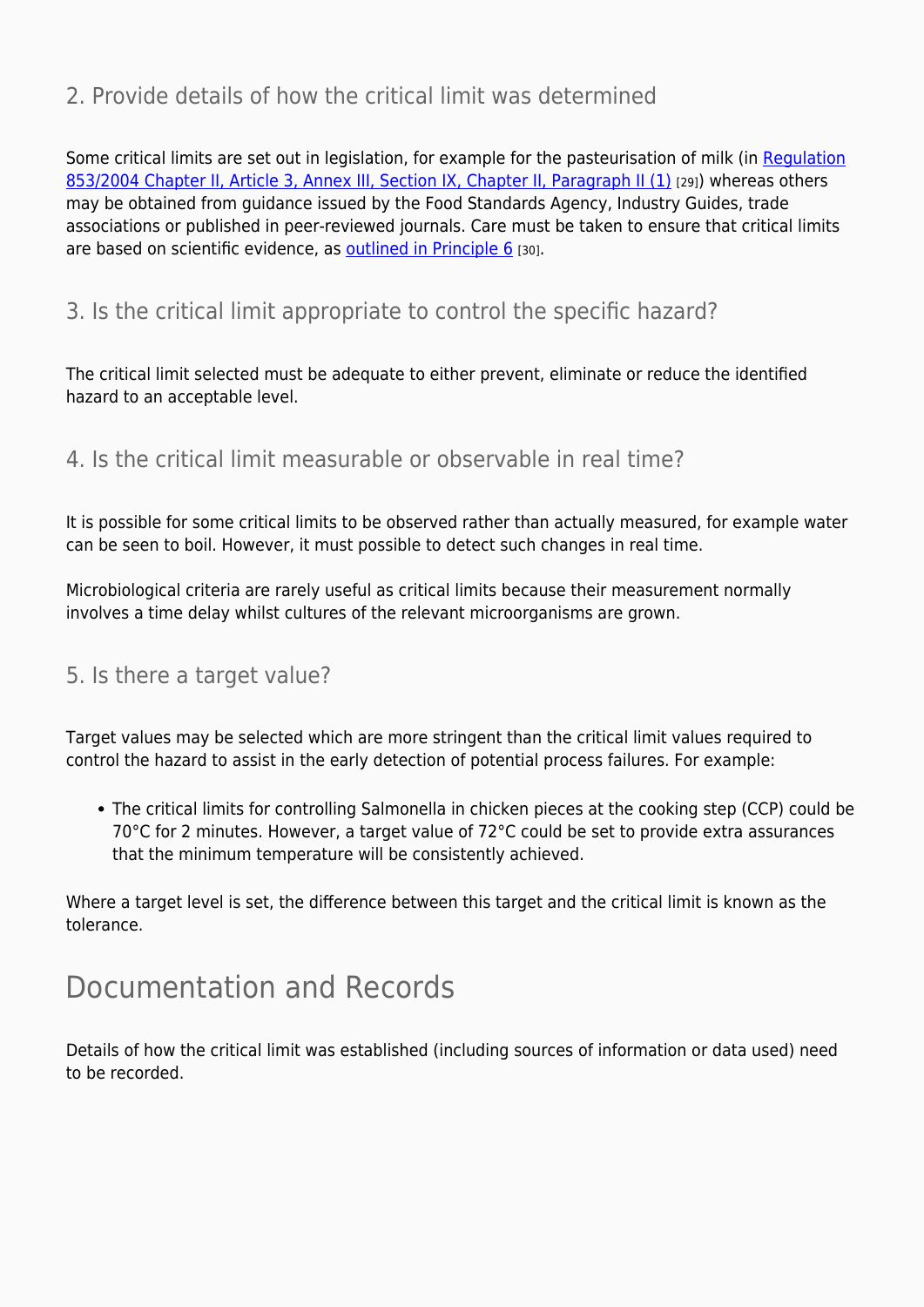#### 2. Provide details of how the critical limit was determined

Some critical limits are set out in legislation, for example for the pasteurisation of milk (in [Regulation](https://eur-lex.europa.eu/LexUriServ/LexUriServ.do?uri=OJ:L:2004:139:0055:0205:en:PDF) [853/2004 Chapter II, Article 3, Annex III, Section IX, Chapter II, Paragraph II \(1\)](https://eur-lex.europa.eu/LexUriServ/LexUriServ.do?uri=OJ:L:2004:139:0055:0205:en:PDF) [29]) whereas others may be obtained from guidance issued by the Food Standards Agency, Industry Guides, trade associations or published in peer-reviewed journals. Care must be taken to ensure that critical limits are based on scientific evidence, as [outlined in Principle 6](https://myhaccp.food.gov.uk/cymorth/canllawiau/egwyddor-6-gwirio) [30].

#### 3. Is the critical limit appropriate to control the specific hazard?

The critical limit selected must be adequate to either prevent, eliminate or reduce the identified hazard to an acceptable level.

#### 4. Is the critical limit measurable or observable in real time?

It is possible for some critical limits to be observed rather than actually measured, for example water can be seen to boil. However, it must possible to detect such changes in real time.

Microbiological criteria are rarely useful as critical limits because their measurement normally involves a time delay whilst cultures of the relevant microorganisms are grown.

#### 5. Is there a target value?

Target values may be selected which are more stringent than the critical limit values required to control the hazard to assist in the early detection of potential process failures. For example:

The critical limits for controlling Salmonella in chicken pieces at the cooking step (CCP) could be 70°C for 2 minutes. However, a target value of 72°C could be set to provide extra assurances that the minimum temperature will be consistently achieved.

Where a target level is set, the difference between this target and the critical limit is known as the tolerance.

### Documentation and Records

Details of how the critical limit was established (including sources of information or data used) need to be recorded.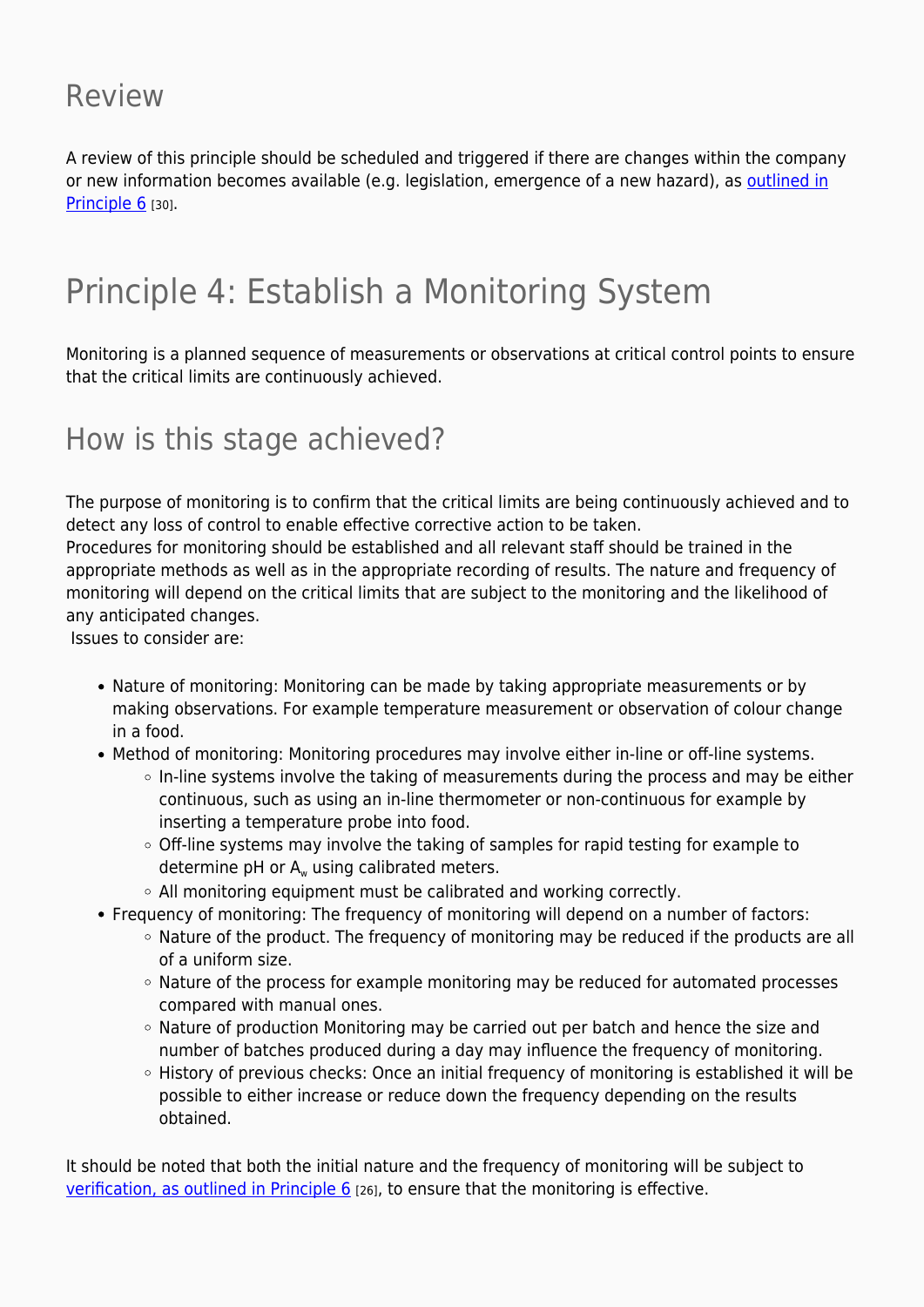### Review

A review of this principle should be scheduled and triggered if there are changes within the company or new information becomes available (e.g. legislation, emergence of a new hazard), as [outlined in](https://myhaccp.food.gov.uk/cymorth/canllawiau/egwyddor-6-gwirio) [Principle 6](https://myhaccp.food.gov.uk/cymorth/canllawiau/egwyddor-6-gwirio) [30].

## Principle 4: Establish a Monitoring System

Monitoring is a planned sequence of measurements or observations at critical control points to ensure that the critical limits are continuously achieved.

### How is this stage achieved?

The purpose of monitoring is to confirm that the critical limits are being continuously achieved and to detect any loss of control to enable effective corrective action to be taken.

Procedures for monitoring should be established and all relevant staff should be trained in the appropriate methods as well as in the appropriate recording of results. The nature and frequency of monitoring will depend on the critical limits that are subject to the monitoring and the likelihood of any anticipated changes.

Issues to consider are:

- Nature of monitoring: Monitoring can be made by taking appropriate measurements or by making observations. For example temperature measurement or observation of colour change in a food.
- Method of monitoring: Monitoring procedures may involve either in-line or off-line systems.
	- $\circ$  In-line systems involve the taking of measurements during the process and may be either continuous, such as using an in-line thermometer or non-continuous for example by inserting a temperature probe into food.
	- Off-line systems may involve the taking of samples for rapid testing for example to determine pH or  $A_w$  using calibrated meters.
	- $\circ$  All monitoring equipment must be calibrated and working correctly.
- Frequency of monitoring: The frequency of monitoring will depend on a number of factors:
	- Nature of the product. The frequency of monitoring may be reduced if the products are all of a uniform size.
	- Nature of the process for example monitoring may be reduced for automated processes compared with manual ones.
	- Nature of production Monitoring may be carried out per batch and hence the size and number of batches produced during a day may influence the frequency of monitoring.
	- History of previous checks: Once an initial frequency of monitoring is established it will be possible to either increase or reduce down the frequency depending on the results obtained.

It should be noted that both the initial nature and the frequency of monitoring will be subject to [verification, as outlined in Principle 6](https://myhaccp.food.gov.uk/help/guidance/principle-6-verification) [26], to ensure that the monitoring is effective.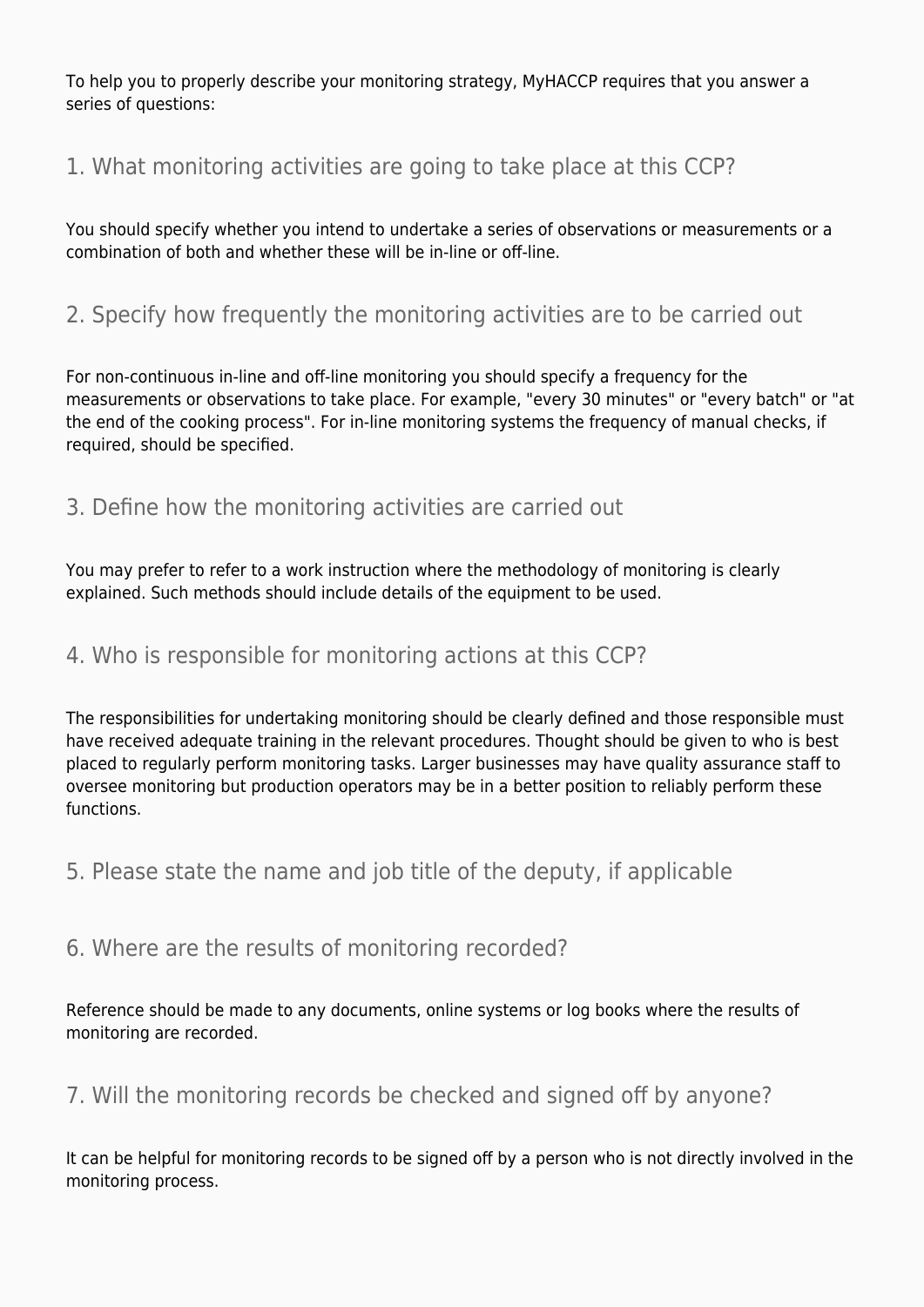To help you to properly describe your monitoring strategy, MyHACCP requires that you answer a series of questions:

#### 1. What monitoring activities are going to take place at this CCP?

You should specify whether you intend to undertake a series of observations or measurements or a combination of both and whether these will be in-line or off-line.

#### 2. Specify how frequently the monitoring activities are to be carried out

For non-continuous in-line and off-line monitoring you should specify a frequency for the measurements or observations to take place. For example, "every 30 minutes" or "every batch" or "at the end of the cooking process". For in-line monitoring systems the frequency of manual checks, if required, should be specified.

#### 3. Define how the monitoring activities are carried out

You may prefer to refer to a work instruction where the methodology of monitoring is clearly explained. Such methods should include details of the equipment to be used.

#### 4. Who is responsible for monitoring actions at this CCP?

The responsibilities for undertaking monitoring should be clearly defined and those responsible must have received adequate training in the relevant procedures. Thought should be given to who is best placed to regularly perform monitoring tasks. Larger businesses may have quality assurance staff to oversee monitoring but production operators may be in a better position to reliably perform these functions.

5. Please state the name and job title of the deputy, if applicable

#### 6. Where are the results of monitoring recorded?

Reference should be made to any documents, online systems or log books where the results of monitoring are recorded.

#### 7. Will the monitoring records be checked and signed off by anyone?

It can be helpful for monitoring records to be signed off by a person who is not directly involved in the monitoring process.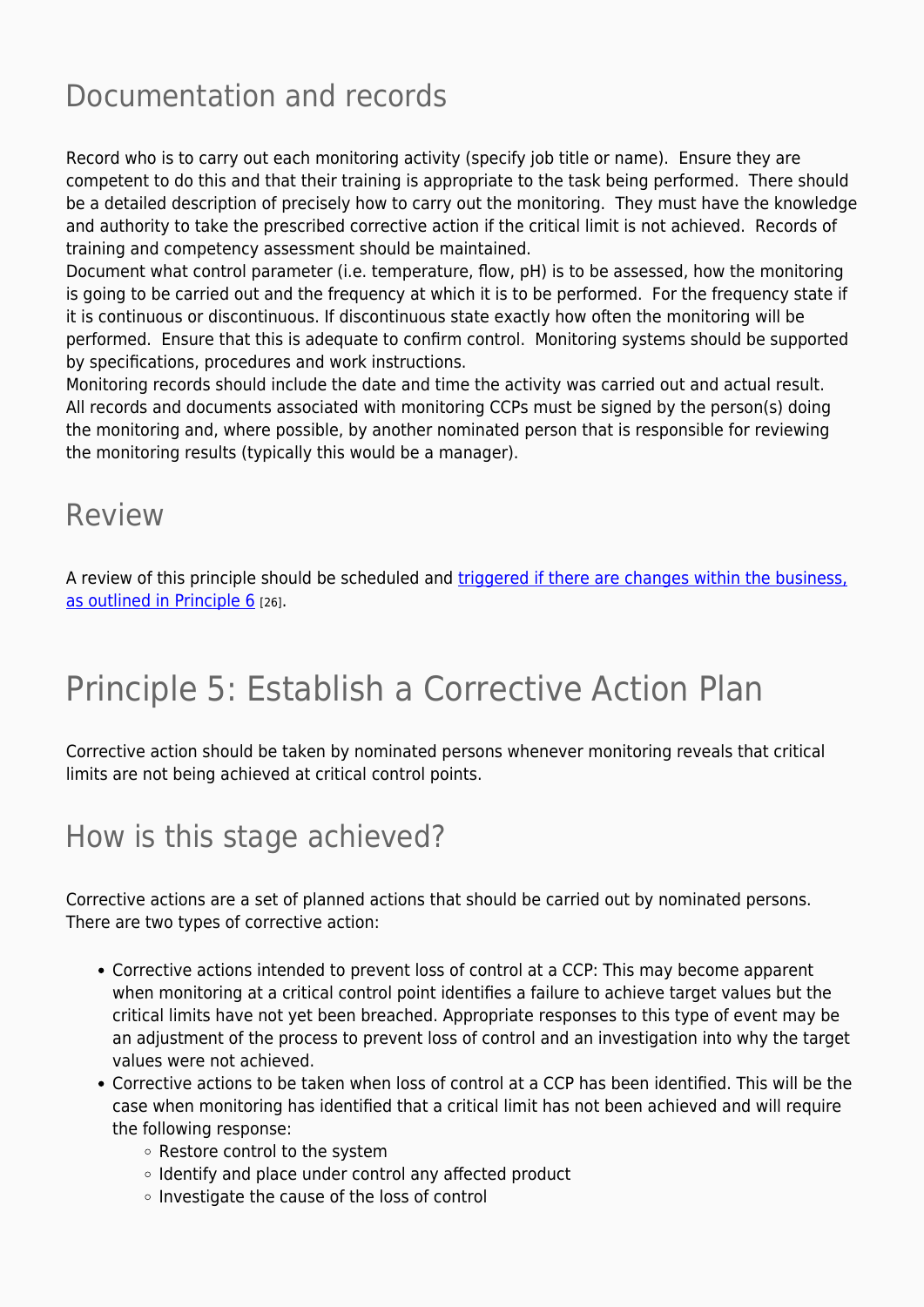### Documentation and records

Record who is to carry out each monitoring activity (specify job title or name). Ensure they are competent to do this and that their training is appropriate to the task being performed. There should be a detailed description of precisely how to carry out the monitoring. They must have the knowledge and authority to take the prescribed corrective action if the critical limit is not achieved. Records of training and competency assessment should be maintained.

Document what control parameter (i.e. temperature, flow, pH) is to be assessed, how the monitoring is going to be carried out and the frequency at which it is to be performed. For the frequency state if it is continuous or discontinuous. If discontinuous state exactly how often the monitoring will be performed. Ensure that this is adequate to confirm control. Monitoring systems should be supported by specifications, procedures and work instructions.

Monitoring records should include the date and time the activity was carried out and actual result. All records and documents associated with monitoring CCPs must be signed by the person(s) doing the monitoring and, where possible, by another nominated person that is responsible for reviewing the monitoring results (typically this would be a manager).

### Review

A review of this principle should be scheduled and [triggered if there are changes within the business,](https://myhaccp.food.gov.uk/help/guidance/principle-6-verification) [as outlined in Principle 6](https://myhaccp.food.gov.uk/help/guidance/principle-6-verification) [26].

## Principle 5: Establish a Corrective Action Plan

Corrective action should be taken by nominated persons whenever monitoring reveals that critical limits are not being achieved at critical control points.

### How is this stage achieved?

Corrective actions are a set of planned actions that should be carried out by nominated persons. There are two types of corrective action:

- Corrective actions intended to prevent loss of control at a CCP: This may become apparent when monitoring at a critical control point identifies a failure to achieve target values but the critical limits have not yet been breached. Appropriate responses to this type of event may be an adjustment of the process to prevent loss of control and an investigation into why the target values were not achieved.
- Corrective actions to be taken when loss of control at a CCP has been identified. This will be the case when monitoring has identified that a critical limit has not been achieved and will require the following response:
	- Restore control to the system
	- $\circ$  Identify and place under control any affected product
	- o Investigate the cause of the loss of control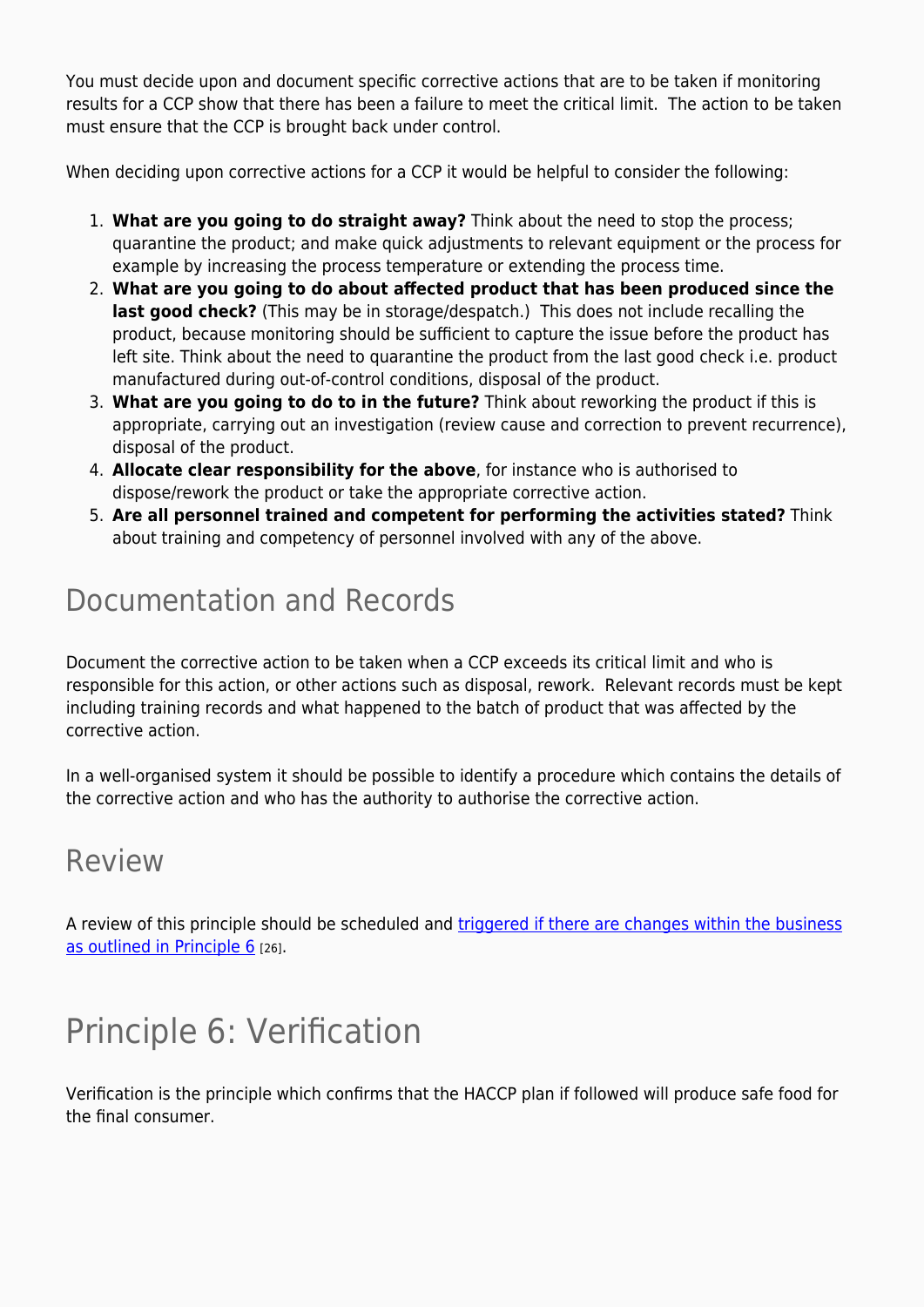You must decide upon and document specific corrective actions that are to be taken if monitoring results for a CCP show that there has been a failure to meet the critical limit. The action to be taken must ensure that the CCP is brought back under control.

When deciding upon corrective actions for a CCP it would be helpful to consider the following:

- 1. **What are you going to do straight away?** Think about the need to stop the process; quarantine the product; and make quick adjustments to relevant equipment or the process for example by increasing the process temperature or extending the process time.
- 2. **What are you going to do about affected product that has been produced since the last good check?** (This may be in storage/despatch.) This does not include recalling the product, because monitoring should be sufficient to capture the issue before the product has left site. Think about the need to quarantine the product from the last good check i.e. product manufactured during out-of-control conditions, disposal of the product.
- 3. **What are you going to do to in the future?** Think about reworking the product if this is appropriate, carrying out an investigation (review cause and correction to prevent recurrence), disposal of the product.
- 4. **Allocate clear responsibility for the above**, for instance who is authorised to dispose/rework the product or take the appropriate corrective action.
- 5. **Are all personnel trained and competent for performing the activities stated?** Think about training and competency of personnel involved with any of the above.

### Documentation and Records

Document the corrective action to be taken when a CCP exceeds its critical limit and who is responsible for this action, or other actions such as disposal, rework. Relevant records must be kept including training records and what happened to the batch of product that was affected by the corrective action.

In a well-organised system it should be possible to identify a procedure which contains the details of the corrective action and who has the authority to authorise the corrective action.

### Review

A review of this principle should be scheduled and [triggered if there are changes within the business](https://myhaccp.food.gov.uk/help/guidance/principle-6-verification) [as outlined in Principle 6](https://myhaccp.food.gov.uk/help/guidance/principle-6-verification) [26].

## Principle 6: Verification

Verification is the principle which confirms that the HACCP plan if followed will produce safe food for the final consumer.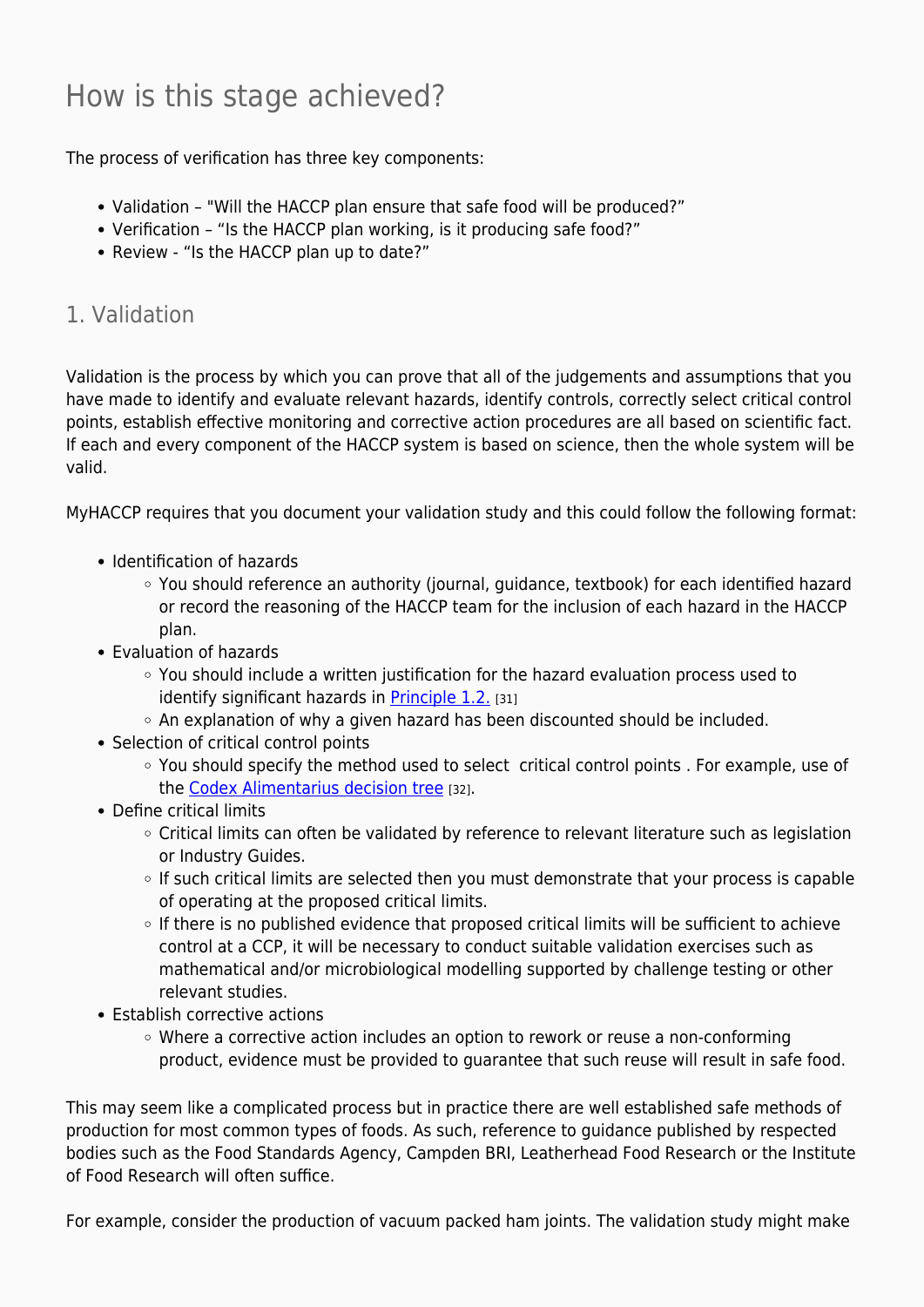## How is this stage achieved?

The process of verification has three key components:

- Validation "Will the HACCP plan ensure that safe food will be produced?"
- Verification "Is the HACCP plan working, is it producing safe food?"
- Review "Is the HACCP plan up to date?"

#### 1. Validation

Validation is the process by which you can prove that all of the judgements and assumptions that you have made to identify and evaluate relevant hazards, identify controls, correctly select critical control points, establish effective monitoring and corrective action procedures are all based on scientific fact. If each and every component of the HACCP system is based on science, then the whole system will be valid.

MyHACCP requires that you document your validation study and this could follow the following format:

- Identification of hazards
	- You should reference an authority (journal, guidance, textbook) for each identified hazard or record the reasoning of the HACCP team for the inclusion of each hazard in the HACCP plan.
- Evaluation of hazards
	- $\circ$  You should include a written justification for the hazard evaluation process used to identify significant hazards in [Principle 1.2.](https://myhaccp.food.gov.uk/help/guidance/principle-12-conduct-a-hazard-analysis) [31]
	- $\circ$  An explanation of why a given hazard has been discounted should be included.
- Selection of critical control points
	- You should specify the method used to select critical control points . For example, use of the [Codex Alimentarius decision tree](https://myhaccp.food.gov.uk/codex-decision-tree) [32].
- Define critical limits
	- Critical limits can often be validated by reference to relevant literature such as legislation or Industry Guides.
	- $\circ$  If such critical limits are selected then you must demonstrate that your process is capable of operating at the proposed critical limits.
	- o If there is no published evidence that proposed critical limits will be sufficient to achieve control at a CCP, it will be necessary to conduct suitable validation exercises such as mathematical and/or microbiological modelling supported by challenge testing or other relevant studies.
- Establish corrective actions
	- Where a corrective action includes an option to rework or reuse a non-conforming product, evidence must be provided to guarantee that such reuse will result in safe food.

This may seem like a complicated process but in practice there are well established safe methods of production for most common types of foods. As such, reference to guidance published by respected bodies such as the Food Standards Agency, Campden BRI, Leatherhead Food Research or the Institute of Food Research will often suffice.

For example, consider the production of vacuum packed ham joints. The validation study might make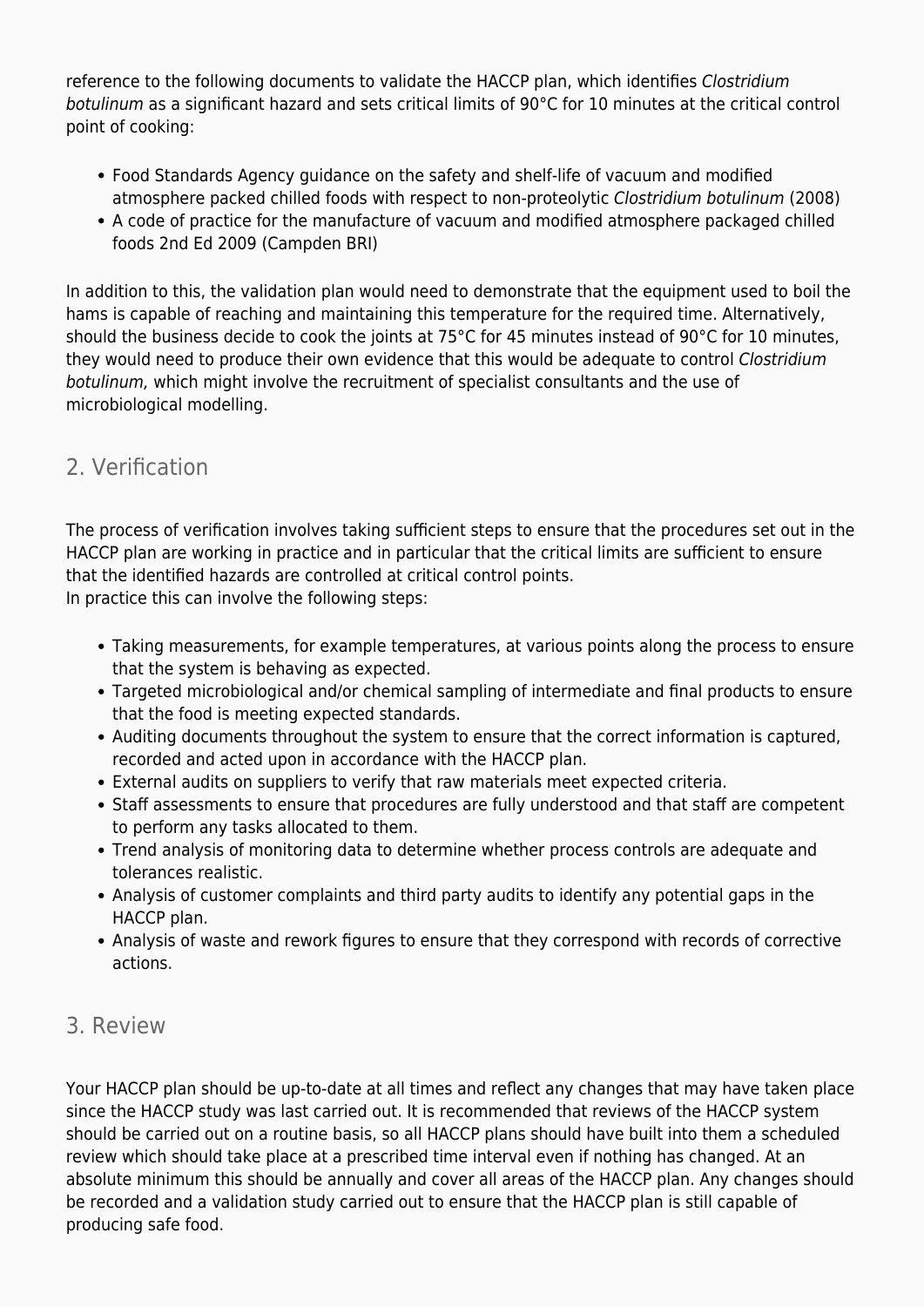reference to the following documents to validate the HACCP plan, which identifies Clostridium botulinum as a significant hazard and sets critical limits of 90°C for 10 minutes at the critical control point of cooking:

- Food Standards Agency guidance on the safety and shelf-life of vacuum and modified atmosphere packed chilled foods with respect to non-proteolytic Clostridium botulinum (2008)
- A code of practice for the manufacture of vacuum and modified atmosphere packaged chilled foods 2nd Ed 2009 (Campden BRI)

In addition to this, the validation plan would need to demonstrate that the equipment used to boil the hams is capable of reaching and maintaining this temperature for the required time. Alternatively, should the business decide to cook the joints at 75°C for 45 minutes instead of 90°C for 10 minutes, they would need to produce their own evidence that this would be adequate to control Clostridium botulinum, which might involve the recruitment of specialist consultants and the use of microbiological modelling.

#### 2. Verification

The process of verification involves taking sufficient steps to ensure that the procedures set out in the HACCP plan are working in practice and in particular that the critical limits are sufficient to ensure that the identified hazards are controlled at critical control points.

In practice this can involve the following steps:

- Taking measurements, for example temperatures, at various points along the process to ensure that the system is behaving as expected.
- Targeted microbiological and/or chemical sampling of intermediate and final products to ensure that the food is meeting expected standards.
- Auditing documents throughout the system to ensure that the correct information is captured, recorded and acted upon in accordance with the HACCP plan.
- External audits on suppliers to verify that raw materials meet expected criteria.
- Staff assessments to ensure that procedures are fully understood and that staff are competent to perform any tasks allocated to them.
- Trend analysis of monitoring data to determine whether process controls are adequate and tolerances realistic.
- Analysis of customer complaints and third party audits to identify any potential gaps in the HACCP plan.
- Analysis of waste and rework figures to ensure that they correspond with records of corrective actions.

#### 3. Review

Your HACCP plan should be up-to-date at all times and reflect any changes that may have taken place since the HACCP study was last carried out. It is recommended that reviews of the HACCP system should be carried out on a routine basis, so all HACCP plans should have built into them a scheduled review which should take place at a prescribed time interval even if nothing has changed. At an absolute minimum this should be annually and cover all areas of the HACCP plan. Any changes should be recorded and a validation study carried out to ensure that the HACCP plan is still capable of producing safe food.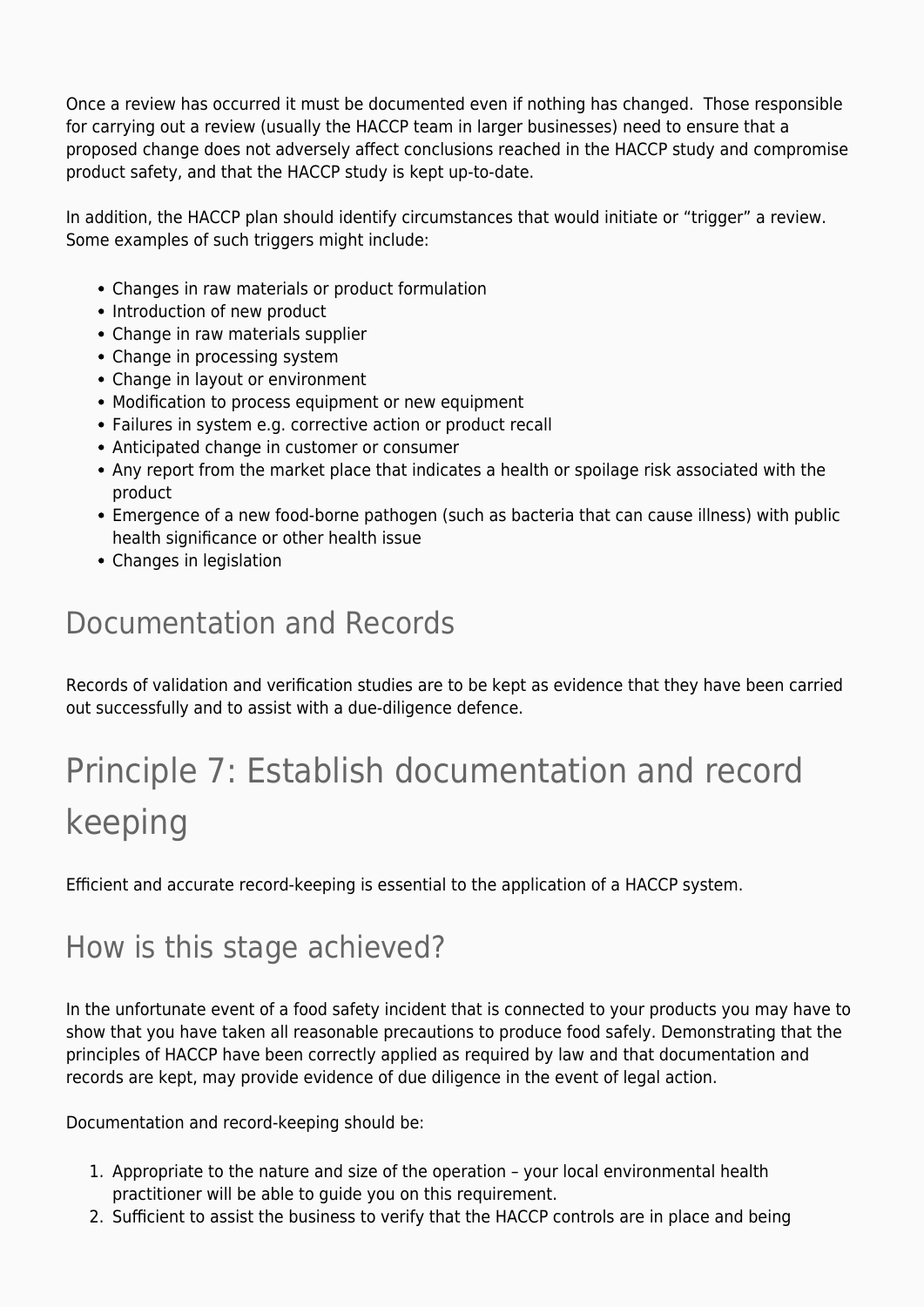Once a review has occurred it must be documented even if nothing has changed. Those responsible for carrying out a review (usually the HACCP team in larger businesses) need to ensure that a proposed change does not adversely affect conclusions reached in the HACCP study and compromise product safety, and that the HACCP study is kept up-to-date.

In addition, the HACCP plan should identify circumstances that would initiate or "trigger" a review. Some examples of such triggers might include:

- Changes in raw materials or product formulation
- Introduction of new product
- Change in raw materials supplier
- Change in processing system
- Change in layout or environment
- Modification to process equipment or new equipment
- Failures in system e.g. corrective action or product recall
- Anticipated change in customer or consumer
- Any report from the market place that indicates a health or spoilage risk associated with the product
- Emergence of a new food-borne pathogen (such as bacteria that can cause illness) with public health significance or other health issue
- Changes in legislation

### Documentation and Records

Records of validation and verification studies are to be kept as evidence that they have been carried out successfully and to assist with a due-diligence defence.

## Principle 7: Establish documentation and record keeping

Efficient and accurate record-keeping is essential to the application of a HACCP system.

### How is this stage achieved?

In the unfortunate event of a food safety incident that is connected to your products you may have to show that you have taken all reasonable precautions to produce food safely. Demonstrating that the principles of HACCP have been correctly applied as required by law and that documentation and records are kept, may provide evidence of due diligence in the event of legal action.

Documentation and record-keeping should be:

- 1. Appropriate to the nature and size of the operation your local environmental health practitioner will be able to guide you on this requirement.
- 2. Sufficient to assist the business to verify that the HACCP controls are in place and being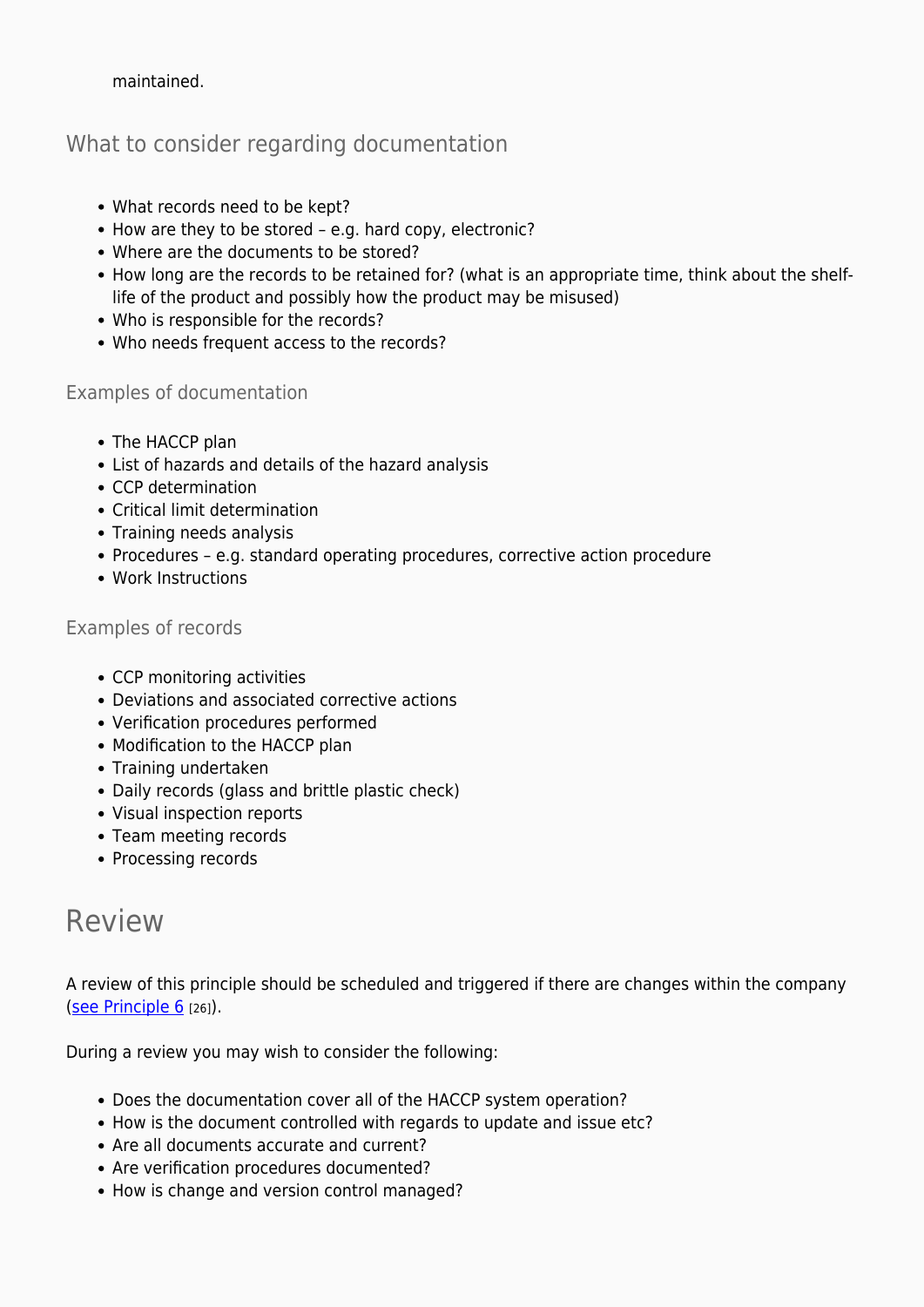maintained.

#### What to consider regarding documentation

- What records need to be kept?
- How are they to be stored e.g. hard copy, electronic?
- Where are the documents to be stored?
- How long are the records to be retained for? (what is an appropriate time, think about the shelflife of the product and possibly how the product may be misused)
- Who is responsible for the records?
- Who needs frequent access to the records?

#### Examples of documentation

- The HACCP plan
- List of hazards and details of the hazard analysis
- CCP determination
- Critical limit determination
- Training needs analysis
- Procedures e.g. standard operating procedures, corrective action procedure
- Work Instructions

#### Examples of records

- CCP monitoring activities
- Deviations and associated corrective actions
- Verification procedures performed
- Modification to the HACCP plan
- Training undertaken
- Daily records (glass and brittle plastic check)
- Visual inspection reports
- Team meeting records
- Processing records

### Review

A review of this principle should be scheduled and triggered if there are changes within the company [\(see Principle 6](https://myhaccp.food.gov.uk/help/guidance/principle-6-verification) [26]).

During a review you may wish to consider the following:

- Does the documentation cover all of the HACCP system operation?
- How is the document controlled with regards to update and issue etc?
- Are all documents accurate and current?
- Are verification procedures documented?
- How is change and version control managed?